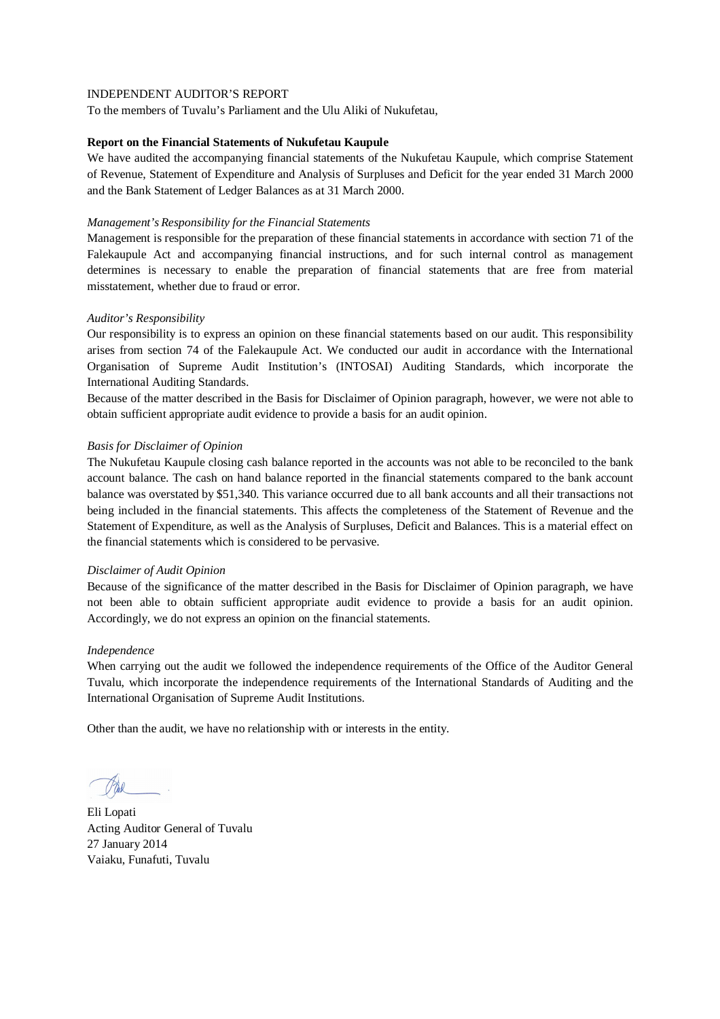To the members of Tuvalu's Parliament and the Ulu Aliki of Nukufetau,

#### **Report on the Financial Statements of Nukufetau Kaupule**

We have audited the accompanying financial statements of the Nukufetau Kaupule, which comprise Statement of Revenue, Statement of Expenditure and Analysis of Surpluses and Deficit for the year ended 31 March 2000 and the Bank Statement of Ledger Balances as at 31 March 2000.

#### *Management's Responsibility for the Financial Statements*

Management is responsible for the preparation of these financial statements in accordance with section 71 of the Falekaupule Act and accompanying financial instructions, and for such internal control as management determines is necessary to enable the preparation of financial statements that are free from material misstatement, whether due to fraud or error.

## *Auditor's Responsibility*

Our responsibility is to express an opinion on these financial statements based on our audit. This responsibility arises from section 74 of the Falekaupule Act. We conducted our audit in accordance with the International Organisation of Supreme Audit Institution's (INTOSAI) Auditing Standards, which incorporate the International Auditing Standards.

Because of the matter described in the Basis for Disclaimer of Opinion paragraph, however, we were not able to obtain sufficient appropriate audit evidence to provide a basis for an audit opinion.

## *Basis for Disclaimer of Opinion*

The Nukufetau Kaupule closing cash balance reported in the accounts was not able to be reconciled to the bank account balance. The cash on hand balance reported in the financial statements compared to the bank account balance was overstated by \$51,340. This variance occurred due to all bank accounts and all their transactions not being included in the financial statements. This affects the completeness of the Statement of Revenue and the Statement of Expenditure, as well as the Analysis of Surpluses, Deficit and Balances. This is a material effect on the financial statements which is considered to be pervasive.

#### *Disclaimer of Audit Opinion*

Because of the significance of the matter described in the Basis for Disclaimer of Opinion paragraph, we have not been able to obtain sufficient appropriate audit evidence to provide a basis for an audit opinion. Accordingly, we do not express an opinion on the financial statements.

#### *Independence*

When carrying out the audit we followed the independence requirements of the Office of the Auditor General Tuvalu, which incorporate the independence requirements of the International Standards of Auditing and the International Organisation of Supreme Audit Institutions.

Eli Lopati Acting Auditor General of Tuvalu 27 January 2014 Vaiaku, Funafuti, Tuvalu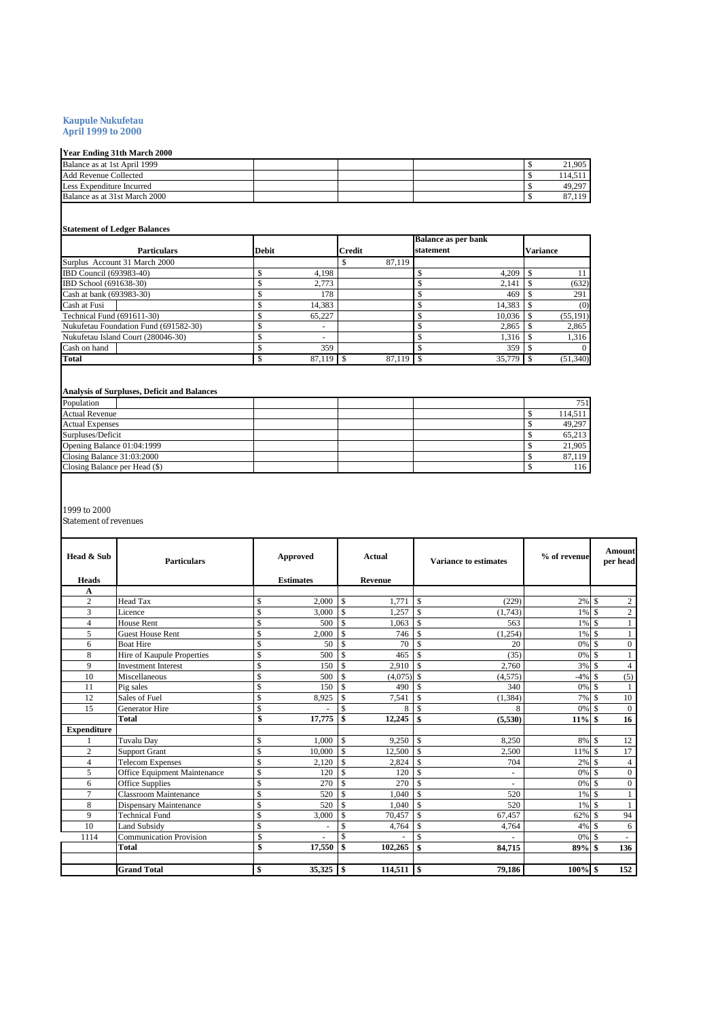#### **Kaupule Nukufetau April 1999 to 2000**

## **Year Ending 31th March 2000**

| .                             |  |  |               |
|-------------------------------|--|--|---------------|
| Balance as at 1st April 1999  |  |  | 21.905        |
| Add Revenue Collected         |  |  | 114.511       |
| Less Expenditure Incurred     |  |  | 49.297        |
| Balance as at 31st March 2000 |  |  | 119<br>87.119 |
|                               |  |  |               |

# **Statement of Ledger Balances**

|                                       |              |               | <b>Balance as per bank</b> |           |
|---------------------------------------|--------------|---------------|----------------------------|-----------|
| <b>Particulars</b>                    | <b>Debit</b> | <b>Credit</b> | statement                  | Variance  |
| Surplus Account 31 March 2000         |              | 87,119        |                            |           |
| IBD Council (693983-40)               | 4.198        |               | 4.209                      | 11        |
| IBD School (691638-30)                | 2.773        |               | 2.141                      | (632)     |
| Cash at bank (693983-30)              | 178          |               | 469                        | 291       |
| Cash at Fusi                          | 14.383       |               | 14,383                     | (0)       |
| Technical Fund (691611-30)            | 65.227       |               | 10.036                     | (55, 191) |
| Nukufetau Foundation Fund (691582-30) | ۰            |               | 2,865                      | 2,865     |
| Nukufetau Island Court (280046-30)    | ۰            |               | 1.316                      | 1.316     |
| Cash on hand                          | 359          |               | 359                        | $\Omega$  |
| <b>Total</b>                          | $87,119$ \$  | 87,119        | 35,779                     | (51,340)  |

#### **Analysis of Surpluses, Deficit and Balances**

| Population                    |  |  | 751     |
|-------------------------------|--|--|---------|
| <b>Actual Revenue</b>         |  |  | 114.511 |
| <b>Actual Expenses</b>        |  |  | 49,297  |
| Surpluses/Deficit             |  |  | 65.213  |
| Opening Balance 01:04:1999    |  |  | 21,905  |
| Closing Balance 31:03:2000    |  |  | 87.119  |
| Closing Balance per Head (\$) |  |  | 116     |
|                               |  |  |         |

#### 1999 to 2000

Statement of revenues

| Head & Sub         | <b>Particulars</b>             | Approved      |                  | Actual                   |                |                    | <b>Variance to estimates</b> | % of revenue |                    | Amount<br>per head |
|--------------------|--------------------------------|---------------|------------------|--------------------------|----------------|--------------------|------------------------------|--------------|--------------------|--------------------|
| <b>Heads</b>       |                                |               | <b>Estimates</b> |                          | <b>Revenue</b> |                    |                              |              |                    |                    |
| A                  |                                |               |                  |                          |                |                    |                              |              |                    |                    |
| $\overline{c}$     | <b>Head Tax</b>                | \$            | 2.000            | $\mathbf{\hat{S}}$       | 1.771          | <sup>\$</sup>      | (229)                        | $2\%$ \$     |                    | $\mathfrak{2}$     |
| 3                  | Licence                        | $\mathbf S$   | 3,000            | \$                       | 1,257          | $\mathbf S$        | (1,743)                      | 1%           | l \$               | $\mathbf{2}$       |
| $\overline{4}$     | House Rent                     | $\mathcal{S}$ | 500              | \$                       | 1,063          | <sup>\$</sup>      | 563                          | 1%           | l \$               |                    |
| 5                  | <b>Guest House Rent</b>        | $\mathcal{S}$ | 2.000            | \$                       | 746            | $\mathbf S$        | (1,254)                      | 1%           | l \$               |                    |
| 6                  | <b>Boat Hire</b>               | \$            | 50               | Ŝ                        | 70             | <sup>\$</sup>      | 20                           | 0%           | $\mathbf{\hat{s}}$ | $\Omega$           |
| 8                  | Hire of Kaupule Properties     | $\mathcal{S}$ | 500              | Ŝ                        | 465            | <sup>\$</sup>      | (35)                         | 0%           | l \$               |                    |
| 9                  | <b>Investment Interest</b>     | $\mathcal{S}$ | 150              | \$                       | 2,910          | $\mathbf{\hat{S}}$ | 2,760                        | 3%           | $\mathbf{\hat{s}}$ | $\overline{4}$     |
| 10                 | Miscellaneous                  | \$            | 500              | \$                       | $(4,075)$ \$   |                    | (4, 575)                     | $-4%$        | ∣\$                | (5)                |
| 11                 | Pig sales                      | $\mathcal{S}$ | 150              | $\mathbf{\hat{S}}$       | 490            | $\mathbf{\hat{s}}$ | 340                          | 0%           | l \$               |                    |
| 12                 | Sales of Fuel                  | \$            | 8,925            | \$                       | 7,541          | $\mathbf S$        | (1, 384)                     | 7%           | ∣\$                | 10                 |
| 15                 | <b>Generator Hire</b>          | \$            |                  | \$                       | 8              | <sup>\$</sup>      | 8                            | 0%           | l \$               | $\Omega$           |
|                    | <b>Total</b>                   | \$            | 17,775           | \$                       | 12,245         | \$                 | (5,530)                      | 11%          | l \$               | 16                 |
| <b>Expenditure</b> |                                |               |                  |                          |                |                    |                              |              |                    |                    |
|                    | Tuvalu Day                     | $\mathcal{S}$ | 1.000            | $\mathbf{\hat{S}}$       | 9.250          | <sup>\$</sup>      | 8.250                        | 8% \$        |                    | 12                 |
| $\overline{2}$     | <b>Support Grant</b>           | $\mathcal{S}$ | 10.000           | \$                       | 12,500         | $\mathbf{\hat{S}}$ | 2,500                        | 11% \$       |                    | 17                 |
| 4                  | <b>Telecom Expenses</b>        | $\mathcal{S}$ | 2.120            | \$                       | 2.824          | <sup>\$</sup>      | 704                          | 2%           | ∣\$                | $\overline{4}$     |
| 5                  | Office Equipment Maintenance   | $\mathcal{S}$ | 120              | \$                       | 120            | $\mathcal{S}$      | ٠                            | 0%           | l \$               | $\mathbf{0}$       |
| 6                  | Office Supplies                | $\mathcal{S}$ | 270              | \$                       | 270            | $\mathbf{\hat{s}}$ | ۰                            | 0%           | $\mathbf{\hat{s}}$ | $\Omega$           |
| 7                  | <b>Classroom Maintenance</b>   | \$            | 520              | \$                       | 1,040          | <sup>\$</sup>      | 520                          | 1%           | l \$               |                    |
| 8                  | <b>Dispensary Maintenance</b>  | $\mathcal{S}$ | 520              | \$.                      | 1.040          | $\mathcal{S}$      | 520                          | 1%           | l \$               |                    |
| 9                  | <b>Technical Fund</b>          | \$            | 3,000            | \$.                      | 70,457         | <sup>\$</sup>      | 67,457                       | 62%          | l S                | 94                 |
| 10                 | <b>Land Subsidy</b>            | $\mathcal{S}$ |                  | \$                       | 4,764          | $\mathbf{\hat{s}}$ | 4,764                        | 4%           | l \$               | 6                  |
| 1114               | <b>Communication Provision</b> | \$            |                  | \$                       |                | $\mathbf S$        |                              | 0%           | -\$                |                    |
|                    | Total                          | \$            | 17,550           | \$                       | 102,265        | \$                 | 84,715                       | 89%          | -\$                | 136                |
|                    |                                |               |                  |                          |                |                    |                              |              |                    |                    |
|                    | <b>Grand Total</b>             | \$            | 35,325           | $\overline{\phantom{a}}$ | 114,511        | l s                | 79,186                       | $100\%$ \$   |                    | 152                |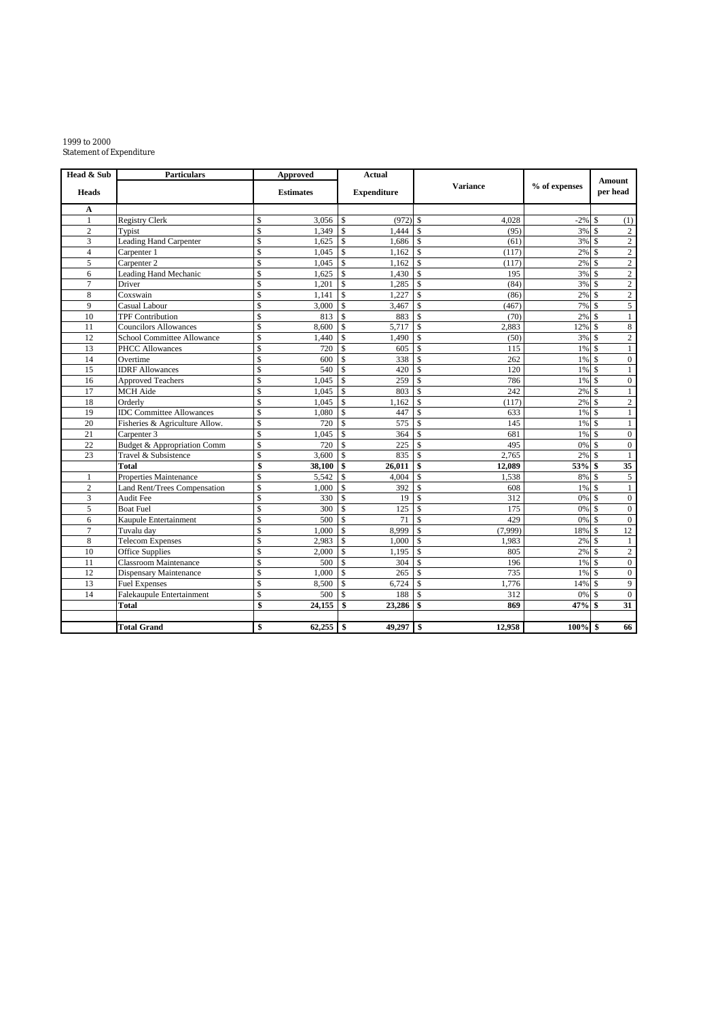#### 1999 to 2000 Statement of Expenditure

| Head & Sub     | <b>Particulars</b>                     |                          | <b>Approved</b>  |                    | <b>Actual</b>      |                    |                 |               |                    | <b>Amount</b>    |
|----------------|----------------------------------------|--------------------------|------------------|--------------------|--------------------|--------------------|-----------------|---------------|--------------------|------------------|
| <b>Heads</b>   |                                        |                          | <b>Estimates</b> |                    | <b>Expenditure</b> |                    | <b>Variance</b> | % of expenses |                    | per head         |
| A              |                                        |                          |                  |                    |                    |                    |                 |               |                    |                  |
| 1              | <b>Registry Clerk</b>                  | \$                       | 3,056            | \$                 | $(972)$ \$         |                    | 4,028           | $-2%$         | \$                 | (1)              |
| $\overline{c}$ | Typist                                 | \$                       | 1,349            | \$                 | 1,444              | $\mathbf{\hat{S}}$ | (95)            | 3%            | -\$                | $\overline{c}$   |
| 3              | <b>Leading Hand Carpenter</b>          | \$                       | 1,625            | \$                 | 1,686              | <sup>\$</sup>      | (61)            | 3%            | - \$               | $\sqrt{2}$       |
| $\overline{4}$ | Carpenter 1                            | \$                       | 1.045            | $\mathbf S$        | 1,162              | $\mathbf{\hat{s}}$ | (117)           | $2\%$ \$      |                    | $\overline{c}$   |
| 5              | Carpenter 2                            | \$                       | 1,045            | $\mathbf{\hat{S}}$ | 1,162              | $\mathbf{\hat{S}}$ | (117)           | 2%            | <sup>\$</sup>      | $\overline{c}$   |
| 6              | Leading Hand Mechanic                  | $\mathbf S$              | 1,625            | $\mathbf{s}$       | 1,430              | $\mathbf{s}$       | 195             | $3\%$ \$      |                    | $\sqrt{2}$       |
| $\overline{7}$ | Driver                                 | \$                       | 1,201            | $\mathbf{s}$       | 1,285              | $\mathbf S$        | (84)            | 3% \$         |                    | $\overline{2}$   |
| 8              | Coxswain                               | \$                       | 1,141            | $\mathbf{\hat{S}}$ | 1,227              | $\mathbf{\hat{S}}$ | (86)            | $2\%$ \$      |                    | $\overline{2}$   |
| 9              | Casual Labour                          | $\overline{\mathcal{S}}$ | 3,000            | $\mathbb{S}$       | 3,467              | $\mathbf{\hat{s}}$ | (467)           | 7%            | $\mathbf{\hat{s}}$ | $\overline{5}$   |
| 10             | <b>TPF Contribution</b>                | \$                       | 813              | \$                 | 883                | <sup>\$</sup>      | (70)            | 2%            | -S                 | $1\,$            |
| 11             | <b>Councilors Allowances</b>           | \$                       | 8.600            | \$                 | 5,717              | $\mathbf S$        | 2,883           | 12%           | $\mathbf{\hat{S}}$ | 8                |
| 12             | School Committee Allowance             | \$                       | 1,440            | \$                 | 1.490              | $\mathbf{\hat{S}}$ | (50)            | 3% \$         |                    | $\overline{c}$   |
| 13             | <b>PHCC Allowances</b>                 | $\mathbf S$              | 720              | \$                 | 605                | <sup>\$</sup>      | 115             | $1\%$ \$      |                    | $\mathbf{1}$     |
| 14             | Overtime                               | \$                       | 600              | $\mathbf{\hat{S}}$ | 338                | <sup>\$</sup>      | 262             | 1%            | -S                 | $\boldsymbol{0}$ |
| 15             | <b>IDRF</b> Allowances                 | $\mathbf S$              | 540              | $\mathbf S$        | 420                | <sup>\$</sup>      | 120             | $1\%$ \$      |                    | $\mathbf{1}$     |
| 16             | <b>Approved Teachers</b>               | \$                       | 1,045            | \$                 | 259                | $\mathbf S$        | 786             | 1%            | $\mathcal{S}$      | $\boldsymbol{0}$ |
| 17             | <b>MCH</b> Aide                        | \$                       | 1,045            | \$                 | 803                | $\mathbf S$        | 242             | 2%            | <sup>\$</sup>      | $\mathbf{1}$     |
| 18             | Orderly                                | \$                       | 1,045            | \$                 | 1,162              | \$                 | (117)           | 2%            | $\mathbf{\hat{S}}$ | $\mathbf{2}$     |
| 19             | <b>IDC</b> Committee Allowances        | \$                       | 1,080            | $\mathbf S$        | 447                | $\mathbf S$        | 633             | 1% \$         |                    | $\mathbf{1}$     |
| 20             | Fisheries & Agriculture Allow.         | \$                       | 720              | $\mathbf{\hat{S}}$ | 575                | <sup>\$</sup>      | 145             | $1\%$ \$      |                    | $\mathbf{1}$     |
| 21             | Carpenter 3                            | \$                       | 1,045            | $\mathbf{\hat{S}}$ | 364                | $\mathbf{\hat{S}}$ | 681             | 1%            | - \$               | $\mathbf{0}$     |
| 22             | <b>Budget &amp; Appropriation Comm</b> | $\mathbf S$              | 720              | $\mathbf S$        | 225                | <sup>\$</sup>      | 495             | 0% \$         |                    | $\boldsymbol{0}$ |
| 23             | Travel & Subsistence                   | $\overline{\mathcal{S}}$ | 3,600            | \$                 | 835                | $\mathbf{\hat{S}}$ | 2,765           | 2%            | <sup>\$</sup>      | $\mathbf{1}$     |
|                | Total                                  | \$                       | 38,100           | \$                 | 26,011             | \$                 | 12,089          | 53% \$        |                    | $\overline{35}$  |
| 1              | Properties Maintenance                 | \$                       | 5,542            | \$                 | 4,004              | $\mathbf S$        | 1,538           | 8%            | <sup>\$</sup>      | 5                |
| $\overline{c}$ | Land Rent/Trees Compensation           | \$                       | 1,000            | \$                 | 392                | $\mathbf{\hat{S}}$ | 608             | 1% \$         |                    | $\mathbf{1}$     |
| 3              | Audit Fee                              | $\mathbf S$              | 330              | $\mathbf{\hat{S}}$ | 19                 | <sup>\$</sup>      | 312             | $0\%$ \$      |                    | $\boldsymbol{0}$ |
| 5              | <b>Boat Fuel</b>                       | \$                       | 300              | $\mathbf S$        | 125                | <sup>\$</sup>      | 175             | $0\%$ \$      |                    | $\mathbf{0}$     |
| 6              | Kaupule Entertainment                  | $\mathbf S$              | 500              | <sup>\$</sup>      | 71                 | $\mathbf{\hat{s}}$ | 429             | $0\%$ \$      |                    | $\mathbf{0}$     |
| $\overline{7}$ | Tuvalu day                             | $\overline{\mathcal{S}}$ | 1,000            | \$                 | 8,999              | $\mathbf{\hat{S}}$ | (7,999)         | 18%           | $\mathbf S$        | 12               |
| 8              | <b>Telecom Expenses</b>                | \$                       | 2,983            | \$                 | 1,000              | \$                 | 1,983           | 2%            | -S                 | $\mathbf{1}$     |
| 10             | <b>Office Supplies</b>                 | \$                       | 2,000            | \$                 | 1,195              | \$                 | 805             | 2%            | <sup>\$</sup>      | $\sqrt{2}$       |
| 11             | <b>Classroom Maintenance</b>           | \$                       | 500              | $\mathbf{\hat{S}}$ | 304                | $\mathbf S$        | 196             | 1%            | -\$                | $\boldsymbol{0}$ |
| 12             | Dispensary Maintenance                 | $\mathbf S$              | 1,000            | $\mathbf{\hat{S}}$ | 265                | $\mathcal{S}$      | 735             | $1\%$ \$      |                    | $\boldsymbol{0}$ |
| 13             | <b>Fuel Expenses</b>                   | \$                       | 8,500            | $\mathbf{\hat{S}}$ | 6,724              | <sup>\$</sup>      | 1,776           | 14% \$        |                    | 9                |
| 14             | Falekaupule Entertainment              | \$                       | 500              | $\mathbf S$        | 188                | <sup>\$</sup>      | 312             | $0\%$ \$      |                    | $\mathbf{0}$     |
|                | Total                                  | \$                       | 24,155           | \$                 | 23,286             | <sup>\$</sup>      | 869             | 47%           | \$                 | 31               |
|                |                                        |                          |                  |                    |                    |                    |                 |               |                    |                  |
|                | <b>Total Grand</b>                     | \$                       | 62,255           | \$                 | 49,297             | \$                 | 12,958          | $100\%$ \$    |                    | 66               |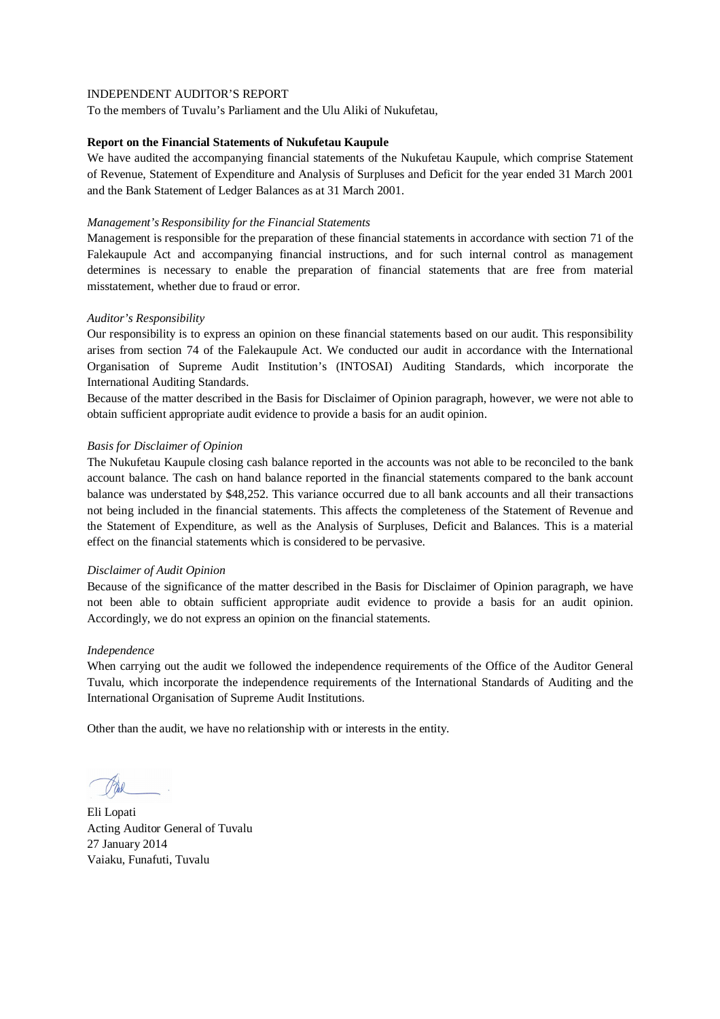To the members of Tuvalu's Parliament and the Ulu Aliki of Nukufetau,

#### **Report on the Financial Statements of Nukufetau Kaupule**

We have audited the accompanying financial statements of the Nukufetau Kaupule, which comprise Statement of Revenue, Statement of Expenditure and Analysis of Surpluses and Deficit for the year ended 31 March 2001 and the Bank Statement of Ledger Balances as at 31 March 2001.

#### *Management's Responsibility for the Financial Statements*

Management is responsible for the preparation of these financial statements in accordance with section 71 of the Falekaupule Act and accompanying financial instructions, and for such internal control as management determines is necessary to enable the preparation of financial statements that are free from material misstatement, whether due to fraud or error.

## *Auditor's Responsibility*

Our responsibility is to express an opinion on these financial statements based on our audit. This responsibility arises from section 74 of the Falekaupule Act. We conducted our audit in accordance with the International Organisation of Supreme Audit Institution's (INTOSAI) Auditing Standards, which incorporate the International Auditing Standards.

Because of the matter described in the Basis for Disclaimer of Opinion paragraph, however, we were not able to obtain sufficient appropriate audit evidence to provide a basis for an audit opinion.

## *Basis for Disclaimer of Opinion*

The Nukufetau Kaupule closing cash balance reported in the accounts was not able to be reconciled to the bank account balance. The cash on hand balance reported in the financial statements compared to the bank account balance was understated by \$48,252. This variance occurred due to all bank accounts and all their transactions not being included in the financial statements. This affects the completeness of the Statement of Revenue and the Statement of Expenditure, as well as the Analysis of Surpluses, Deficit and Balances. This is a material effect on the financial statements which is considered to be pervasive.

#### *Disclaimer of Audit Opinion*

Because of the significance of the matter described in the Basis for Disclaimer of Opinion paragraph, we have not been able to obtain sufficient appropriate audit evidence to provide a basis for an audit opinion. Accordingly, we do not express an opinion on the financial statements.

#### *Independence*

When carrying out the audit we followed the independence requirements of the Office of the Auditor General Tuvalu, which incorporate the independence requirements of the International Standards of Auditing and the International Organisation of Supreme Audit Institutions.

Eli Lopati Acting Auditor General of Tuvalu 27 January 2014 Vaiaku, Funafuti, Tuvalu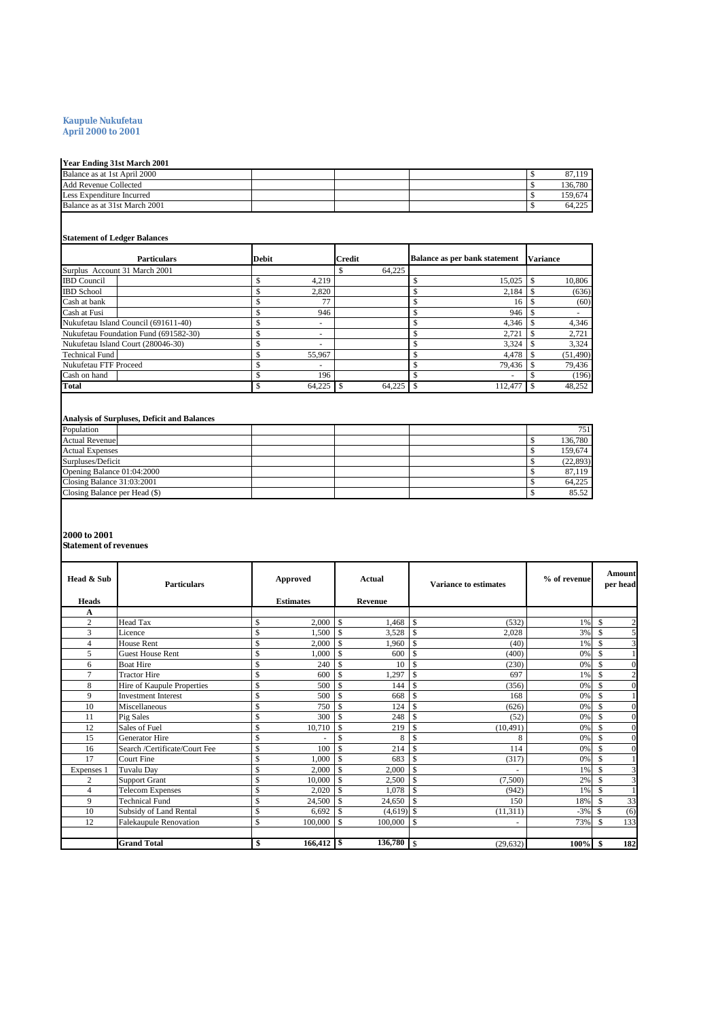#### **Kaupule Nukufetau April 2000 to 2001**

#### **Year Ending 31st March 2001**

| . .                           |  |  |         |
|-------------------------------|--|--|---------|
| Balance as at 1st April 2000  |  |  | 67,119  |
| <b>Add Revenue Collected</b>  |  |  | 136,780 |
| Less Expenditure Incurred     |  |  | 159.674 |
| Balance as at 31st March 2001 |  |  | 64.225  |

#### **Statement of Ledger Balances**

| <b>Particulars</b>                    | <b>Debit</b>             | <b>Credit</b> | <b>Balance as per bank statement</b> | <b>Variance</b> |
|---------------------------------------|--------------------------|---------------|--------------------------------------|-----------------|
| Surplus Account 31 March 2001         |                          | 64.225        |                                      |                 |
| <b>IBD</b> Council                    | 4.219                    |               | 15,025                               | 10,806          |
| <b>IBD</b> School                     | 2.820                    |               | 2.184                                | (636)           |
| Cash at bank                          | 77                       |               | 16                                   | (60)            |
| Cash at Fusi                          | 946                      |               | 946                                  |                 |
| Nukufetau Island Council (691611-40)  | $\overline{\phantom{a}}$ |               | 4.346                                | 4,346           |
| Nukufetau Foundation Fund (691582-30) | $\overline{\phantom{a}}$ |               | 2.721                                | 2.721           |
| Nukufetau Island Court (280046-30)    | $\overline{\phantom{a}}$ |               | 3,324                                | 3,324           |
| <b>Technical Fund</b>                 | 55,967                   |               | 4.478                                | (51, 490)       |
| Nukufetau FTF Proceed                 | $\overline{\phantom{a}}$ |               | 79.436                               | 79,436          |
| Cash on hand                          | 196                      |               |                                      | (196)           |
| <b>Total</b>                          | 64,225                   | 64.225        | 112,477                              | 48,252          |

## **Analysis of Surpluses, Deficit and Balances**

| Population                    | 751       |
|-------------------------------|-----------|
| <b>Actual Revenue</b>         | 136,780   |
| <b>Actual Expenses</b>        | 159.674   |
| Surpluses/Deficit             | (22, 893) |
| Opening Balance 01:04:2000    | 87.119    |
| Closing Balance 31:03:2001    | 64.225    |
| Closing Balance per Head (\$) | 85.52     |

# **2000 to 2001**

#### **Statement of revenues**

| Head & Sub     | <b>Particulars</b>            | Approved         |               | Actual       | <b>Variance to estimates</b> |           | % of revenue |     | <b>Amount</b><br>per head |
|----------------|-------------------------------|------------------|---------------|--------------|------------------------------|-----------|--------------|-----|---------------------------|
| <b>Heads</b>   |                               | <b>Estimates</b> |               | Revenue      |                              |           |              |     |                           |
| A              |                               |                  |               |              |                              |           |              |     |                           |
| $\overline{c}$ | Head Tax                      | \$<br>2,000      | $\mathbf{s}$  | 1.468        | \$                           | (532)     | 1%           | \$. | $\overline{c}$            |
| 3              | Licence                       | \$<br>1.500      | \$            | 3,528        | \$                           | 2,028     | 3%           | \$  | 5                         |
| 4              | House Rent                    | \$<br>2,000      | \$            | 1,960        | \$                           | (40)      | 1%           | \$  | 3                         |
| 5              | <b>Guest House Rent</b>       | \$<br>1,000      | \$            | 600          | \$                           | (400)     | 0%           | \$  |                           |
| 6              | <b>Boat Hire</b>              | \$<br>240        | \$            | 10           | \$                           | (230)     | 0%           | \$  | $\Omega$                  |
| $\overline{7}$ | <b>Tractor Hire</b>           | \$<br>600        | \$            | 1,297        | $\mathbf{\hat{S}}$           | 697       | 1%           | \$  | $\overline{c}$            |
| 8              | Hire of Kaupule Properties    | \$<br>500        | \$            | 144          | \$                           | (356)     | 0%           | \$  | $\theta$                  |
| 9              | <b>Investment Interest</b>    | \$<br>500        | \$            | 668          | \$                           | 168       | 0%           | \$  |                           |
| 10             | Miscellaneous                 | \$<br>750        | \$.           | 124          | \$.                          | (626)     | 0%           | \$. | $\Omega$                  |
| 11             | Pig Sales                     | \$<br>300        | \$            | 248          | \$                           | (52)      | 0%           | \$  | $\overline{0}$            |
| 12             | Sales of Fuel                 | \$<br>10,710     | \$            | 219          | <sup>\$</sup>                | (10, 491) | 0%           | \$  | $\theta$                  |
| 15             | <b>Generator Hire</b>         | \$               | \$            | 8            | \$                           | 8         | 0%           | \$  | $\theta$                  |
| 16             | Search /Certificate/Court Fee | \$<br>100        | <sup>\$</sup> | 214          | \$                           | 114       | 0%           | \$  | $\Omega$                  |
| 17             | Court Fine                    | \$<br>1.000      | \$            | 683          | \$                           | (317)     | 0%           |     |                           |
| Expenses 1     | Tuvalu Day                    | \$<br>2,000      | \$            | 2,000        | \$.                          |           | 1%           |     |                           |
| $\overline{c}$ | <b>Support Grant</b>          | \$<br>10,000     | \$            | 2,500        | \$                           | (7,500)   | 2%           | \$  | 3                         |
| 4              | <b>Telecom Expenses</b>       | \$<br>2,020      | $\mathbf{s}$  | 1.078        | \$                           | (942)     | 1%           |     |                           |
| 9              | <b>Technical Fund</b>         | \$<br>24,500     | \$.           | 24,650       | $\mathcal{S}$                | 150       | 18%          |     | 33                        |
| 10             | Subsidy of Land Rental        | \$<br>6,692      | \$            | $(4,619)$ \$ |                              | (11, 311) | $-3%$        |     | (6)                       |
| 12             | <b>Falekaupule Renovation</b> | \$<br>100,000    | \$            | 100,000      | $\mathbf S$                  |           | 73%          | \$  | 133                       |
|                |                               |                  |               |              |                              |           |              |     |                           |
|                | <b>Grand Total</b>            | \$               |               | 136,780      | \$                           | (29, 632) | 100%         |     | 182                       |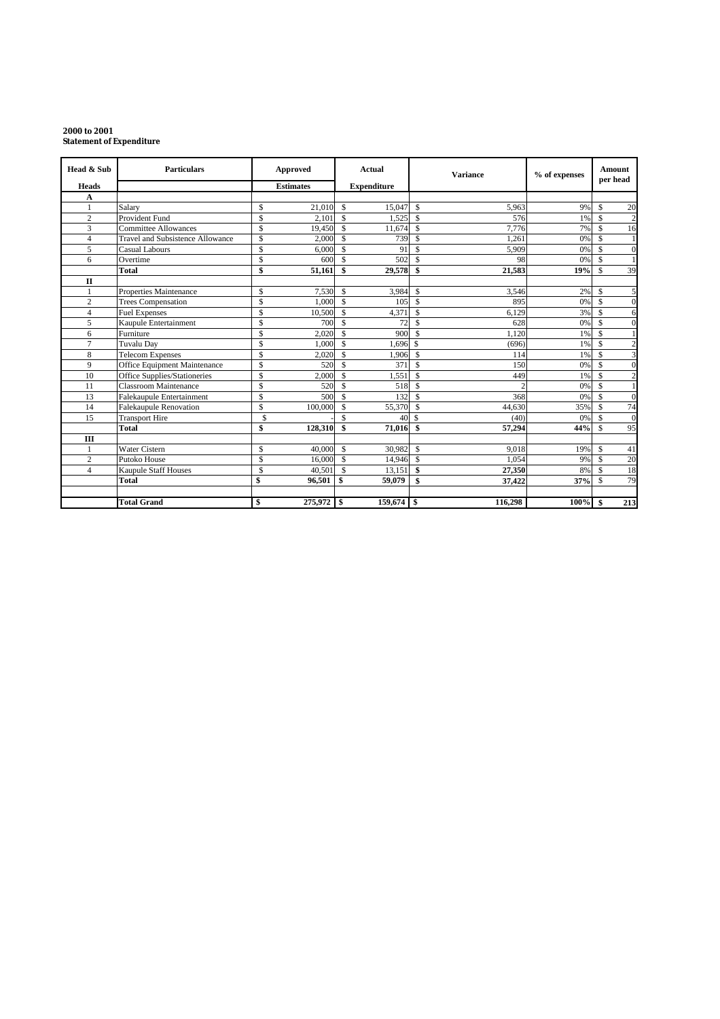#### **2000 to 2001 Statement of Expenditure**

| Head & Sub              | <b>Particulars</b>               |               | Approved         |                    | Actual             |                    | <b>Variance</b> | % of expenses |                    | <b>Amount</b><br>per head |
|-------------------------|----------------------------------|---------------|------------------|--------------------|--------------------|--------------------|-----------------|---------------|--------------------|---------------------------|
| <b>Heads</b>            |                                  |               | <b>Estimates</b> |                    | <b>Expenditure</b> |                    |                 |               |                    |                           |
| A                       |                                  |               |                  |                    |                    |                    |                 |               |                    |                           |
|                         | Salary                           | \$            | 21,010           | - \$               | 15,047             | $\mathcal{S}$      | 5,963           | 9%            | $\mathbf S$        | 20                        |
| $\overline{c}$          | <b>Provident Fund</b>            | \$            | 2.101            | $\mathbf{s}$       | 1,525              | $\mathbf{\hat{S}}$ | 576             | 1%            | $\mathbf{\hat{S}}$ | $\overline{c}$            |
| 3                       | <b>Committee Allowances</b>      | \$            | 19,450           | $\mathbf{s}$       | 11,674             | $\mathsf{\$}$      | 7,776           | 7%            | \$.                | 16                        |
| 4                       | Travel and Subsistence Allowance | $\mathcal{S}$ | 2.000            | $\mathbf{s}$       | 739                | $\mathsf{\$}$      | 1.261           | 0%            | \$.                | 1                         |
| 5                       | <b>Casual Labours</b>            | \$            | 6.000            | $\mathcal{S}$      | 91                 | $\mathcal{S}$      | 5,909           | 0%            | $\mathcal{S}$      | $\mathbf{0}$              |
| 6                       | Overtime                         | \$            | 600              | $\mathbf{\hat{s}}$ | 502                | $\mathcal{S}$      | 98              | 0%            | $\mathbf{s}$       | 1                         |
|                         | Total                            | \$            | 51,161           | -\$                | 29,578             | \$                 | 21,583          | 19%           | $\mathbf S$        | 39                        |
| $\Pi$                   |                                  |               |                  |                    |                    |                    |                 |               |                    |                           |
|                         | Properties Maintenance           | \$            | 7.530            | $\mathbf{s}$       | 3,984              | $\mathsf{\$}$      | 3,546           | 2%            | $\mathbf S$        | 5                         |
| $\overline{c}$          | <b>Trees Compensation</b>        | \$            | 1,000            | - \$               | 105                | $\mathbf{\hat{S}}$ | 895             | 0%            | $\mathbf{\$}$      | $\mathbf{0}$              |
| $\overline{\mathbf{4}}$ | <b>Fuel Expenses</b>             | \$            | 10,500           | - \$               | 4,371              | $\mathcal{S}$      | 6,129           | 3%            | $\mathcal{S}$      | 6                         |
| 5                       | Kaupule Entertainment            | \$            | 700              | $\mathcal{S}$      | 72                 | $\mathcal{S}$      | 628             | 0%            | \$.                | $\mathbf{0}$              |
| 6                       | Furniture                        | \$            | 2,020            | $\mathbf{s}$       | 900                | $\mathcal{S}$      | 1.120           | 1%            | $\mathbf{s}$       | 1                         |
| 7                       | <b>Tuvalu Dav</b>                | \$            | 1.000            | - \$               | 1.696              | $\mathcal{S}$      | (696)           | 1%            | $\mathcal{S}$      | $\boldsymbol{2}$          |
| 8                       | <b>Telecom Expenses</b>          | \$            | 2,020            | - \$               | 1,906              | $\mathsf{\$}$      | 114             | 1%            | $\mathcal{S}$      | 3                         |
| 9                       | Office Equipment Maintenance     | $\mathsf{\$}$ | 520              | -\$                | 371                | $\mathsf{\$}$      | 150             | 0%            | \$                 | $\mathbf{0}$              |
| 10                      | Office Supplies/Stationeries     | \$            | 2,000            | $\mathcal{S}$      | 1,551              | $\mathcal{S}$      | 449             | 1%            | \$.                | $\overline{c}$            |
| 11                      | Classroom Maintenance            | \$            | 520              | $\mathcal{S}$      | 518                | $\mathcal{S}$      | C               | 0%            | \$.                | $\mathbf{1}$              |
| 13                      | Falekaupule Entertainment        | \$            | 500              | -\$                | 132                | $\mathcal{S}$      | 368             | 0%            | \$.                | $\Omega$                  |
| 14                      | <b>Falekaupule Renovation</b>    | \$            | 100,000          | -\$                | 55,370             | $\mathcal{S}$      | 44,630          | 35%           | \$.                | 74                        |
| 15                      | <b>Transport Hire</b>            | \$            |                  | $\mathbf S$        | 40                 | $\mathcal{S}$      | (40)            | 0%            | $\mathbf S$        | $\mathbf{0}$              |
|                         | <b>Total</b>                     | \$            | 128,310          | \$                 | 71,016             | $\mathbf{\hat{S}}$ | 57,294          | 44%           | $\mathbf S$        | 95                        |
| Ш                       |                                  |               |                  |                    |                    |                    |                 |               |                    |                           |
| 1                       | <b>Water Cistern</b>             | $\mathbb{S}$  | 40,000           | $\mathbf{s}$       | 30,982             | $\mathbb{S}$       | 9.018           | 19%           | \$                 | 41                        |
| $\overline{c}$          | Putoko House                     | \$            | 16,000           | $\mathbf{s}$       | 14,946             | $\mathsf{\$}$      | 1.054           | 9%            | $\mathbf S$        | 20                        |
| $\overline{4}$          | <b>Kaupule Staff Houses</b>      | \$            | 40,501 \$        |                    | 13.151             | \$                 | 27,350          | 8%            | $\mathbf S$        | 18                        |
|                         | Total                            | \$            | 96,501           | -\$                | 59,079             | \$                 | 37,422          | 37%           | $\mathbf{\hat{s}}$ | 79                        |
|                         |                                  |               |                  |                    |                    |                    |                 |               |                    |                           |
|                         | <b>Total Grand</b>               | \$            | 275,972 \$       |                    | $159,674$ \$       |                    | 116,298         | 100%          | S.                 | 213                       |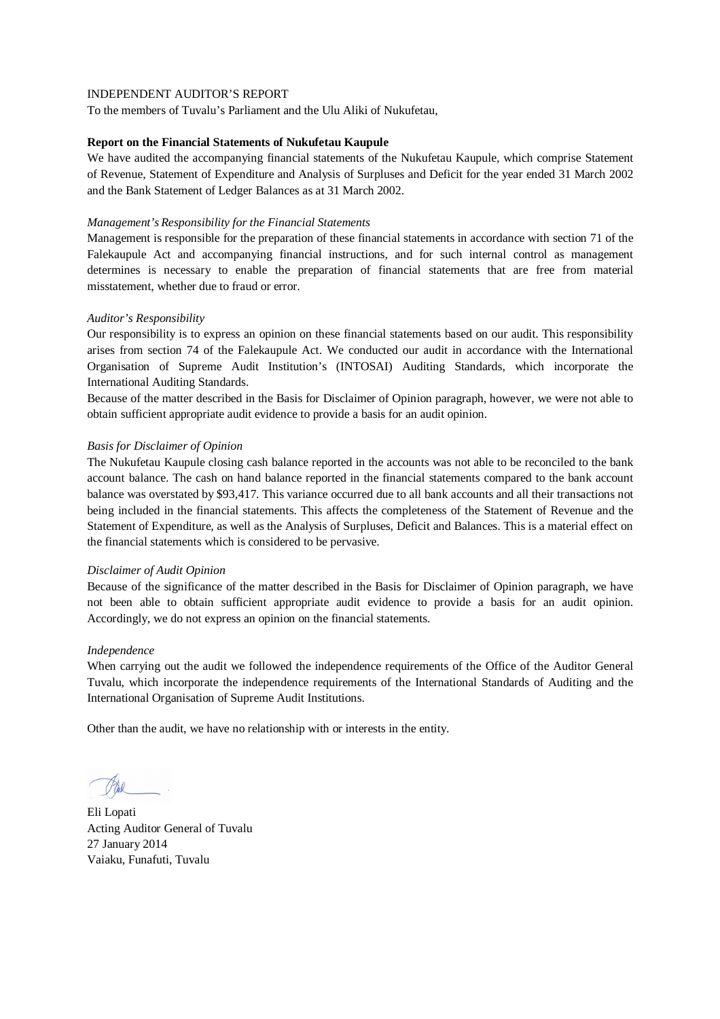To the members of Tuvalu's Parliament and the Ulu Aliki of Nukufetau,

#### **Report on the Financial Statements of Nukufetau Kaupule**

We have audited the accompanying financial statements of the Nukufetau Kaupule, which comprise Statement of Revenue, Statement of Expenditure and Analysis of Surpluses and Deficit for the year ended 31 March 2002 and the Bank Statement of Ledger Balances as at 31 March 2002.

#### *Management's Responsibility for the Financial Statements*

Management is responsible for the preparation of these financial statements in accordance with section 71 of the Falekaupule Act and accompanying financial instructions, and for such internal control as management determines is necessary to enable the preparation of financial statements that are free from material misstatement, whether due to fraud or error.

## *Auditor's Responsibility*

Our responsibility is to express an opinion on these financial statements based on our audit. This responsibility arises from section 74 of the Falekaupule Act. We conducted our audit in accordance with the International Organisation of Supreme Audit Institution's (INTOSAI) Auditing Standards, which incorporate the International Auditing Standards.

Because of the matter described in the Basis for Disclaimer of Opinion paragraph, however, we were not able to obtain sufficient appropriate audit evidence to provide a basis for an audit opinion.

## *Basis for Disclaimer of Opinion*

The Nukufetau Kaupule closing cash balance reported in the accounts was not able to be reconciled to the bank account balance. The cash on hand balance reported in the financial statements compared to the bank account balance was overstated by \$93,417. This variance occurred due to all bank accounts and all their transactions not being included in the financial statements. This affects the completeness of the Statement of Revenue and the Statement of Expenditure, as well as the Analysis of Surpluses, Deficit and Balances. This is a material effect on the financial statements which is considered to be pervasive.

#### *Disclaimer of Audit Opinion*

Because of the significance of the matter described in the Basis for Disclaimer of Opinion paragraph, we have not been able to obtain sufficient appropriate audit evidence to provide a basis for an audit opinion. Accordingly, we do not express an opinion on the financial statements.

#### *Independence*

When carrying out the audit we followed the independence requirements of the Office of the Auditor General Tuvalu, which incorporate the independence requirements of the International Standards of Auditing and the International Organisation of Supreme Audit Institutions.

Eli Lopati Acting Auditor General of Tuvalu 27 January 2014 Vaiaku, Funafuti, Tuvalu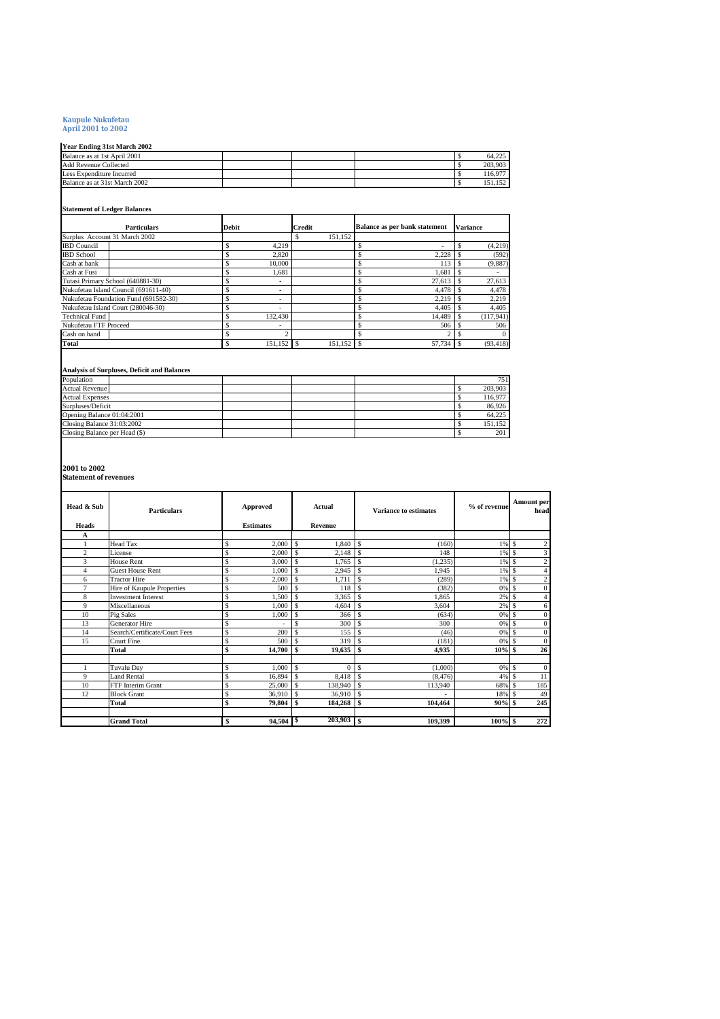# **Kaupule Nukufetau April 2001 to 2002**

**Year Ending 31st March 2002**

| Year Ending 31st March 2002   |  |  |         |
|-------------------------------|--|--|---------|
| Balance as at 1st April 2001  |  |  | 64.225  |
| Add Revenue Collected         |  |  | 203.903 |
| Less Expenditure Incurred     |  |  | 116.977 |
| Balance as at 31st March 2002 |  |  | 152     |
|                               |  |  |         |

#### **Statement of Ledger Balances**

| <b>Particulars</b>                    | <b>Debit</b>             | <b>Credit</b> | Balance as per bank statement | <b>Variance</b>  |
|---------------------------------------|--------------------------|---------------|-------------------------------|------------------|
| Surplus Account 31 March 2002         |                          | 151.152       |                               |                  |
| <b>IBD</b> Council                    | 4.219                    |               |                               | (4,219)          |
| <b>IBD</b> School                     | 2.820                    |               | 2.228                         | (592)            |
| Cash at bank                          | 10.000                   |               | 113                           | (9,887)          |
| Cash at Fusi                          | 1,681                    |               | 1.681                         |                  |
| Tutasi Primary School (640881-30)     | ۰.                       |               | 27.613                        | 27,613           |
| Nukufetau Island Council (691611-40)  | ۰                        |               | 4.478                         | 4.478            |
| Nukufetau Foundation Fund (691582-30) | $\sim$                   |               | 2.219<br>Ś                    | 2,219            |
| Nukufetau Island Court (280046-30)    | ۰                        |               | 4.405                         | 4,405            |
| <b>Technical Fund</b>                 | 132.430                  |               | 14.489                        | (117, 941)       |
| Nukufetau FTF Proceed                 | $\overline{\phantom{a}}$ |               | 506                           | 506              |
| Cash on hand                          |                          | o             |                               | $\Omega$         |
| Total                                 | 151.152 \$               | 151,152 \$    | 57,734                        | (93, 418)<br>- S |

#### **Analysis of Surpluses, Deficit and Balances**

| Population                    | 751     |
|-------------------------------|---------|
| <b>Actual Revenue</b>         | 203,903 |
| <b>Actual Expenses</b>        | 116,977 |
| Surpluses/Deficit             | 86,926  |
| Opening Balance 01:04:2001    | 64.225  |
| Closing Balance 31:03:2002    | 151.152 |
| Closing Balance per Head (\$) | 201     |

**2001 to 2002 Statement of revenues**

| Head & Sub<br><b>Heads</b> | <b>Particulars</b>            | Approved<br><b>Estimates</b> |             | Actual<br>Revenue |          | <b>Variance to estimates</b> |          | % of revenue |               | <b>Amount per</b><br>head |
|----------------------------|-------------------------------|------------------------------|-------------|-------------------|----------|------------------------------|----------|--------------|---------------|---------------------------|
| А                          |                               |                              |             |                   |          |                              |          |              |               |                           |
|                            | Head Tax                      | Ś                            | 2,000       | \$                | 1,840    | l s                          | (160)    | $1\%$ \$     |               | $\overline{\mathbf{c}}$   |
| $\overline{c}$             | License                       | \$                           | 2,000       | \$                | 2,148    | $\overline{\mathbf{s}}$      | 148      | 1%           | $\mathcal{S}$ | 3                         |
| 3                          | <b>House Rent</b>             | Ś                            | 3,000       | \$                | 1.765    | <sup>\$</sup>                | (1, 235) | 1%           | s             | $\overline{c}$            |
| $\overline{4}$             | <b>Guest House Rent</b>       | s                            | 1,000       | $\mathbf{s}$      | 2,945    | $\mathbf{s}$                 | 1,945    | 1%           | <sup>\$</sup> | $\overline{4}$            |
| 6                          | <b>Tractor Hire</b>           | \$                           | 2,000       | \$                | 1,711    | <sup>\$</sup>                | (289)    | 1%           | <sup>\$</sup> | $\overline{c}$            |
| 7                          | Hire of Kaupule Properties    | \$                           | 500         | \$                | 118      | $\mathbf{s}$                 | (382)    | 0% \$        |               | $\mathbf{0}$              |
| 8                          | <b>Investment Interest</b>    | s                            | 1,500       | $\mathbf{s}$      | 3,365    | $\overline{\mathbf{s}}$      | 1,865    | 2%           | s             | $\overline{4}$            |
| 9                          | Miscellaneous                 | \$                           | 1,000       |                   | 4,604    | <sup>\$</sup>                | 3.604    | 2%           | s             | 6                         |
| 10                         | Pig Sales                     | Ś                            | 1,000       | $\mathbf{s}$      | 366      | $\mathcal{S}$                | (634)    | 0%           | $\mathcal{S}$ | $\mathbf{0}$              |
| 13                         | <b>Generator Hire</b>         | \$                           |             | $\mathbf{s}$      | 300      | \$                           | 300      | 0%           | <sup>\$</sup> | $\overline{0}$            |
| 14                         | Search/Certificate/Court Fees | \$.                          | 200         | $\mathbf{s}$      | 155      | $\mathbf{s}$                 | (46)     | 0%           | <sup>\$</sup> | $\mathbf{0}$              |
| 15                         | <b>Court Fine</b>             | \$                           | 500         |                   | 319      | $\mathbf{s}$                 | (181)    | 0%           | $\mathcal{S}$ | $\overline{0}$            |
|                            | Total                         | \$                           | 14,700      |                   | 19,635   | $\mathbf{s}$                 | 4,935    | 10%          |               | 26                        |
|                            |                               |                              |             |                   |          |                              |          |              |               |                           |
|                            | Tuvalu Day                    | s                            | 1,000       | \$                | $\theta$ | \$                           | (1,000)  | 0%           | <sup>\$</sup> | $\mathbf{0}$              |
| 9                          | Land Rental                   | $\mathbb S$                  | 16,894      | \$                | 8,418    | l s                          | (8, 476) | 4%           | $\mathcal{S}$ | 11                        |
| 10                         | FTF Interim Grant             | s                            | 25,000      | \$                | 138,940  | $\mathbf{s}$                 | 113,940  | 68%          | -S            | 185                       |
| 12                         | <b>Block Grant</b>            | \$                           | 36,910      | \$                | 36,910   | $\overline{\mathbf{s}}$      |          | 18%          | $\mathcal{S}$ | 49                        |
|                            | Total                         | \$                           | 79,804      | \$                | 184,268  | l \$                         | 104,464  | $90\%$ \$    |               | 245                       |
|                            |                               |                              |             |                   |          |                              |          |              |               |                           |
|                            | <b>Grand Total</b>            | \$                           | $94,504$ \$ |                   | 203,903  | <b>S</b>                     | 109,399  | $100\%$ \$   |               | 272                       |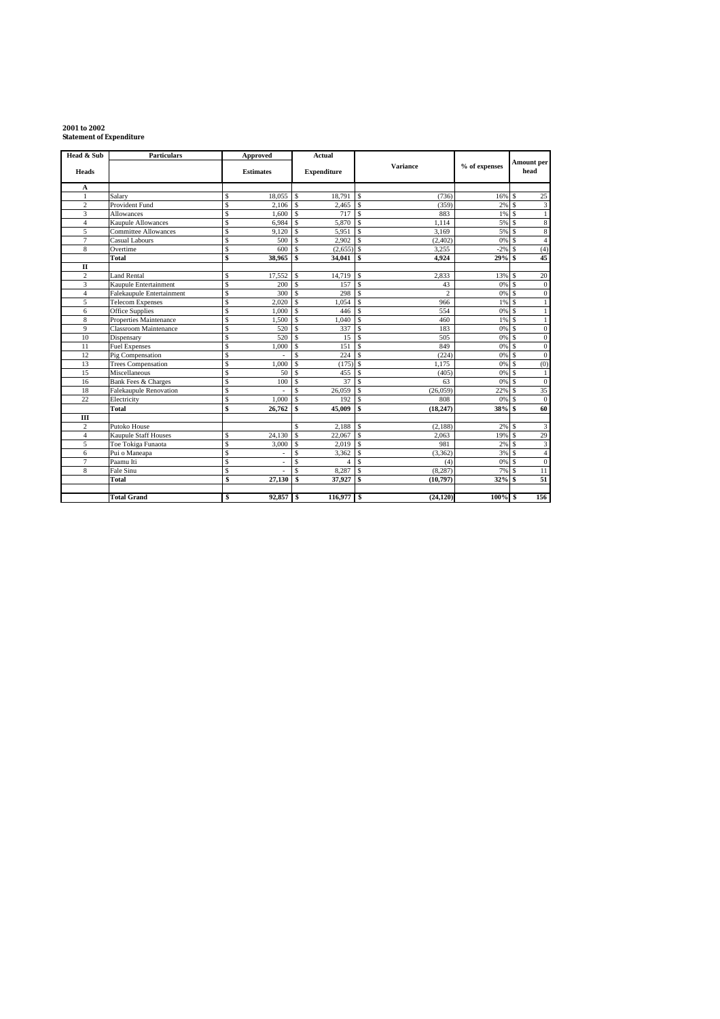# **2001 to 2002 Statement of Expenditure**

| Head & Sub     | <b>Particulars</b>            | Approved                        | Actual                       |                                 |               |                                   |
|----------------|-------------------------------|---------------------------------|------------------------------|---------------------------------|---------------|-----------------------------------|
| <b>Heads</b>   |                               | <b>Estimates</b>                | <b>Expenditure</b>           | <b>Variance</b>                 | % of expenses | Amount per<br>head                |
| A              |                               |                                 |                              |                                 |               |                                   |
| $\mathbf{1}$   | Salary                        | \$<br>18,055                    | \$<br>18,791                 | <sup>\$</sup><br>(736)          | 16%           | 25<br>$\mathcal{S}$               |
| $\overline{c}$ | Provident Fund                | \$<br>2,106                     | $\mathbf{\hat{S}}$<br>2,465  | $\mathbf{\hat{s}}$<br>(359)     | 2%            | $\overline{\mathbf{3}}$           |
| 3              | Allowances                    | Ŝ<br>1.600                      | $\mathbf{s}$<br>717          | $\mathcal{S}$<br>883            | 1%            | $\mathcal{S}$                     |
| $\overline{4}$ | <b>Kaupule Allowances</b>     | \$<br>6,984                     | \$<br>5,870                  | <sup>\$</sup><br>1.114          | 5%            | 8<br><b>S</b>                     |
| 5              | <b>Committee Allowances</b>   | Ŝ<br>9,120                      | \$<br>5,951                  | 3.169<br><sup>\$</sup>          | 5%            | $\bf 8$<br>-S                     |
| $\overline{7}$ | Casual Labours                | $\overline{\mathcal{S}}$<br>500 | \$<br>2,902                  | $\mathbf{\hat{S}}$<br>(2, 402)  | 0%            | $\overline{4}$<br>$\mathcal{S}$   |
| 8              | Overtime                      | Ŝ<br>600                        | $(2,655)$ \$<br>\$           | 3.255                           | $-2%$         | (4)<br>$\mathcal{S}$              |
|                | <b>Total</b>                  | \$<br>38.965                    | \$<br>34,041                 | $\mathbf{s}$<br>4.924           | 29%           | 45                                |
| $\mathbf{I}$   |                               |                                 |                              |                                 |               |                                   |
| $\overline{c}$ | <b>Land Rental</b>            | \$<br>17,552                    | 14,719<br>\$                 | <sup>\$</sup><br>2.833          | 13%           | 20<br>\$.                         |
| 3              | Kaupule Entertainment         | \$<br>200                       | $\mathbf{\hat{S}}$<br>157    | $\mathbf{\hat{s}}$<br>43        | 0%            | $\mathbf{0}$<br><b>S</b>          |
| $\overline{4}$ | Falekaupule Entertainment     | \$<br>300                       | \$<br>298                    | <sup>\$</sup><br>$\overline{c}$ | 0%            | <b>S</b><br>$\mathbf{0}$          |
| 5              | <b>Telecom Expenses</b>       | Ŝ<br>2.020                      | \$<br>1.054                  | - \$<br>966                     | 1%            | s                                 |
| 6              | Office Supplies               | \$<br>1.000                     | $\mathbf S$<br>446           | $\mathbf{\hat{S}}$<br>554       | 0%            | $\mathcal{S}$                     |
| 8              | Properties Maintenance        | \$<br>1,500                     | $\mathbf S$<br>1,040         | $\mathbf{\hat{S}}$<br>460       | 1%            | $\mathcal{S}$                     |
| 9              | Classroom Maintenance         | \$<br>520                       | <sup>\$</sup><br>337         | $\mathbf{\hat{S}}$<br>183       | 0%            | S<br>$\mathbf{0}$                 |
| 10             | Dispensary                    | s<br>520                        | 15<br>$\mathbf{s}$           | $\mathbf{\hat{s}}$<br>505       | 0%            | $\boldsymbol{0}$<br><b>S</b>      |
| 11             | <b>Fuel Expenses</b>          | \$<br>1.000                     | <sup>\$</sup><br>151         | $\mathbf{s}$<br>849             | 0%            | $\mathbf{0}$<br>$\mathcal{S}$     |
| 12             | Pig Compensation              | \$                              | $\mathbf{\hat{S}}$<br>224    | - \$<br>(224)                   | 0%            | $\mathcal{S}$<br>$\mathbf{0}$     |
| 13             | <b>Trees Compensation</b>     | \$<br>1,000                     | <sup>\$</sup><br>(175)       | $\mathbf{s}$<br>1.175           | 0%            | (0)<br><sup>\$</sup>              |
| 15             | Miscellaneous                 | Ŝ<br>50                         | 455<br>\$                    | <sup>\$</sup><br>(405)          | 0%            | $\mathbf{s}$<br>$\mathbf{1}$      |
| 16             | Bank Fees & Charges           | \$<br>100                       | \$<br>37                     | - \$<br>63                      | 0%            | $\boldsymbol{0}$<br>$\mathcal{S}$ |
| 18             | <b>Falekaupule Renovation</b> | \$                              | $\mathbf{\hat{S}}$<br>26.059 | $\mathbf{\hat{s}}$<br>(26.059)  | 22%           | 35<br><b>S</b>                    |
| 22             | Electricity                   | \$<br>1,000                     | <sup>\$</sup><br>192         | $\mathbf{\hat{s}}$<br>808       | 0%            | $\Omega$<br><sup>\$</sup>         |
|                | <b>Total</b>                  | \$<br>26,762                    | \$<br>45,009                 | $\mathbf{\hat{s}}$<br>(18, 247) | 38%           | 60<br>-\$                         |
| Ш              |                               |                                 |                              |                                 |               |                                   |
| $\overline{c}$ | Putoko House                  |                                 | \$<br>2,188                  | <sup>\$</sup><br>(2.188)        | 2%            | 3<br>\$.                          |
| $\overline{4}$ | Kaupule Staff Houses          | \$<br>24,130                    | \$<br>22,067                 | $\mathbf{s}$<br>2,063           | 19%           | 29<br><b>S</b>                    |
| 5              | Toe Tokiga Funaota            | $\mathsf{s}$<br>3,000           | \$<br>2,019                  | 981<br>-S                       | 2%            | $\overline{\mathbf{3}}$<br>-S     |
| 6              | Pui o Maneapa                 | \$                              | <sup>\$</sup><br>3,362       | $\mathbf{s}$<br>(3,362)         | 3%            | $\overline{4}$<br>$\mathcal{S}$   |
| $\overline{7}$ | Paamu Iti                     | \$                              | <sup>\$</sup><br>$\Delta$    | $\mathbf{\hat{s}}$<br>(4)       | 0%            | $\mathbf{0}$<br><b>S</b>          |
| 8              | Fale Sinu                     | \$                              | <sup>\$</sup><br>8,287       | $\mathbf{s}$<br>(8, 287)        | 7%            | $\overline{11}$<br>S              |
|                | <b>Total</b>                  | \$<br>27,130                    | $\mathbf{s}$<br>37,927       | $\mathbf{s}$<br>(10,797)        | 32%           | $\overline{51}$<br>- \$           |
|                |                               |                                 |                              |                                 |               |                                   |
|                | <b>Total Grand</b>            | 92,857<br>\$                    | $116,977$ \$<br><b>S</b>     | (24, 120)                       | 100%          | 156<br>l \$                       |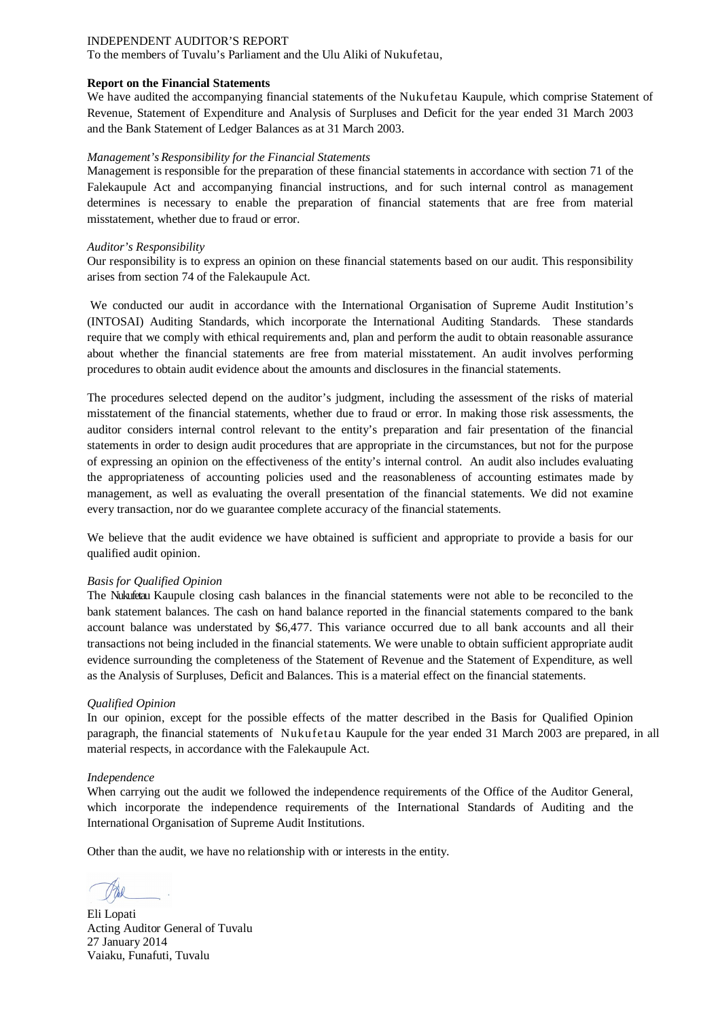To the members of Tuvalu's Parliament and the Ulu Aliki of Nukufetau,

#### **Report on the Financial Statements**

We have audited the accompanying financial statements of the Nukufetau Kaupule, which comprise Statement of Revenue, Statement of Expenditure and Analysis of Surpluses and Deficit for the year ended 31 March 2003 and the Bank Statement of Ledger Balances as at 31 March 2003.

#### *Management's Responsibility for the Financial Statements*

Management is responsible for the preparation of these financial statements in accordance with section 71 of the Falekaupule Act and accompanying financial instructions, and for such internal control as management determines is necessary to enable the preparation of financial statements that are free from material misstatement, whether due to fraud or error.

#### *Auditor's Responsibility*

Our responsibility is to express an opinion on these financial statements based on our audit. This responsibility arises from section 74 of the Falekaupule Act.

We conducted our audit in accordance with the International Organisation of Supreme Audit Institution's (INTOSAI) Auditing Standards, which incorporate the International Auditing Standards. These standards require that we comply with ethical requirements and, plan and perform the audit to obtain reasonable assurance about whether the financial statements are free from material misstatement. An audit involves performing procedures to obtain audit evidence about the amounts and disclosures in the financial statements.

The procedures selected depend on the auditor's judgment, including the assessment of the risks of material misstatement of the financial statements, whether due to fraud or error. In making those risk assessments, the auditor considers internal control relevant to the entity's preparation and fair presentation of the financial statements in order to design audit procedures that are appropriate in the circumstances, but not for the purpose of expressing an opinion on the effectiveness of the entity's internal control. An audit also includes evaluating the appropriateness of accounting policies used and the reasonableness of accounting estimates made by management, as well as evaluating the overall presentation of the financial statements. We did not examine every transaction, nor do we guarantee complete accuracy of the financial statements.

We believe that the audit evidence we have obtained is sufficient and appropriate to provide a basis for our qualified audit opinion.

#### *Basis for Qualified Opinion*

The Nukufetau Kaupule closing cash balances in the financial statements were not able to be reconciled to the bank statement balances. The cash on hand balance reported in the financial statements compared to the bank account balance was understated by \$6,477. This variance occurred due to all bank accounts and all their transactions not being included in the financial statements. We were unable to obtain sufficient appropriate audit evidence surrounding the completeness of the Statement of Revenue and the Statement of Expenditure, as well as the Analysis of Surpluses, Deficit and Balances. This is a material effect on the financial statements.

#### *Qualified Opinion*

In our opinion, except for the possible effects of the matter described in the Basis for Qualified Opinion paragraph, the financial statements of Nukufetau Kaupule for the year ended 31 March 2003 are prepared, in all material respects, in accordance with the Falekaupule Act.

#### *Independence*

When carrying out the audit we followed the independence requirements of the Office of the Auditor General, which incorporate the independence requirements of the International Standards of Auditing and the International Organisation of Supreme Audit Institutions.

Eli Lopati Acting Auditor General of Tuvalu 27 January 2014 Vaiaku, Funafuti, Tuvalu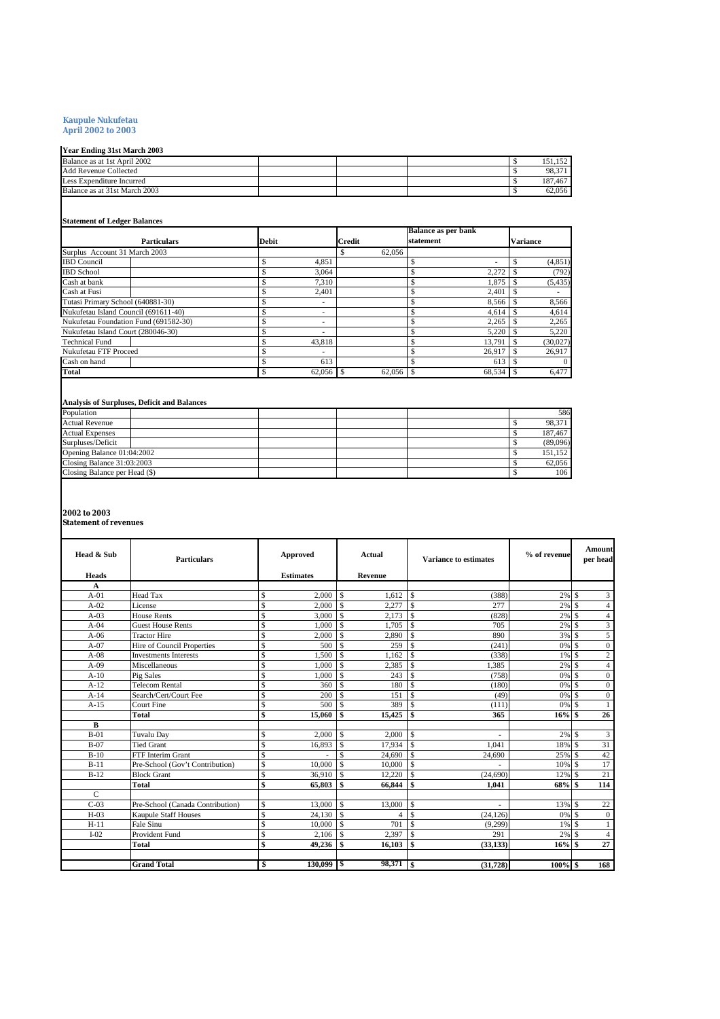#### **Kaupule Nukufetau April 2002 to 2003**

| <b>Year Ending 31st March 2003</b> |  |  |         |
|------------------------------------|--|--|---------|
| Balance as at 1st April 2002       |  |  |         |
| Add Revenue Collected              |  |  | 98.371  |
| Less Expenditure Incurred          |  |  | 187.467 |
| Balance as at 31st March 2003      |  |  | 62.056  |
|                                    |  |  |         |

#### **Statement of Ledger Balances**

|                                       |                    |              |        | <b>Balance as per bank</b> |          |
|---------------------------------------|--------------------|--------------|--------|----------------------------|----------|
|                                       | <b>Particulars</b> | <b>Debit</b> | Credit | statement                  | Variance |
| Surplus Account 31 March 2003         |                    |              | 62,056 |                            |          |
| <b>IBD</b> Council                    |                    | 4.851        |        | ٠                          | (4, 851) |
| <b>IBD</b> School                     |                    | 3.064        |        | 2.272                      | (792)    |
| Cash at bank                          |                    | 7.310        |        | 1.875                      | (5, 435) |
| Cash at Fusi                          |                    | 2.401        |        | 2.401                      |          |
| Tutasi Primary School (640881-30)     |                    | ۰.           |        | 8,566                      | 8,566    |
| Nukufetau Island Council (691611-40)  |                    |              |        | 4,614                      | 4,614    |
| Nukufetau Foundation Fund (691582-30) |                    |              |        | 2.265                      | 2,265    |
| Nukufetau Island Court (280046-30)    |                    | ٠            |        | 5.220                      | 5,220    |
| <b>Technical Fund</b>                 |                    | 43.818       |        | 13.791                     | (30,027) |
| Nukufetau FTF Proceed                 |                    |              |        | 26,917                     | 26,917   |
| Cash on hand                          |                    | 613          |        | 613                        |          |
| Total                                 |                    | 62.056       | 62,056 | $\mathbf{s}$<br>68,534     | 6,477    |

# **Analysis of Surpluses, Deficit and Balances**

| Population                    |  |  | 586      |
|-------------------------------|--|--|----------|
| <b>Actual Revenue</b>         |  |  | 98,371   |
| <b>Actual Expenses</b>        |  |  | 187,467  |
| Surpluses/Deficit             |  |  | (89,096) |
| Opening Balance 01:04:2002    |  |  | 151.152  |
| Closing Balance 31:03:2003    |  |  | 62,056   |
| Closing Balance per Head (\$) |  |  | 106      |

#### **2002 to 2003**

**Statement of revenues**

| Head & Sub    | <b>Particulars</b>               |                         | Approved         | <b>Actual</b><br>Variance to estimates |         | % of revenue             |           | Amount<br>per head |      |                  |
|---------------|----------------------------------|-------------------------|------------------|----------------------------------------|---------|--------------------------|-----------|--------------------|------|------------------|
| <b>Heads</b>  |                                  |                         | <b>Estimates</b> |                                        | Revenue |                          |           |                    |      |                  |
| A             |                                  |                         |                  |                                        |         |                          |           |                    |      |                  |
| $A-01$        | <b>Head Tax</b>                  | \$                      | 2.000            | $\mathcal{S}$                          | 1.612   | $\overline{1}$ s         | (388)     | $2\%$ \$           |      | 3                |
| $A-02$        | License                          | \$                      | 2.000            | $\mathcal{S}$                          | 2.277   | $\mathcal{S}$            | 277       | $2\%$ \$           |      | $\overline{4}$   |
| $A-03$        | <b>House Rents</b>               | $\overline{\mathbf{s}}$ | 3.000            | $\mathbb{S}$                           | 2,173   | $\overline{\phantom{a}}$ | (828)     | $2\%$ \$           |      | $\overline{4}$   |
| $A-04$        | <b>Guest House Rents</b>         | \$                      | 1.000            | $\mathbb{S}$                           | 1.705   | S                        | 705       | $2\%$ \$           |      | $\overline{3}$   |
| $A-06$        | <b>Tractor Hire</b>              | $\mathbf{\hat{S}}$      | 2,000            | $\mathcal{S}$                          | 2,890   | <b>S</b>                 | 890       | 3%                 | -S   | 5                |
| $A-07$        | Hire of Council Properties       | \$                      | 500              | $\mathcal{S}$                          | 259     | $\mathcal{S}$            | (241)     | 0% \$              |      | $\boldsymbol{0}$ |
| $A-08$        | <b>Investments Interests</b>     | $\mathbf{\hat{S}}$      | 1.500            | $\mathbb{S}$                           | 1.162   | l s                      | (338)     | $1\%$ \$           |      | $\overline{c}$   |
| $A-09$        | Miscellaneous                    | <sup>\$</sup>           | 1.000            | $\mathbb{S}$                           | 2,385   | \$                       | 1,385     | 2%                 | l \$ | $\overline{4}$   |
| $A-10$        | Pig Sales                        | \$                      | 1.000            | $\mathcal{S}$                          | 243     | £.                       | (758)     | 0%                 | -S   | $\boldsymbol{0}$ |
| $A-12$        | <b>Telecom Rental</b>            | \$                      | 360              | $\mathcal{S}$                          | 180     | <b>S</b>                 | (180)     | $0%$ \$            |      | $\mathbf{0}$     |
| $A-14$        | Search/Cert/Court Fee            | $\mathbf{\hat{S}}$      | 200              | $\mathcal{S}$                          | 151     | $\mathcal{S}$            | (49)      | $0%$ \$            |      | $\mathbf{0}$     |
| $A-15$        | Court Fine                       | <sup>\$</sup>           | 500              | \$.                                    | 389     | <b>S</b>                 | (111)     | $0%$ \$            |      | $\mathbf{1}$     |
|               | <b>Total</b>                     | $\mathbf{s}$            | 15,060           | \$                                     | 15,425  | $\overline{\phantom{a}}$ | 365       | $16%$ \$           |      | 26               |
| B             |                                  |                         |                  |                                        |         |                          |           |                    |      |                  |
| $B-01$        | Tuvalu Day                       | $\mathbf{\hat{S}}$      | 2,000            | $\mathcal{S}$                          | 2,000   | l s                      |           | $2\%$ \$           |      | 3                |
| $B-07$        | <b>Tied Grant</b>                | $\mathbf{\hat{S}}$      | 16,893           | \$                                     | 17,934  | S                        | 1.041     | 18%                | -S   | 31               |
| $B-10$        | <b>FTF</b> Interim Grant         | $\mathbf{\hat{S}}$      |                  | $\mathbf{\hat{S}}$                     | 24.690  | S                        | 24.690    | 25%                | -S   | 42               |
| $B-11$        | Pre-School (Gov't Contribution)  | $\mathbf{\hat{S}}$      | 10,000           | $\mathbb{S}$                           | 10.000  | \$                       |           | $10\%$ \$          |      | 17               |
| $B-12$        | <b>Block Grant</b>               | $\overline{\mathbf{s}}$ | 36,910           | $\mathsf{\$}$                          | 12,220  | \$                       | (24,690)  | 12%                | -S   | 21               |
|               | <b>Total</b>                     | \$                      | 65,803           | \$                                     | 66.844  | S                        | 1,041     | 68% \$             |      | 114              |
| $\mathcal{C}$ |                                  |                         |                  |                                        |         |                          |           |                    |      |                  |
| $C-03$        | Pre-School (Canada Contribution) | <sup>\$</sup>           | 13,000           | $\mathbb{S}$                           | 13,000  | -S                       |           | 13% \$             |      | 22               |
| $H-03$        | <b>Kaupule Staff Houses</b>      | $\mathbf{\hat{S}}$      | 24.130           | $\mathbb{S}$                           | 4       | Ŝ                        | (24.126)  | 0%                 | -S   | $\mathbf{0}$     |
| $H-11$        | Fale Sinu                        | $\mathbf{\hat{S}}$      | 10,000           | \$.                                    | 701     | £.                       | (9,299)   | $1\%$ \$           |      | $\mathbf{1}$     |
| $I-02$        | <b>Provident Fund</b>            | \$                      | 2,106            | $\mathbb{S}$                           | 2,397   | \$.                      | 291       | 2%                 | -S   | $\overline{4}$   |
|               | <b>Total</b>                     | \$                      | 49,236           | \$                                     | 16,103  | \$.                      | (33, 133) | 16%S               |      | 27               |
|               |                                  |                         |                  |                                        |         |                          |           |                    |      |                  |
|               | <b>Grand Total</b>               | \$                      |                  |                                        |         |                          | (31.728)  | $100\%$ \$         |      | 168              |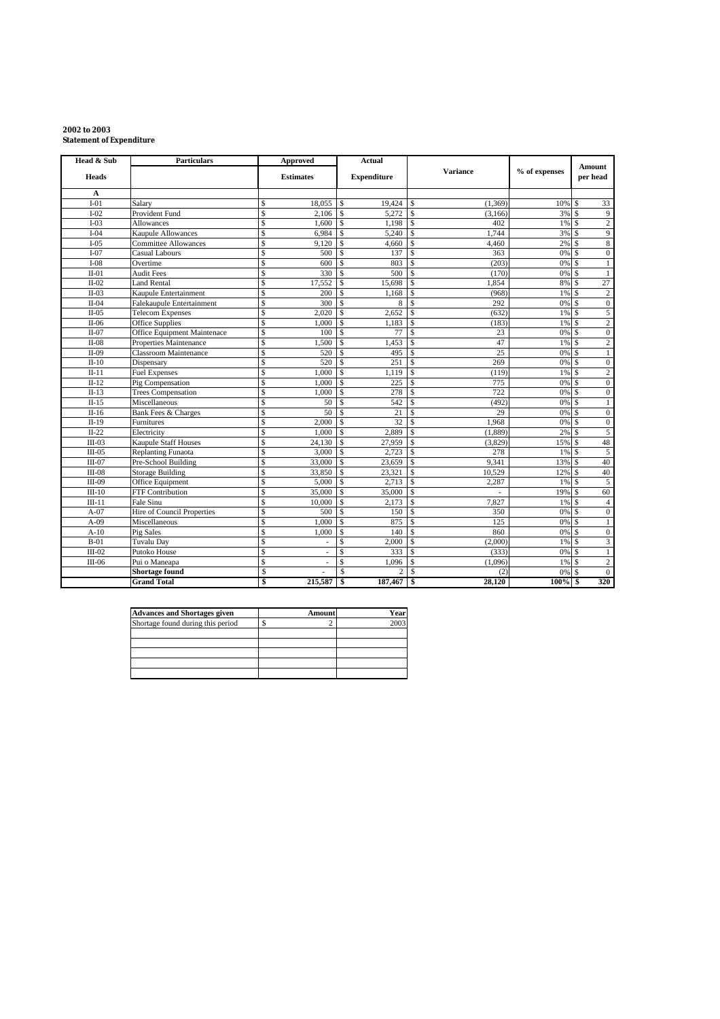#### **2002 to 2003 Statement of Expenditure**

| Head & Sub   | <b>Particulars</b>          | <b>Approved</b>                  | <b>Actual</b>           |                        |               | Amount                                 |  |
|--------------|-----------------------------|----------------------------------|-------------------------|------------------------|---------------|----------------------------------------|--|
| <b>Heads</b> |                             | <b>Estimates</b>                 | <b>Expenditure</b>      | Variance               | % of expenses | per head                               |  |
| A            |                             |                                  |                         |                        |               |                                        |  |
| $I-01$       | Salary                      | $\mathbf S$<br>18,055            | \$<br>19,424            | (1, 369)<br>S          | 10%           | 33<br>\$                               |  |
| $I-02$       | Provident Fund              | $\mathsf{\$}$<br>2,106           | $\mathcal{S}$<br>5,272  | <b>S</b><br>(3,166)    | 3%            | \$<br>9                                |  |
| $I-03$       | Allowances                  | \$<br>1,600                      | $\mathbf S$<br>1,198    | \$<br>402              | 1%            | $\overline{c}$<br>Ŝ                    |  |
| $I-04$       | Kaupule Allowances          | $\mathbf{\hat{S}}$<br>6,984      | $\mathcal{S}$<br>5,240  | $\mathcal{S}$<br>1,744 | 3%            | 9<br>\$                                |  |
| $I-05$       | <b>Committee Allowances</b> | $\mathbf{\hat{S}}$<br>9.120      | $\mathcal{S}$<br>4,660  | <b>S</b><br>4,460      | 2%            | 8<br>\$                                |  |
| $I-07$       | Casual Labours              | \$<br>500                        | $\mathcal{S}$<br>137    | \$.<br>363             | 0%            | \$.<br>$\boldsymbol{0}$                |  |
| $I-08$       | Overtime                    | \$<br>600                        | Ś<br>803                | (203)<br>\$.           | 0%            |                                        |  |
| $II-01$      | <b>Audit Fees</b>           | $\mathbf{\hat{S}}$<br>330        | 500                     | \$.<br>(170)           | 0%            | ¢<br>1                                 |  |
| $II-02$      | Land Rental                 | $\mathsf{\$}$<br>17,552          | \$<br>15,698            | <b>S</b><br>1,854      | 8%            | 27<br>\$                               |  |
| $II-03$      | Kaupule Entertainment       | $\overline{\mathbb{S}}$<br>200   | $\mathcal{S}$<br>1,168  | <b>S</b><br>(968)      | 1%            | $\overline{c}$<br><sup>\$</sup>        |  |
| $II-04$      | Falekaupule Entertainment   | $\mathbf{\hat{S}}$<br>300        | $\mathcal{S}$<br>8      | <b>S</b><br>292        | 0%            | $\boldsymbol{0}$<br>\$.                |  |
| $II-05$      | <b>Telecom Expenses</b>     | $\mathbf{\hat{S}}$<br>2.020      | \$<br>2,652             | \$<br>(632)            | 1%            | \$.<br>5                               |  |
| $II-06$      | Office Supplies             | $\mathbf S$<br>1,000             | \$<br>1,183             | \$<br>(183)            | 1%            | $\sqrt{2}$<br>\$                       |  |
| $II-07$      | Office Equipment Maintenace | $\mathbf{\hat{S}}$<br>100        | $\mathcal{S}$<br>77     | \$<br>23               | 0%            | $\mathbf{0}$                           |  |
| $II-08$      | Properties Maintenance      | $\mathbf{\hat{S}}$<br>1,500      | $\mathcal{S}$<br>1,453  | <sup>\$</sup><br>47    | 1%            | \$.<br>$\overline{c}$                  |  |
| $II-09$      | Classroom Maintenance       | $\mathbf{\hat{S}}$<br>520        | $\mathcal{S}$<br>495    | 25<br><b>S</b>         | 0%            | S<br>$\mathbf{1}$                      |  |
| $II-10$      | Dispensary                  | $\mathbf{\hat{S}}$<br>520        | 251<br>\$               | 269<br>S               | 0%            | $\mathbf{0}$<br><sup>\$</sup>          |  |
| $II-11$      | <b>Fuel Expenses</b>        | Ŝ<br>1,000                       | $\mathcal{S}$<br>1.119  | \$.<br>(119)           | 1%            | $\overline{2}$<br>\$                   |  |
| $II-12$      | Pig Compensation            | $\mathbf{\hat{S}}$<br>1.000      | $\mathbf S$<br>225      | \$<br>775              | 0%            | \$.<br>$\mathbf{0}$                    |  |
| $II-13$      | <b>Trees Compensation</b>   | $\mathbf S$<br>1,000             | $\mathcal{S}$<br>278    | 722<br>\$              | 0%            | \$.<br>$\boldsymbol{0}$                |  |
| $II-15$      | Miscellaneous               | $\mathbf{\hat{S}}$<br>50         | 542                     | \$<br>(492)            | 0%            | \$<br>$\mathbf{1}$                     |  |
| $II-16$      | Bank Fees & Charges         | 50<br>\$                         | \$<br>21                | \$.<br>29              | 0%            | $\hat{\mathbf{S}}$<br>$\boldsymbol{0}$ |  |
| $II-19$      | Furnitures                  | $\mathbf{\hat{S}}$<br>2.000      | $\mathcal{S}$<br>32     | \$<br>1,968            | 0%            | $\overline{0}$<br>S                    |  |
| $II-22$      | Electricity                 | \$<br>1,000                      | 2,889<br>\$             | \$<br>(1,889)          | 2%            | 5<br>\$                                |  |
| $III-03$     | <b>Kaupule Staff Houses</b> | \$<br>24,130                     | Ś<br>27,959             | \$.<br>(3,829)         | 15%           | 48<br>S                                |  |
| $III-05$     | <b>Replanting Funaota</b>   | $\overline{\mathbf{s}}$<br>3.000 | $\mathcal{S}$<br>2.723  | \$<br>278              | 1%            | 5<br>\$                                |  |
| $III-07$     | Pre-School Building         | $\mathsf{\$}$<br>33,000          | \$<br>23,659            | 9,341<br><b>S</b>      | 13%           | 40<br>\$                               |  |
| $III-08$     | <b>Storage Building</b>     | $\mathbf{\hat{S}}$<br>33,850     | \$<br>23,321            | \$.<br>10,529          | 12%           | 40<br>\$                               |  |
| $III-09$     | Office Equipment            | $\mathbf{\hat{S}}$<br>5,000      | \$<br>2,713             | $\mathbb{S}$<br>2,287  | 1%            | 5<br>Ŝ                                 |  |
| $III-10$     | FTF Contribution            | \$<br>35,000                     | $\mathcal{S}$<br>35,000 | $\mathcal{S}$<br>ä,    | 19%           | 60<br>\$                               |  |
| $III-11$     | Fale Sinu                   | $\mathbf{\hat{S}}$<br>10,000     | $\mathbb{S}$<br>2,173   | Ŝ<br>7,827             | 1%            | <b>S</b><br>$\overline{4}$             |  |
| $A-07$       | Hire of Council Properties  | \$<br>500                        | $\mathcal{S}$<br>150    | \$.<br>350             | 0%            | $\overline{0}$<br>\$                   |  |
| $A-09$       | Miscellaneous               | $\mathbf{\hat{S}}$<br>1,000      | $\mathcal{S}$<br>875    | \$<br>125              | 0%            | \$<br>1                                |  |
| $A-10$       | Pig Sales                   | \$<br>1,000                      | \$<br>140               | 860<br>\$.             | 0%            | \$<br>$\mathbf{0}$                     |  |
| $B-01$       | Tuvalu Day                  | $\mathbf{\hat{S}}$               | $\mathcal{S}$<br>2,000  | <b>S</b><br>(2,000)    | 1%            | 3<br>\$                                |  |
| $III-02$     | Putoko House                | $\mathbf{\hat{S}}$               | Ś<br>333                | \$.<br>(333)           | 0%            | 1                                      |  |
| $III-06$     | Pui o Maneapa               | \$<br>٠                          | \$<br>1.096             | <b>S</b><br>(1,096)    | 1%            | $\hat{\mathbf{S}}$<br>$\overline{c}$   |  |
|              | <b>Shortage found</b>       | Ŝ                                | \$<br>$\overline{c}$    | \$<br>(2)              | 0%            | $\overline{0}$<br>S                    |  |
|              | <b>Grand Total</b>          | 215,587<br>\$                    | \$<br>187,467           | \$<br>28.120           | 100%          | 320<br>\$                              |  |

| <b>Advances and Shortages given</b> | <b>Amount</b> | Year |
|-------------------------------------|---------------|------|
| Shortage found during this period   |               |      |
|                                     |               |      |
|                                     |               |      |
|                                     |               |      |
|                                     |               |      |
|                                     |               |      |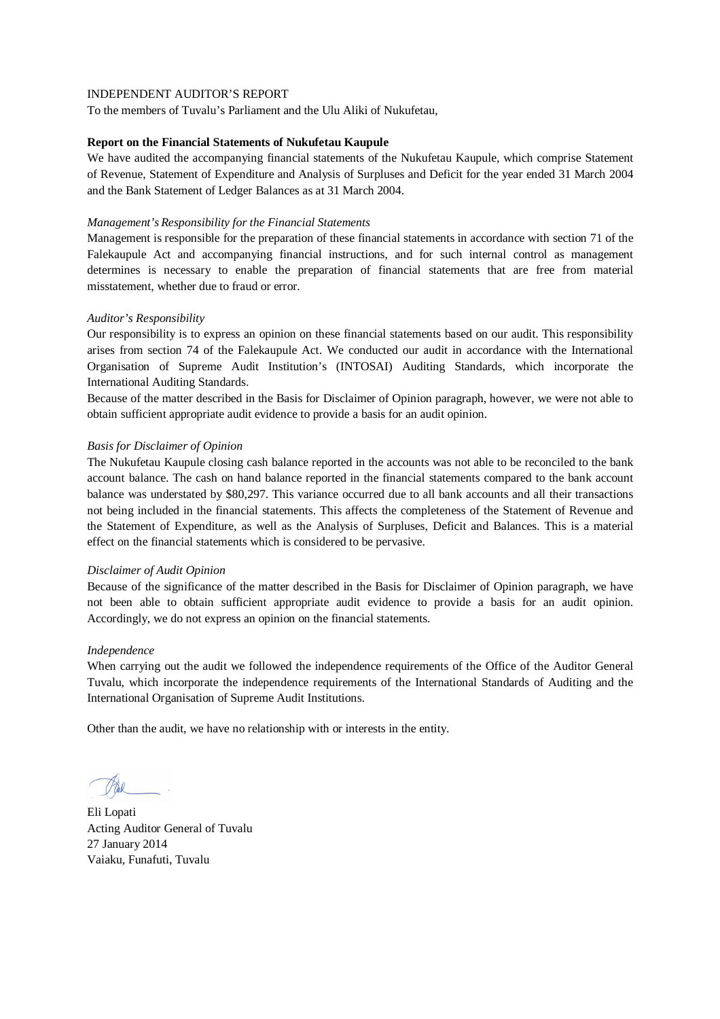To the members of Tuvalu's Parliament and the Ulu Aliki of Nukufetau,

#### **Report on the Financial Statements of Nukufetau Kaupule**

We have audited the accompanying financial statements of the Nukufetau Kaupule, which comprise Statement of Revenue, Statement of Expenditure and Analysis of Surpluses and Deficit for the year ended 31 March 2004 and the Bank Statement of Ledger Balances as at 31 March 2004.

#### *Management's Responsibility for the Financial Statements*

Management is responsible for the preparation of these financial statements in accordance with section 71 of the Falekaupule Act and accompanying financial instructions, and for such internal control as management determines is necessary to enable the preparation of financial statements that are free from material misstatement, whether due to fraud or error.

## *Auditor's Responsibility*

Our responsibility is to express an opinion on these financial statements based on our audit. This responsibility arises from section 74 of the Falekaupule Act. We conducted our audit in accordance with the International Organisation of Supreme Audit Institution's (INTOSAI) Auditing Standards, which incorporate the International Auditing Standards.

Because of the matter described in the Basis for Disclaimer of Opinion paragraph, however, we were not able to obtain sufficient appropriate audit evidence to provide a basis for an audit opinion.

## *Basis for Disclaimer of Opinion*

The Nukufetau Kaupule closing cash balance reported in the accounts was not able to be reconciled to the bank account balance. The cash on hand balance reported in the financial statements compared to the bank account balance was understated by \$80,297. This variance occurred due to all bank accounts and all their transactions not being included in the financial statements. This affects the completeness of the Statement of Revenue and the Statement of Expenditure, as well as the Analysis of Surpluses, Deficit and Balances. This is a material effect on the financial statements which is considered to be pervasive.

#### *Disclaimer of Audit Opinion*

Because of the significance of the matter described in the Basis for Disclaimer of Opinion paragraph, we have not been able to obtain sufficient appropriate audit evidence to provide a basis for an audit opinion. Accordingly, we do not express an opinion on the financial statements.

#### *Independence*

When carrying out the audit we followed the independence requirements of the Office of the Auditor General Tuvalu, which incorporate the independence requirements of the International Standards of Auditing and the International Organisation of Supreme Audit Institutions.

Eli Lopati Acting Auditor General of Tuvalu 27 January 2014 Vaiaku, Funafuti, Tuvalu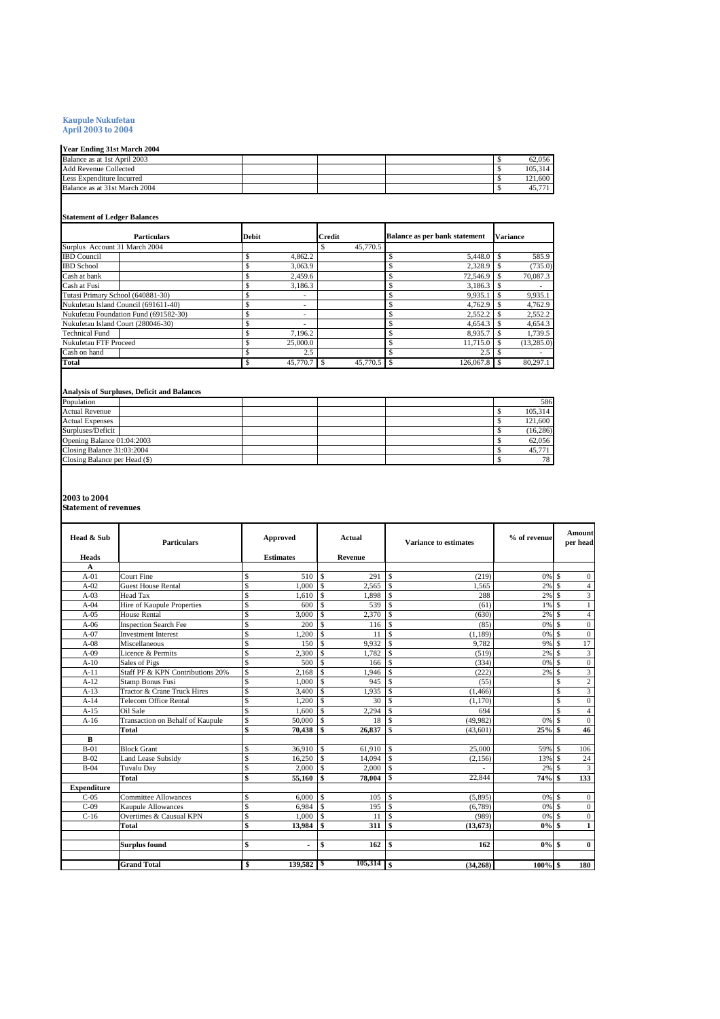#### **Kaupule Nukufetau April 2003 to 2004**

# **Year Ending 31st March 2004**

| Tear Enging Sist March 2004   |  |  |         |
|-------------------------------|--|--|---------|
| Balance as at 1st April 2003  |  |  | 62.056  |
| <b>Add Revenue Collected</b>  |  |  | 105.314 |
| Less Expenditure Incurred     |  |  | 121.600 |
| Balance as at 31st March 2004 |  |  | 45.771  |

# **Statement of Ledger Balances**

| <b>Particulars</b>                    | <b>Debit</b> | Credit       | <b>Balance as per bank statement</b> | <b>Variance</b> |  |  |
|---------------------------------------|--------------|--------------|--------------------------------------|-----------------|--|--|
| Surplus Account 31 March 2004         |              | 45,770.5     |                                      |                 |  |  |
| <b>IBD</b> Council                    | 4.862.2      |              |                                      | 585.9           |  |  |
| <b>IBD</b> School                     | 3.063.9      |              | 2.328.9                              | (735.0)         |  |  |
| Cash at bank                          | 2.459.6      |              | 72,546.9                             | 70,087.3        |  |  |
| Cash at Fusi                          | 3,186.3      |              | 3.186.3                              |                 |  |  |
| Tutasi Primary School (640881-30)     |              |              | 9,935.1                              | 9,935.1         |  |  |
| Nukufetau Island Council (691611-40)  | ۰            |              | 4.762.9                              | 4,762.9         |  |  |
| Nukufetau Foundation Fund (691582-30) |              |              | 2.552.2                              | 2,552.2         |  |  |
| Nukufetau Island Court (280046-30)    | ۰            |              | 4.654.3                              | 4.654.3         |  |  |
| <b>Technical Fund</b>                 | 7.196.2      |              | 8.935.7                              | 1,739.5         |  |  |
| Nukufetau FTF Proceed                 | 25,000.0     |              | $11.715.0$ \$                        | (13, 285.0)     |  |  |
| Cash on hand                          | 2.5          |              | 2.5                                  |                 |  |  |
| <b>Total</b>                          | 45,770.7     | $45.770.5$ S | 126,067.8                            | 80,297.1        |  |  |

#### **Analysis of Surpluses, Deficit and Balances**

| Population                    |  |  | 586       |
|-------------------------------|--|--|-----------|
| <b>Actual Revenue</b>         |  |  | 105,314   |
| <b>Actual Expenses</b>        |  |  | 121,600   |
| Surpluses/Deficit             |  |  | (16, 286) |
| Opening Balance 01:04:2003    |  |  | 62.056    |
| Closing Balance 31:03:2004    |  |  | 45,771    |
| Closing Balance per Head (\$) |  |  | 78        |

# **2003 to 2004 Statement of revenues**

| Head & Sub         | <b>Particulars</b>               |                         | Approved         |                          | Actual       | <b>Variance to estimates</b> |           | % of revenue |          | <b>Amount</b><br>per head |  |
|--------------------|----------------------------------|-------------------------|------------------|--------------------------|--------------|------------------------------|-----------|--------------|----------|---------------------------|--|
| <b>Heads</b>       |                                  |                         | <b>Estimates</b> |                          | Revenue      |                              |           |              |          |                           |  |
| A<br>$A-01$        | Court Fine                       | \$                      | 510              | $\mathbf{s}$             | 291          | \$.                          | (219)     | $0%$ \$      |          | $\Omega$                  |  |
| $A-02$             | <b>Guest House Rental</b>        | \$                      | 1.000            | <sup>\$</sup>            | 2.565        | \$.                          | 1.565     | 2%           | \$.      | $\overline{4}$            |  |
| $A-03$             | <b>Head Tax</b>                  | $\mathbf S$             | 1.610            | \$                       | 1,898        | \$.                          | 288       | 2%           | \$.      | 3                         |  |
| $A-04$             | Hire of Kaupule Properties       | $\mathbf{\hat{S}}$      | 600              | $\mathbf S$              | 539          | $\mathbf{s}$                 | (61)      | 1% \$        |          |                           |  |
| $A-05$             | <b>House Rental</b>              | \$                      | 3,000            | $\mathbf S$              | 2,370        | $\mathbf{s}$                 | (630)     | 2%S          |          | $\overline{4}$            |  |
| $A-06$             | <b>Inspection Search Fee</b>     | \$                      | 200              | $\mathcal{S}$            | 116          | $\mathcal{S}$                | (85)      | 0% \$        |          | $\mathbf{0}$              |  |
| $A-07$             | <b>Investment Interest</b>       | \$                      | 1.200            | $\mathcal{S}$            | 11           | $\mathbf{\hat{s}}$           | (1.189)   | 0% \$        |          | $\mathbf{0}$              |  |
| $A-08$             | Miscellaneous                    | \$                      | 150              | $\mathcal{S}$            | 9.932        | $\mathbf{\hat{s}}$           | 9.782     | 9% S         |          | 17                        |  |
| $A-09$             | Licence & Permits                | $\mathbf S$             | 2.300            | $\mathcal{S}$            | 1.782        | $\mathbf{\hat{s}}$           | (519)     | 2%S          |          | $\overline{3}$            |  |
| $A-10$             | Sales of Pigs                    | $\mathbf S$             | 500              | <sup>\$</sup>            | 166          | \$                           | (334)     | 0% \$        |          | $\mathbf{0}$              |  |
| $A-11$             | Staff PF & KPN Contributions 20% | $\mathbf{\hat{S}}$      | 2.168            | $\mathbf S$              | 1.946        | $\mathbf{s}$                 | (222)     | 2%S          |          | 3                         |  |
| $A-12$             | Stamp Bonus Fusi                 | \$                      | 1.000            | $\mathbf{s}$             | 945          | \$.                          | (55)      |              | S        | $\overline{c}$            |  |
| $A-13$             | Tractor & Crane Truck Hires      | \$                      | 3,400            | -\$                      | 1.935        | \$                           | (1, 466)  |              | S        | 3                         |  |
| $A-14$             | Telecom Office Rental            | \$                      | 1.200            | <sup>\$</sup>            | 30           | \$.                          | (1,170)   |              | \$       | $\mathbf{0}$              |  |
| $A-15$             | Oil Sale                         | \$                      | 1.600            | <sup>\$</sup>            | 2.294        | \$.                          | 694       |              | \$       | $\overline{4}$            |  |
| $A-16$             | Transaction on Behalf of Kaupule | \$                      | 50,000           | -S                       | 18           | \$                           | (49.982)  | 0%           | <b>S</b> | $\theta$                  |  |
|                    | <b>Total</b>                     | \$                      | 70.438           | \$                       | 26,837       | \$.                          | (43,601)  | $25%$ \$     |          | 46                        |  |
| B                  |                                  |                         |                  |                          |              |                              |           |              |          |                           |  |
| $B-01$             | <b>Block Grant</b>               | $\mathbf{\hat{S}}$      | 36,910           | $\mathcal{S}$            | 61,910       | \$.                          | 25,000    | 59% \$       |          | 106                       |  |
| $B-02$             | <b>Land Lease Subsidy</b>        | $\overline{\mathbb{S}}$ | 16,250           | $\mathsf{I}$             | 14,094       | $\mathcal{S}$                | (2, 156)  | 13% \$       |          | 24                        |  |
| $B-04$             | Tuvalu Day                       | \$                      | 2.000            | l s                      | 2.000        | \$                           |           | $2\%$ \$     |          | 3                         |  |
|                    | <b>Total</b>                     | \$                      | 55,160           | \$                       | 78,004       | \$                           | 22,844    | $74%$ \$     |          | 133                       |  |
| <b>Expenditure</b> |                                  |                         |                  |                          |              |                              |           |              |          |                           |  |
| $C-05$             | <b>Committee Allowances</b>      | \$                      | 6,000            | $\overline{\phantom{a}}$ | 105          | \$.                          | (5,895)   | 0% \$        |          | $\mathbf{0}$              |  |
| $C-09$             | <b>Kaupule Allowances</b>        | $\mathbf{\hat{S}}$      | 6,984            | $\mathbf{s}$             | 195          | $\mathbf{\hat{S}}$           | (6,789)   | 0% \$        |          | $\Omega$                  |  |
| $C-16$             | Overtimes & Causual KPN          | \$                      | 1.000            | $\mathsf{I}$             | 11           | \$.                          | (989)     | 0% \$        |          | $\mathbf{0}$              |  |
|                    | Total                            | \$                      | 13,984           | \$                       | 311          | \$                           | (13.673)  | $0\%$ \$     |          | $\mathbf{1}$              |  |
|                    |                                  |                         |                  |                          |              |                              |           |              |          |                           |  |
|                    | <b>Surplus found</b>             | \$                      | $\blacksquare$   | \$                       | 162          | \$                           | 162       | $0\%$ \$     |          | $\bf{0}$                  |  |
|                    |                                  |                         |                  |                          |              |                              |           |              |          |                           |  |
|                    | <b>Grand Total</b>               | \$                      | 139.582 \$       |                          | $105,314$ \$ |                              | (34, 268) | 100% \$      |          | 180                       |  |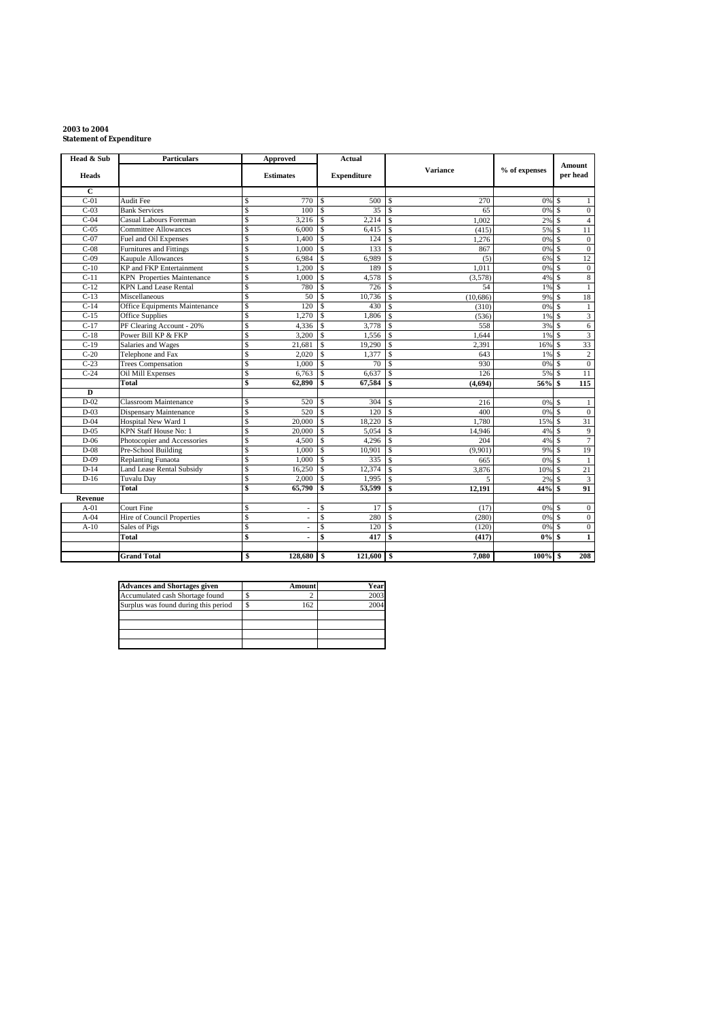# **2003 to 2004 Statement of Expenditure**

| Head & Sub         | <b>Particulars</b>                |    | <b>Approved</b>          |                         | <b>Actual</b>      |                    |           |               |                    |                           |
|--------------------|-----------------------------------|----|--------------------------|-------------------------|--------------------|--------------------|-----------|---------------|--------------------|---------------------------|
| <b>Heads</b>       |                                   |    | <b>Estimates</b>         |                         | <b>Expenditure</b> |                    | Variance  | % of expenses |                    | <b>Amount</b><br>per head |
| $\mathbf C$        |                                   |    |                          |                         |                    |                    |           |               |                    |                           |
| $C-01$             | Audit Fee                         | \$ | 770                      | $\mathbf S$             | 500                | \$.                | 270       | 0% \$         |                    | 1                         |
| $C-03$             | <b>Bank Services</b>              | Ś  | 100                      | $\mathbf{s}$            | 35                 | $\mathcal{S}$      | 65        | 0%            | $\mathcal{S}$      | $\mathbf{0}$              |
| $C-04$             | Casual Labours Foreman            | Ś  | 3.216                    | <sup>\$</sup>           | 2.214              | \$.                | 1.002     | 2%            | $\mathcal{S}$      | $\overline{4}$            |
| $C-0.5$            | <b>Committee Allowances</b>       | \$ | 6.000                    | \$.                     | 6,415              | \$.                | (415)     | 5%            | $\mathcal{S}$      | $\overline{11}$           |
| $C-07$             | Fuel and Oil Expenses             | \$ | 1.400                    | \$                      | 124                | \$.                | 1,276     | 0%            | .S                 | $\mathbf{0}$              |
| $C-08$             | Furnitures and Fittings           | Ś  | 1.000                    | $\mathbf{\hat{S}}$      | 133                | $\mathbf{s}$       | 867       | 0% \$         |                    | $\overline{0}$            |
| $\overline{C}$ -09 | Kaupule Allowances                | \$ | 6,984                    | $\mathbb{S}$            | 6,989              | $\mathcal{S}$      | (5)       | 6% \$         |                    | 12                        |
| $C-10$             | KP and FKP Entertainment          | \$ | 1,200                    | -S                      | 189                | $\mathcal{S}$      | 1.011     | 0% \$         |                    | $\mathbf{0}$              |
| $C-11$             | <b>KPN</b> Properties Maintenance | \$ | 1,000                    | <sup>\$</sup>           | 4,578              | \$                 | (3,578)   | $4\%$ S       |                    | 8                         |
| $C-12$             | <b>KPN Land Lease Rental</b>      | \$ | 780                      | $\overline{\mathbf{s}}$ | 726                | \$                 | 54        | 1%            | $\mathbf{\hat{s}}$ | $\mathbf{1}$              |
| $C-13$             | Miscellaneous                     | \$ | 50                       | $\mathbf S$             | 10,736             | $\mathcal{S}$      | (10, 686) | 9%            | $\mathcal{S}$      | 18                        |
| $C-14$             | Office Equipments Maintenance     | \$ | 120                      | $\mathcal{S}$           | 430                | $\mathcal{S}$      | (310)     | 0%            | $\mathcal{S}$      | $\mathbf{1}$              |
| $C-15$             | <b>Office Supplies</b>            | \$ | 1,270                    | <sup>\$</sup>           | 1,806              | \$.                | (536)     | 1%            | <sup>S</sup>       | $\overline{\mathbf{3}}$   |
| $C-17$             | PF Clearing Account - 20%         | Ŝ  | 4,336                    | $\mathcal{S}$           | 3.778              | $\mathcal{S}$      | 558       | 3% S          |                    | 6                         |
| $C-18$             | Power Bill KP & FKP               | \$ | 3.200                    | $\mathbf{s}$            | 1.556              | $\mathcal{S}$      | 1,644     | 1% \$         |                    | 3                         |
| $C-19$             | Salaries and Wages                | \$ | 21,681                   | <sup>\$</sup>           | 19,290             | \$.                | 2,391     | 16% \$        |                    | 33                        |
| $C-20$             | Telephone and Fax                 | \$ | 2,020                    | $\mathbf S$             | 1,377              | $\mathcal{S}$      | 643       | 1% \$         |                    | $\mathbf{2}$              |
| $C-23$             | <b>Trees Compensation</b>         | \$ | 1,000                    | $\mathcal{S}$           | 70                 | $\mathbf{\hat{s}}$ | 930       | 0%            | l s                | $\overline{0}$            |
| $C-24$             | Oil Mill Expenses                 | \$ | 6,763                    | $\mathcal{S}$           | 6,637              | \$.                | 126       | 5% S          |                    | 11                        |
|                    | Total                             | \$ | 62,890                   | \$                      | 67,584             | \$                 | (4,694)   | 56% \$        |                    | 115                       |
| D                  |                                   |    |                          |                         |                    |                    |           |               |                    |                           |
| $D-02$             | <b>Classroom Maintenance</b>      | \$ | 520                      | $\mathbf S$             | 304                | \$.                | 216       | 0%            | $\mathbf{s}$       | $\mathbf{1}$              |
| $D-03$             | <b>Dispensary Maintenance</b>     | \$ | 520                      | $\mathcal{S}$           | 120                | $\mathcal{S}$      | 400       | 0% \$         |                    | $\mathbf{0}$              |
| $D-04$             | Hospital New Ward 1               | \$ | 20,000                   | \$                      | 18.220             | \$                 | 1.780     | 15% S         |                    | 31                        |
| $D-05$             | KPN Staff House No: 1             | \$ | 20,000                   | <sup>\$</sup>           | 5,054              | \$                 | 14,946    | 4%            | l \$               | $\overline{9}$            |
| $D-06$             | Photocopier and Accessories       | \$ | 4.500                    | $\mathbf{s}$            | 4.296              | \$.                | 204       | 4%            |                    | $\overline{7}$            |
| $D-08$             | Pre-School Building               | \$ | 1,000                    | $\mathbf S$             | 10,901             | $\mathbf{s}$       | (9,901)   | 9%            | $\mathcal{S}$      | 19                        |
| $D-09$             | Replanting Funaota                | \$ | 1,000                    | $\mathbf{s}$            | 335                | S.                 | 665       | 0%            | $\mathcal{S}$      | 1                         |
| $D-14$             | <b>Land Lease Rental Subsidy</b>  | \$ | 16,250                   | -S                      | 12,374             | \$.                | 3,876     | 10%           | l \$               | 21                        |
| $D-16$             | <b>Tuvalu Day</b>                 | \$ | 2,000                    | \$                      | 1,995              | $\mathbf{s}$       | 5         | 2%            | .S                 | $\overline{3}$            |
|                    | Total                             | \$ | 65,790                   | s                       | 53,599             | \$                 | 12,191    | 44%S          |                    | 91                        |
| Revenue            |                                   |    |                          |                         |                    |                    |           |               |                    |                           |
| $A-01$             | Court Fine                        | \$ | $\overline{\phantom{a}}$ | $\mathbf S$             | 17                 | S                  | (17)      | 0% \$         |                    | $\mathbf{0}$              |
| $A-04$             | Hire of Council Properties        | \$ | ٠                        | $\mathbf S$             | 280                | $\mathcal{S}$      | (280)     | 0% \$         |                    | $\overline{0}$            |
| $A-10$             | Sales of Pigs                     | \$ | ÷.                       | $\mathbf S$             | 120                | $\mathbf{s}$       | (120)     | 0%            | $\mathcal{S}$      | $\mathbf{0}$              |
|                    | Total                             | \$ | $\blacksquare$           | \$                      | 417                | \$                 | (417)     | 0%            | \$                 | $\mathbf{1}$              |
|                    |                                   |    |                          |                         |                    |                    |           |               |                    |                           |
|                    | <b>Grand Total</b>                | \$ | 128,680 \$               |                         | $121,600$ \$       |                    | 7.080     | $100\%$ \$    |                    | 208                       |

| <b>Advances and Shortages given</b>  | <b>Amount</b> | Year |
|--------------------------------------|---------------|------|
| Accumulated cash Shortage found      |               | 2003 |
| Surplus was found during this period | 162           | 2004 |
|                                      |               |      |
|                                      |               |      |
|                                      |               |      |
|                                      |               |      |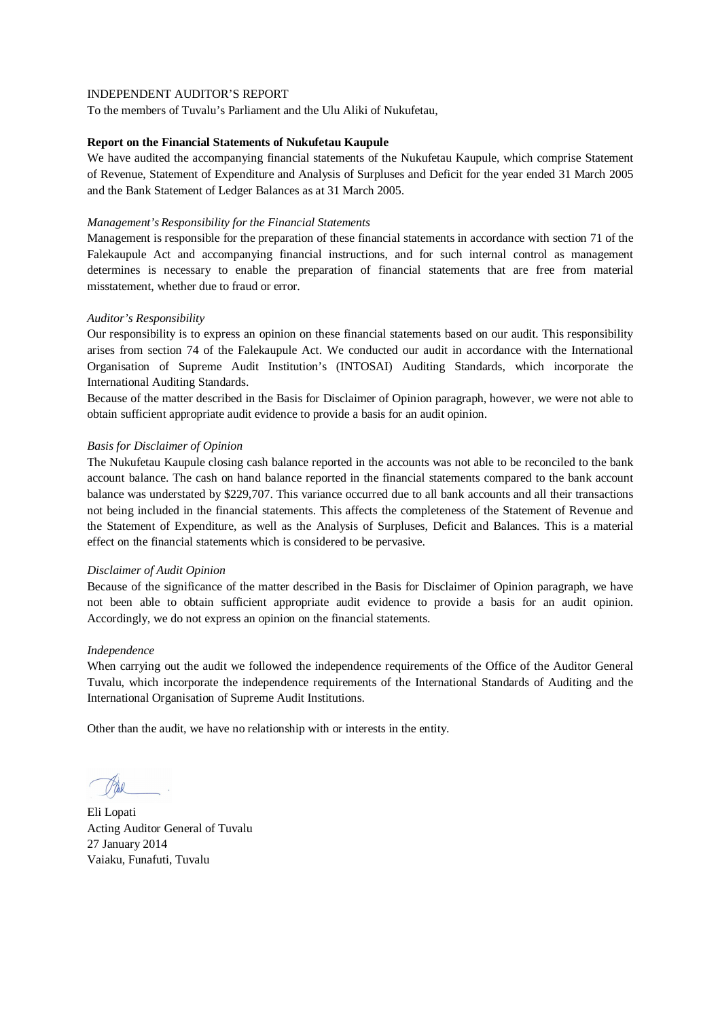To the members of Tuvalu's Parliament and the Ulu Aliki of Nukufetau,

#### **Report on the Financial Statements of Nukufetau Kaupule**

We have audited the accompanying financial statements of the Nukufetau Kaupule, which comprise Statement of Revenue, Statement of Expenditure and Analysis of Surpluses and Deficit for the year ended 31 March 2005 and the Bank Statement of Ledger Balances as at 31 March 2005.

#### *Management's Responsibility for the Financial Statements*

Management is responsible for the preparation of these financial statements in accordance with section 71 of the Falekaupule Act and accompanying financial instructions, and for such internal control as management determines is necessary to enable the preparation of financial statements that are free from material misstatement, whether due to fraud or error.

## *Auditor's Responsibility*

Our responsibility is to express an opinion on these financial statements based on our audit. This responsibility arises from section 74 of the Falekaupule Act. We conducted our audit in accordance with the International Organisation of Supreme Audit Institution's (INTOSAI) Auditing Standards, which incorporate the International Auditing Standards.

Because of the matter described in the Basis for Disclaimer of Opinion paragraph, however, we were not able to obtain sufficient appropriate audit evidence to provide a basis for an audit opinion.

## *Basis for Disclaimer of Opinion*

The Nukufetau Kaupule closing cash balance reported in the accounts was not able to be reconciled to the bank account balance. The cash on hand balance reported in the financial statements compared to the bank account balance was understated by \$229,707. This variance occurred due to all bank accounts and all their transactions not being included in the financial statements. This affects the completeness of the Statement of Revenue and the Statement of Expenditure, as well as the Analysis of Surpluses, Deficit and Balances. This is a material effect on the financial statements which is considered to be pervasive.

#### *Disclaimer of Audit Opinion*

Because of the significance of the matter described in the Basis for Disclaimer of Opinion paragraph, we have not been able to obtain sufficient appropriate audit evidence to provide a basis for an audit opinion. Accordingly, we do not express an opinion on the financial statements.

#### *Independence*

When carrying out the audit we followed the independence requirements of the Office of the Auditor General Tuvalu, which incorporate the independence requirements of the International Standards of Auditing and the International Organisation of Supreme Audit Institutions.

Eli Lopati Acting Auditor General of Tuvalu 27 January 2014 Vaiaku, Funafuti, Tuvalu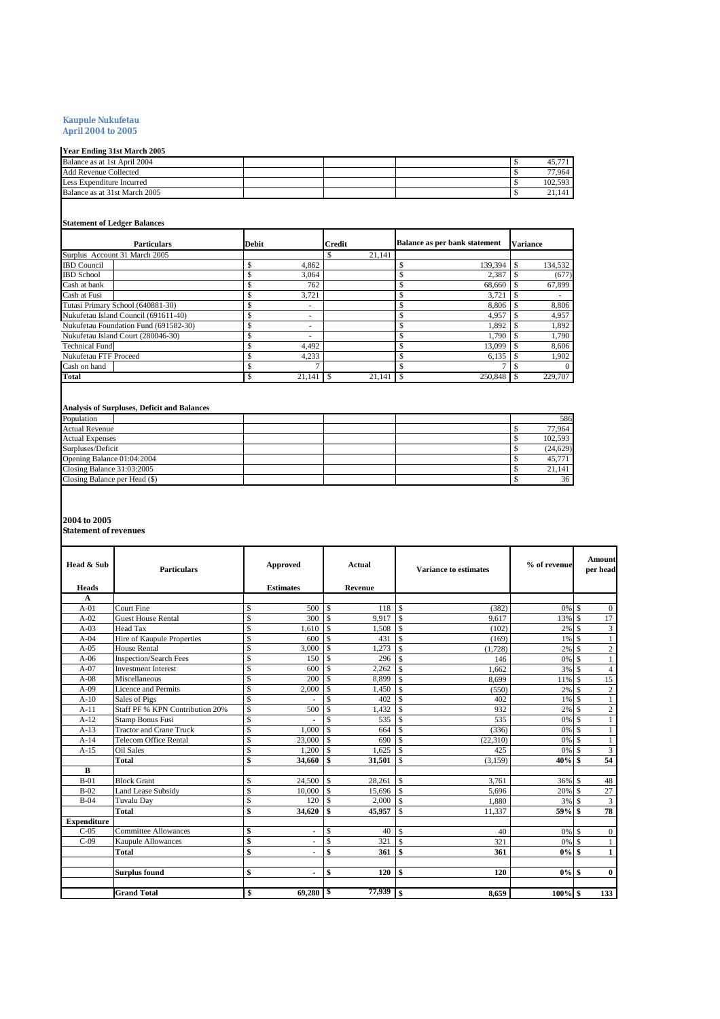#### **Kaupule Nukufetau**

**April 2004 to 2005**

## **Year Ending 31st March 2005**

| Balance as at 1st April 2004  |  |  |         |
|-------------------------------|--|--|---------|
| <b>Add Revenue Collected</b>  |  |  | 77.964  |
| Less Expenditure Incurred     |  |  | 102.593 |
| Balance as at 31st March 2005 |  |  |         |
|                               |  |  |         |

#### **Statement of Ledger Balances**

| <b>Particulars</b>                    | <b>Debit</b> | <b>Credit</b> | <b>Balance as per bank statement</b> | <b>Variance</b> |
|---------------------------------------|--------------|---------------|--------------------------------------|-----------------|
| Surplus Account 31 March 2005         |              | 21.141        |                                      |                 |
| <b>IBD</b> Council                    | 4,862        |               | 139.394                              | 134,532         |
| <b>IBD</b> School                     | 3,064        |               | 2.387                                | (677)           |
| Cash at bank                          | 762          |               | 68,660                               | 67,899          |
| Cash at Fusi                          | 3.721        |               | 3.721                                |                 |
| Tutasi Primary School (640881-30)     | ۰            |               | 8.806                                | 8,806           |
| Nukufetau Island Council (691611-40)  | ۰            |               | 4.957                                | 4,957           |
| Nukufetau Foundation Fund (691582-30) | ۰            |               | 1.892                                | 1,892           |
| Nukufetau Island Court (280046-30)    | ۰            |               | 1.790                                | 1,790           |
| <b>Technical Fund</b>                 | 4.492        |               | 13,099                               | 8,606           |
| Nukufetau FTF Proceed                 | 4,233        |               | 6.135                                | 1,902           |
| Cash on hand                          |              |               |                                      | $\Omega$        |
| Total                                 | 21.141       | 21.141        | 250,848                              | 229,707         |

#### **Analysis of Surpluses, Deficit and Balances**

| Population                    |  |  | 586      |
|-------------------------------|--|--|----------|
| <b>Actual Revenue</b>         |  |  | 77.964   |
| <b>Actual Expenses</b>        |  |  | 102.593  |
| Surpluses/Deficit             |  |  | (24.629) |
| Opening Balance 01:04:2004    |  |  | 45,771   |
| Closing Balance 31:03:2005    |  |  | 21.141   |
| Closing Balance per Head (\$) |  |  | 36       |

**2004 to 2005 Statement of revenues**

| Head & Sub         | <b>Particulars</b>              |               | <b>Approved</b>  |                    | Actual  |                    | Variance to estimates | % of revenue |                    | Amount<br>per head      |
|--------------------|---------------------------------|---------------|------------------|--------------------|---------|--------------------|-----------------------|--------------|--------------------|-------------------------|
| <b>Heads</b>       |                                 |               | <b>Estimates</b> |                    | Revenue |                    |                       |              |                    |                         |
| A                  |                                 |               |                  |                    |         |                    |                       |              |                    |                         |
| $A-01$             | Court Fine                      | \$            | 500              | $\mathbf{s}$       | 118     | $\mathbf{\hat{s}}$ | (382)                 | $0\%$ \$     |                    | $\overline{0}$          |
| $A-02$             | <b>Guest House Rental</b>       | $\mathsf{\$}$ | 300              | \$.                | 9.917   | 1s                 | 9.617                 | 13%          | $\mathbf{\hat{s}}$ | 17                      |
| $A-03$             | <b>Head Tax</b>                 | \$            | 1,610            | \$                 | 1,508   | $\mathcal{S}$      | (102)                 | 2%           | <sup>\$</sup>      | $\mathfrak{Z}$          |
| $A-04$             | Hire of Kaupule Properties      | \$            | 600              | \$                 | 431     | $\mathcal{S}$      | (169)                 | 1%           | - \$               | $\mathbf{1}$            |
| $A-0.5$            | <b>House Rental</b>             | \$            | 3.000            | $\mathbf{s}$       | 1.273   | $\mathcal{S}$      | (1,728)               | $2\%$ \$     |                    | $\mathbf{2}$            |
| $A-06$             | <b>Inspection/Search Fees</b>   | \$            | 150              | $\mathbf{\hat{s}}$ | 296     | $\mathcal{S}$      | 146                   | $0\%$ \$     |                    | $\mathbf{1}$            |
| $A-07$             | <b>Investment</b> Interest      | $\mathsf{\$}$ | 600              | $\mathsf{\$}$      | 2.262   | $\mathbf{\hat{s}}$ | 1.662                 | 3% \$        |                    | $\overline{4}$          |
| $A-08$             | Miscellaneous                   | \$            | 200              | \$.                | 8.899   | $\mathbf{\hat{s}}$ | 8,699                 | 11% \$       |                    | 15                      |
| $A-09$             | Licence and Permits             | \$            | 2,000            | \$                 | 1,450   | <sup>\$</sup>      | (550)                 | 2%           | -\$                | $\sqrt{2}$              |
| $A-10$             | Sales of Pigs                   | $\mathbb{S}$  |                  | \$                 | 402     | S                  | 402                   | 1%           | -\$                | $\mathbf{1}$            |
| $A-11$             | Staff PF % KPN Contribution 20% | $\mathsf{\$}$ | 500              | \$                 | 1.432   | $\mathcal{S}$      | 932                   | 2%           | -\$                | $\overline{c}$          |
| $A-12$             | <b>Stamp Bonus Fusi</b>         | \$            |                  | \$                 | 535     | $\mathcal{S}$      | 535                   | $0\%$ \$     |                    | $\mathbf{1}$            |
| $A-13$             | <b>Tractor and Crane Truck</b>  | $\mathsf{\$}$ | 1.000            | \$.                | 664     | $\mathcal{S}$      | (336)                 | $0\%$ \$     |                    | $\mathbf{1}$            |
| $A-14$             | <b>Telecom Office Rental</b>    | \$            | 23,000           | \$                 | 690     | $\mathcal{S}$      | (22, 310)             | $0\%$ \$     |                    | $\mathbf{1}$            |
| $A-15$             | <b>Oil Sales</b>                | \$            | 1.200            | $\mathbf{s}$       | 1.625   | $\mathbf{\hat{s}}$ | 425                   | 0%           | l \$               | $\overline{\mathbf{3}}$ |
|                    | <b>Total</b>                    | \$            | 34,660           | \$                 | 31,501  | $\mathcal{S}$      | (3, 159)              | $40%$ \$     |                    | 54                      |
| B                  |                                 |               |                  |                    |         |                    |                       |              |                    |                         |
| $B-01$             | <b>Block Grant</b>              | $\mathbb{S}$  | 24,500           | $\mathbf{s}$       | 28.261  | 1s                 | 3.761                 | 36% \$       |                    | 48                      |
| $B-02$             | <b>Land Lease Subsidy</b>       | \$            | 10,000           | $\mathbb{S}$       | 15,696  | $\overline{ }$ is  | 5,696                 | 20% \$       |                    | 27                      |
| $B-04$             | Tuvalu Day                      | \$            | 120              | $\mathbf{s}$       | 2.000   | l s                | 1.880                 | 3% \$        |                    | $\overline{\mathbf{3}}$ |
|                    | <b>Total</b>                    | \$            | 34,620           | \$                 | 45,957  | <sup>\$</sup>      | 11.337                | 59%          | \$                 | 78                      |
| <b>Expenditure</b> |                                 |               |                  |                    |         |                    |                       |              |                    |                         |
| $C-0.5$            | <b>Committee Allowances</b>     | \$            | ۰                | \$                 | 40      | $\mathcal{S}$      | 40                    |              |                    | $\mathbf{0}$            |
| $C-09$             | Kaupule Allowances              | \$            | $\blacksquare$   | \$                 | 321     | S                  | 321                   | 0%           | -\$                | 1                       |
|                    | <b>Total</b>                    | \$            |                  | \$                 | 361     | \$                 | 361                   | $0\%$ \$     |                    | $\mathbf{1}$            |
|                    |                                 |               |                  |                    |         |                    |                       |              |                    |                         |
|                    | <b>Surplus found</b>            | \$            |                  | \$                 | 120     | \$                 | 120                   | $0\%$ \$     |                    | $\mathbf{0}$            |
|                    |                                 |               |                  |                    |         |                    |                       |              |                    |                         |
|                    | <b>Grand Total</b>              | \$            | 69,280           | SS.                | 77,939  | \$                 | 8.659                 | $100\%$ \$   |                    | 133                     |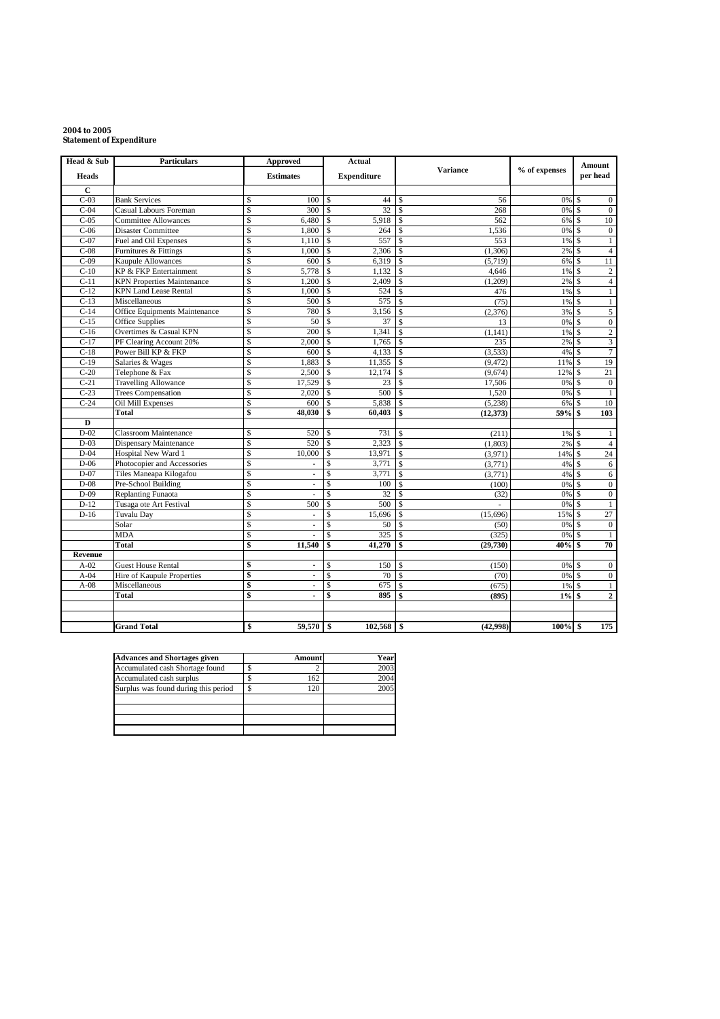#### **2004 to 2005 Statement of Expenditure**

| Head & Sub   | <b>Particulars</b>                |                    | Approved                 | <b>Actual</b>      |                    |                             |               | <b>Amount</b>      |                  |
|--------------|-----------------------------------|--------------------|--------------------------|--------------------|--------------------|-----------------------------|---------------|--------------------|------------------|
| <b>Heads</b> |                                   |                    | <b>Estimates</b>         |                    | <b>Expenditure</b> | <b>Variance</b>             | % of expenses |                    | per head         |
| $\mathbf C$  |                                   |                    |                          |                    |                    |                             |               |                    |                  |
| $C-03$       | <b>Bank Services</b>              | $\mathbf{\hat{S}}$ | 100                      | <sup>\$</sup>      | 44                 | Ŝ<br>56                     | 0%            | $\mathbb{S}$       | $\boldsymbol{0}$ |
| $C-04$       | Casual Labours Foreman            | \$                 | 300                      | Ŝ                  | 32                 | \$.<br>268                  | 0%            | $\mathbf{\hat{s}}$ | $\mathbf{0}$     |
| $C-05$       | <b>Committee Allowances</b>       | \$                 | 6,480                    | <sup>\$</sup>      | 5,918              | 562<br><b>S</b>             | 6%            | $\mathbf{s}$       | 10               |
| $C-06$       | <b>Disaster Committee</b>         | \$                 | 1,800                    | $\mathsf{\$}$      | 264                | $\mathbf S$<br>1,536        | 0%            | $\mathbf{s}$       | $\boldsymbol{0}$ |
| $C-07$       | Fuel and Oil Expenses             | \$                 | 1,110                    | S                  | 557                | \$.<br>553                  | 1%            | $\mathcal{S}$      | $\mathbf{1}$     |
| $C-08$       | Furnitures & Fittings             | \$                 | 1.000                    | \$                 | 2,306              | (1,306)<br>S                | 2%            | <sup>\$</sup>      | $\overline{4}$   |
| $C-09$       | Kaupule Allowances                | \$                 | 600                      | \$                 | 6,319              | \$<br>(5, 719)              | 6%            | <sup>\$</sup>      | 11               |
| $C-10$       | KP & FKP Entertainment            | \$                 | 5,778                    | \$                 | 1.132              | 4,646<br>S                  | 1%            | $\mathbf{s}$       | $\sqrt{2}$       |
| $C-11$       | <b>KPN</b> Properties Maintenance | Ŝ                  | 1.200                    | $\mathbf{\hat{s}}$ | 2,409              | $\mathbf S$<br>(1,209)      | 2%            | $\mathcal{S}$      | $\overline{4}$   |
| $C-12$       | <b>KPN Land Lease Rental</b>      | \$                 | 1,000                    | \$                 | 524                | \$.<br>476                  | 1%            | <sup>\$</sup>      | $\mathbf{1}$     |
| $C-13$       | Miscellaneous                     | \$                 | 500                      | \$                 | 575                | (75)<br>S                   | 1%            | <sup>\$</sup>      | $\mathbf{1}$     |
| $C-14$       | Office Equipments Maintenance     | \$                 | 780                      | \$                 | 3,156              | \$.<br>(2,376)              | 3%            | $\mathbf{\hat{s}}$ | $\sqrt{5}$       |
| $C-15$       | <b>Office Supplies</b>            | Ŝ                  | 50                       | <sup>\$</sup>      | 37                 | $\mathbf{\hat{S}}$<br>13    | 0%            | $\mathbf{s}$       | $\overline{0}$   |
| $C-16$       | Overtimes & Casual KPN            | \$                 | 200                      | $\mathbf{\hat{S}}$ | 1,341              | $\mathbf S$<br>(1, 141)     | 1%            | $\mathbf{s}$       | $\overline{2}$   |
| $C-17$       | PF Clearing Account 20%           | \$                 | 2,000                    | \$                 | 1,765              | S<br>235                    | 2%            | $\mathcal{S}$      | $\mathfrak z$    |
| $C-18$       | Power Bill KP & FKP               | \$                 | 600                      | \$                 | 4,133              | \$.<br>(3,533)              | 4%            | <sup>\$</sup>      | $\tau$           |
| $C-19$       | Salaries & Wages                  | \$                 | 1,883                    | \$                 | 11,355             | $\mathbf S$<br>(9, 472)     | 11%           | $\mathcal{S}$      | 19               |
| $C-20$       | Telephone & Fax                   | \$                 | 2,500                    | <sup>\$</sup>      | 12,174             | S<br>(9,674)                | 12%           | <sup>\$</sup>      | 21               |
| $C-21$       | <b>Travelling Allowance</b>       | \$                 | 17,529                   | \$                 | 23                 | S<br>17,506                 | 0%            | <sup>\$</sup>      | $\boldsymbol{0}$ |
| $C-23$       | <b>Trees Compensation</b>         | \$                 | 2,020                    | $\mathbf S$        | 500                | $\mathbf{\hat{S}}$<br>1,520 | 0%            | $\mathcal{S}$      | $\mathbf{1}$     |
| $C-24$       | Oil Mill Expenses                 | \$                 | 600                      | \$                 | 5,838              | $\mathbf S$<br>(5,238)      | 6%            | -S                 | 10               |
|              | Total                             | \$                 | 48,030                   | \$                 | 60,403             | \$<br>(12, 373)             | 59%           | \$                 | 103              |
| D            |                                   |                    |                          |                    |                    |                             |               |                    |                  |
| $D-02$       | <b>Classroom Maintenance</b>      | \$                 | 520                      | \$                 | 731                | \$<br>(211)                 | 1%            | $\mathbf{s}$       | $\mathbf{1}$     |
| $D-03$       | <b>Dispensary Maintenance</b>     | Ŝ                  | 520                      | $\mathbf S$        | 2,323              | S<br>(1,803)                | 2%            | $\mathcal{S}$      | $\overline{4}$   |
| $D-04$       | Hospital New Ward 1               | \$                 | 10,000                   | \$                 | 13,971             | \$<br>(3,971)               | 14% \$        |                    | 24               |
| $D-06$       | Photocopier and Accessories       | Ŝ                  | $\overline{\phantom{a}}$ | \$                 | 3,771              | (3,771)<br>$\mathbf S$      | 4%            | - \$               | 6                |
| $D-07$       | Tiles Maneapa Kilogafou           | \$                 | ×.                       | $\mathbf S$        | 3,771              | (3,771)<br>S                | 4%            | $\mathbf{s}$       | $\epsilon$       |
| $D-08$       | Pre-School Building               | \$                 |                          | \$                 | 100                | Ŝ<br>(100)                  | 0%            | -\$                | $\boldsymbol{0}$ |
| $D-09$       | <b>Replanting Funaota</b>         | \$                 | $\overline{\phantom{a}}$ | <sup>\$</sup>      | 32                 | \$<br>(32)                  | 0%            | <sup>\$</sup>      | $\boldsymbol{0}$ |
| $D-12$       | Tusaga ote Art Festival           | \$                 | 500                      | \$                 | 500                | \$.                         | 0%            | <sup>\$</sup>      | $\mathbf{1}$     |
| $D-16$       | <b>Tuvalu Day</b>                 | Ŝ                  | $\sim$                   | \$                 | 15,696             | \$.<br>(15,696)             | 15%           | $\mathcal{S}$      | 27               |
|              | Solar                             | \$                 | ä,                       | \$                 | 50                 | <b>S</b><br>(50)            | 0%            | <sup>\$</sup>      | $\boldsymbol{0}$ |
|              | <b>MDA</b>                        | \$                 |                          | \$                 | 325                | S<br>(325)                  | 0%            | <sup>\$</sup>      | $\mathbf{1}$     |
|              | Total                             | \$                 | 11,540                   | \$                 | 41,270             | \$<br>(29, 730)             | 40%           | \$                 | 70               |
| Revenue      |                                   |                    |                          |                    |                    |                             |               |                    |                  |
| $A-02$       | <b>Guest House Rental</b>         | \$                 | $\blacksquare$           | \$                 | 150                | S<br>(150)                  | 0%            | <sup>\$</sup>      | $\boldsymbol{0}$ |
| $A-04$       | Hire of Kaupule Properties        | \$                 | $\blacksquare$           | \$                 | 70                 | $\mathbf{\hat{s}}$<br>(70)  | 0%            | $\mathbf{s}$       | $\boldsymbol{0}$ |
| $A-08$       | Miscellaneous                     | \$                 | $\blacksquare$           | Ŝ                  | 675                | \$<br>(675)                 | 1%            | -S                 | $\mathbf{1}$     |
|              | Total                             | \$                 | $\ddot{\phantom{a}}$     | \$                 | 895                | \$<br>(895)                 | $1\%$         | \$                 | $\mathbf 2$      |
|              |                                   |                    |                          |                    |                    |                             |               |                    |                  |
|              |                                   |                    |                          |                    |                    |                             |               |                    |                  |
|              | <b>Grand Total</b>                | \$                 | 59,570                   | $\mathbf{s}$       | $102,568$ \$       | (42.998)                    | $100\%$ \$    |                    | 175              |

| <b>Advances and Shortages given</b>  | Amount | Year |
|--------------------------------------|--------|------|
| Accumulated cash Shortage found      |        | 2003 |
| Accumulated cash surplus             | 162    | 2004 |
| Surplus was found during this period | 120    | 2005 |
|                                      |        |      |
|                                      |        |      |
|                                      |        |      |
|                                      |        |      |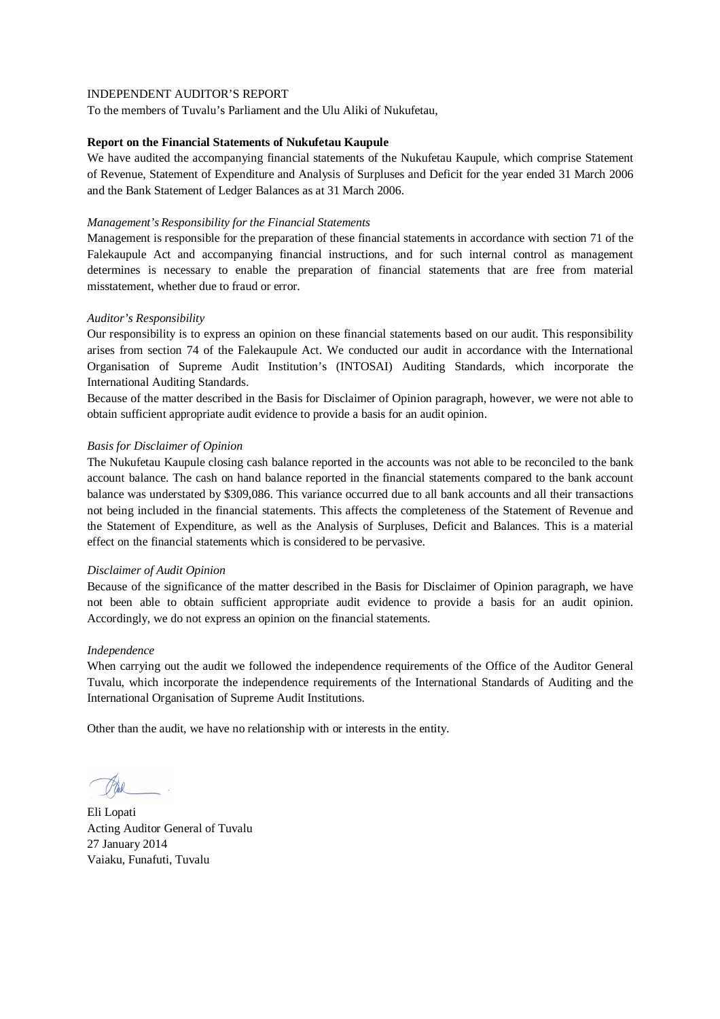To the members of Tuvalu's Parliament and the Ulu Aliki of Nukufetau,

#### **Report on the Financial Statements of Nukufetau Kaupule**

We have audited the accompanying financial statements of the Nukufetau Kaupule, which comprise Statement of Revenue, Statement of Expenditure and Analysis of Surpluses and Deficit for the year ended 31 March 2006 and the Bank Statement of Ledger Balances as at 31 March 2006.

#### *Management's Responsibility for the Financial Statements*

Management is responsible for the preparation of these financial statements in accordance with section 71 of the Falekaupule Act and accompanying financial instructions, and for such internal control as management determines is necessary to enable the preparation of financial statements that are free from material misstatement, whether due to fraud or error.

## *Auditor's Responsibility*

Our responsibility is to express an opinion on these financial statements based on our audit. This responsibility arises from section 74 of the Falekaupule Act. We conducted our audit in accordance with the International Organisation of Supreme Audit Institution's (INTOSAI) Auditing Standards, which incorporate the International Auditing Standards.

Because of the matter described in the Basis for Disclaimer of Opinion paragraph, however, we were not able to obtain sufficient appropriate audit evidence to provide a basis for an audit opinion.

## *Basis for Disclaimer of Opinion*

The Nukufetau Kaupule closing cash balance reported in the accounts was not able to be reconciled to the bank account balance. The cash on hand balance reported in the financial statements compared to the bank account balance was understated by \$309,086. This variance occurred due to all bank accounts and all their transactions not being included in the financial statements. This affects the completeness of the Statement of Revenue and the Statement of Expenditure, as well as the Analysis of Surpluses, Deficit and Balances. This is a material effect on the financial statements which is considered to be pervasive.

#### *Disclaimer of Audit Opinion*

Because of the significance of the matter described in the Basis for Disclaimer of Opinion paragraph, we have not been able to obtain sufficient appropriate audit evidence to provide a basis for an audit opinion. Accordingly, we do not express an opinion on the financial statements.

#### *Independence*

When carrying out the audit we followed the independence requirements of the Office of the Auditor General Tuvalu, which incorporate the independence requirements of the International Standards of Auditing and the International Organisation of Supreme Audit Institutions.

Eli Lopati Acting Auditor General of Tuvalu 27 January 2014 Vaiaku, Funafuti, Tuvalu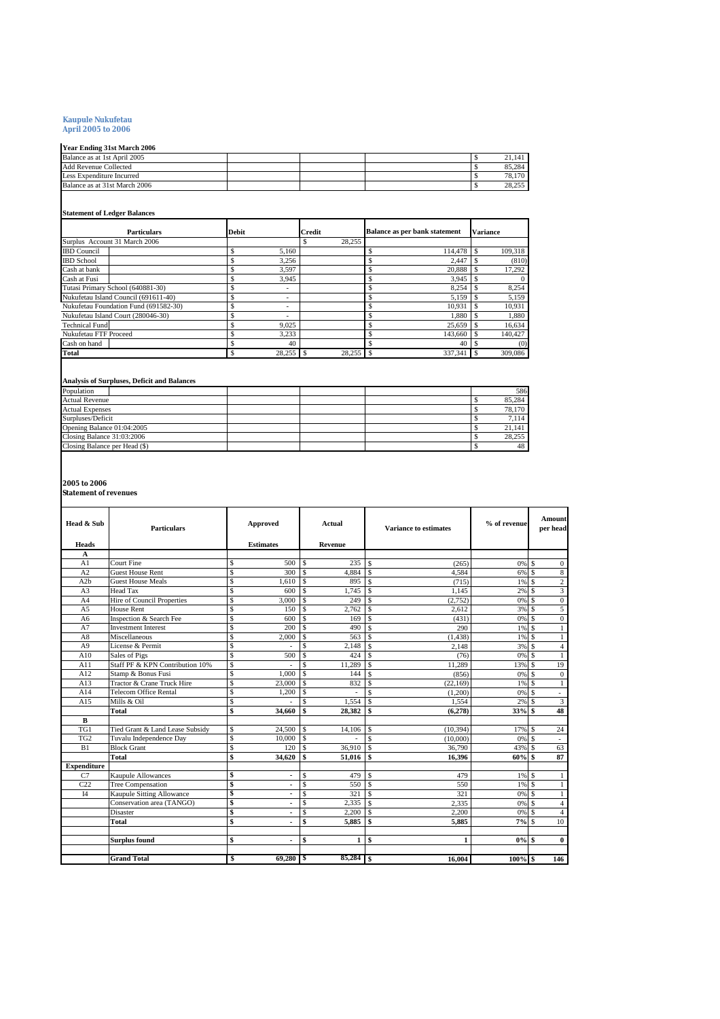# **Kaupule Nukufetau April 2005 to 2006**

| <b>Year Ending 31st March 2006</b> |  |  |        |
|------------------------------------|--|--|--------|
| Balance as at 1st April 2005       |  |  | 21.14  |
| <b>Add Revenue Collected</b>       |  |  | 85,284 |
| Less Expenditure Incurred          |  |  | 78,170 |
| Balance as at 31st March 2006      |  |  | 28,255 |

#### **Statement of Ledger Balances**

| <b>Particulars</b>                    | Debit |                          | Credit |    | <b>Balance as per bank statement</b> |   | <b>Variance</b> |
|---------------------------------------|-------|--------------------------|--------|----|--------------------------------------|---|-----------------|
| Surplus Account 31 March 2006         |       |                          | 28.255 |    |                                      |   |                 |
| <b>IBD</b> Council                    | \$    | 5.160                    |        |    | 114,478                              |   | 109,318         |
| <b>IBD</b> School                     |       | 3.256                    |        |    | 2.447                                |   | (810)           |
| Cash at bank                          |       | 3.597                    |        |    | 20.888                               |   | 17,292          |
| Cash at Fusi                          |       | 3,945                    |        |    | 3,945                                |   |                 |
| Tutasi Primary School (640881-30)     | S     | $\overline{\phantom{a}}$ |        |    | 8.254                                |   | 8,254           |
| Nukufetau Island Council (691611-40)  |       | $\overline{\phantom{a}}$ |        |    | 5.159                                |   | 5,159           |
| Nukufetau Foundation Fund (691582-30) | Ś     | $\overline{\phantom{a}}$ |        |    | 10.931                               |   | 10,931          |
| Nukufetau Island Court (280046-30)    |       | ۰                        |        |    | 1.880                                |   | 1,880           |
| <b>Technical Fund</b>                 |       | 9.025                    |        |    | 25.659                               |   | 16,634          |
| Nukufetau FTF Proceed                 | \$    | 3,233                    |        |    | 143,660                              |   | 140.427         |
| Cash on hand                          |       | 40                       |        |    | 40                                   |   | (0)             |
| Total                                 |       | 28,255                   | 28,255 | -S | 337.341                              | S | 309,086         |

#### **Analysis of Surpluses, Deficit and Balances**

| Population                    |  |  | 586    |
|-------------------------------|--|--|--------|
| <b>Actual Revenue</b>         |  |  | 85,284 |
| <b>Actual Expenses</b>        |  |  | 78,170 |
| Surpluses/Deficit             |  |  | 7,114  |
| Opening Balance 01:04:2005    |  |  | 21.14  |
| Closing Balance 31:03:2006    |  |  | 28,255 |
| Closing Balance per Head (\$) |  |  | 48     |

**2005 to 2006 Statement of revenues**

| Head & Sub         | <b>Particulars</b>              |             | Approved                 | Actual<br><b>Variance to estimates</b><br>Revenue |        | % of revenue |           | Amount<br>per head |      |                         |
|--------------------|---------------------------------|-------------|--------------------------|---------------------------------------------------|--------|--------------|-----------|--------------------|------|-------------------------|
| Heads<br>A         |                                 |             | <b>Estimates</b>         |                                                   |        |              |           |                    |      |                         |
| A <sub>1</sub>     | <b>Court Fine</b>               | S           | 500                      | S                                                 | 235    | l S          | (265)     | 0% \$              |      | $\mathbf{0}$            |
| A2                 | <b>Guest House Rent</b>         | Ŝ           | 300                      | \$.                                               | 4.884  | l s          | 4,584     | 6% \$              |      | 8                       |
| A2b                | <b>Guest House Meals</b>        | Ŝ           | 1.610                    | S                                                 | 895    | -S           | (715)     | $1\%$ \$           |      | $\boldsymbol{2}$        |
| A <sub>3</sub>     | <b>Head Tax</b>                 | Ŝ           | 600                      | Ŝ                                                 | 1.745  | -S           | 1.145     | $2\%$ S            |      | $\overline{3}$          |
| A <sub>4</sub>     | Hire of Council Properties      | Ŝ           | 3.000                    | Ŝ                                                 | 249    | -S           | (2,752)   | $0\%$ \$           |      | $\mathbf{0}$            |
| A <sub>5</sub>     | <b>House Rent</b>               | Ŝ           | 150                      | Ŝ                                                 | 2.762  | S            | 2.612     | 3% S               |      | $\overline{5}$          |
| A6                 | Inspection & Search Fee         | \$          | 600                      | Ŝ                                                 | 169    | -S           | (431)     |                    |      | $\mathbf{0}$            |
| A7                 | <b>Investment Interest</b>      | Ŝ           | 200                      | S                                                 | 490    | -S           | 290       | $1\%$ \$           |      | 1                       |
| A8                 | Miscellaneous                   | Ŝ           | 2.000                    | Ŝ                                                 | 563    | -S           | (1, 438)  | $1\%$ \$           |      | $\mathbf{1}$            |
| A <sup>9</sup>     | License & Permit                | S           |                          | \$.                                               | 2,148  | l S          | 2,148     | 3% \$              |      | $\overline{4}$          |
| A10                | Sales of Pigs                   | S           | 500                      | Ŝ                                                 | 424    | l s          | (76)      | 0% \$              |      | $\mathbf{1}$            |
| A11                | Staff PF & KPN Contribution 10% | Ŝ           |                          | $\hat{\mathbf{s}}$                                | 11.289 | l s          | 11.289    | 13% \$             |      | 19                      |
| A12                | Stamp & Bonus Fusi              | Ŝ           | 1.000                    | \$.                                               | 144    | -S           | (856)     | 0% \$              |      | $\overline{0}$          |
| A13                | Tractor & Crane Truck Hire      | S           | 23,000                   | \$.                                               | 832    | S            | (22.169)  | 1%                 | l S  | $\mathbf{1}$            |
| A14                | <b>Telecom Office Rental</b>    | $\mathbb S$ | 1.200                    | $\hat{\mathbf{s}}$                                |        | \$.          | (1,200)   |                    |      | $\sim$                  |
| A15                | Mills & Oil                     | Ŝ           |                          | Ś                                                 | 1.554  | S            | 1.554     | $2\%$ S            |      | $\overline{\mathbf{3}}$ |
|                    | <b>Total</b>                    | \$          | 34.660                   | $\mathbf{s}$                                      | 28.382 | $\mathbf{s}$ | (6,278)   | 33% \$             |      | 48                      |
| $\mathbf{B}$       |                                 |             |                          |                                                   |        |              |           |                    |      |                         |
| TGI                | Tied Grant & Land Lease Subsidy | Ŝ           | 24,500                   | S.                                                | 14,106 | -S           | (10, 394) | 17% \$             |      | 24                      |
| TG <sub>2</sub>    | Tuvalu Independence Day         | Ŝ           | 10,000                   | \$.                                               |        | <b>S</b>     | (10,000)  | 0% \$              |      | $\sim$                  |
| B1                 | <b>Block Grant</b>              | Ŝ           | 120                      | S                                                 | 36,910 | l s          | 36,790    | 43%                | il S | 63                      |
|                    | <b>Total</b>                    | \$          | 34.620                   | \$                                                | 51.016 | $\mathbf{s}$ | 16,396    | 60% \$             |      | 87                      |
| <b>Expenditure</b> |                                 |             |                          |                                                   |        |              |           |                    |      |                         |
| C7                 | <b>Kaupule Allowances</b>       | \$          |                          | Ŝ                                                 | 479    | -S           | 479       | $1\%$ \$           |      | -1                      |
| C22                | Tree Compensation               | \$          |                          | Ŝ                                                 | 550    | -S           | 550       | $1\%$ \$           |      | -1                      |
| I4                 | Kaupule Sitting Allowance       | \$          | $\overline{\phantom{0}}$ | Ŝ                                                 | 321    | -S           | 321       | 0% \$              |      | $\mathbf{1}$            |
|                    | Conservation area (TANGO)       | \$          | $\overline{\phantom{0}}$ | Ŝ                                                 | 2.335  | -S           | 2,335     | $0\%$ \$           |      | $\overline{4}$          |
|                    | Disaster                        | S           | ٠                        | Ŝ                                                 | 2.200  | <sub>S</sub> | 2.200     | 0% \$              |      | $\overline{4}$          |
|                    | Total                           | \$          |                          | \$                                                | 5,885  | -S           | 5,885     | 7%S                |      | 10                      |
|                    | <b>Surplus found</b>            | \$          | ٠                        | \$                                                | 1      | $\mathbf{s}$ | 1         | $0\%$ \$           |      | $\bf{0}$                |
|                    | <b>Grand Total</b>              | \$          | 69,280                   | - \$                                              |        |              | 16.004    | $100%$ \$          |      | 146                     |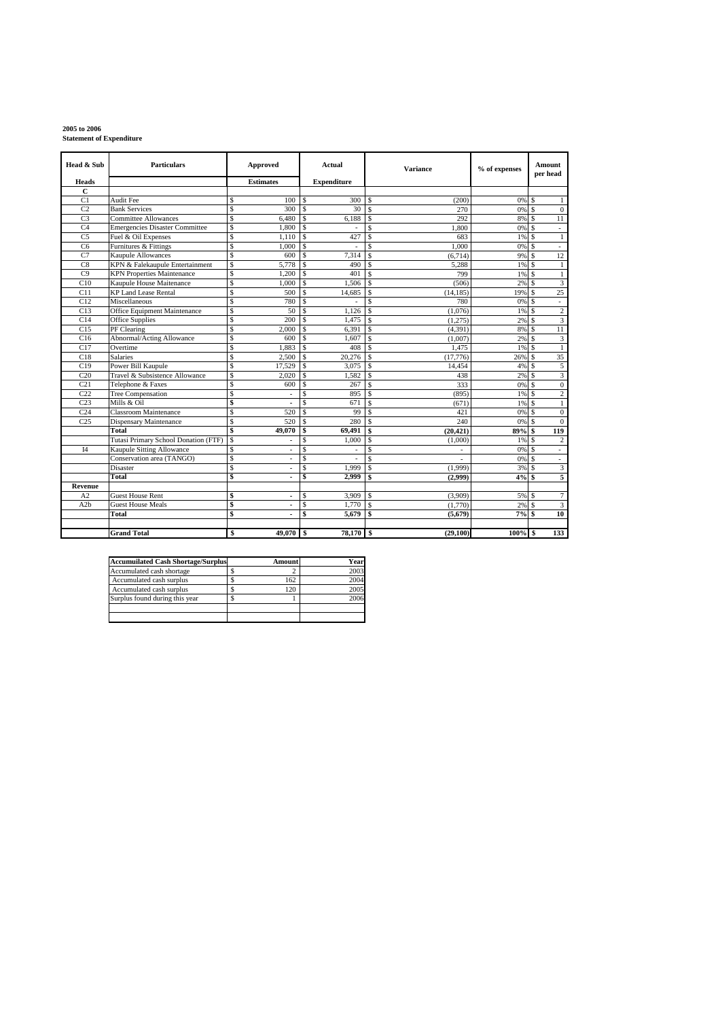# **2005 to 2006 Statement of Expenditure**

| Head & Sub      | <b>Particulars</b>                    |    | Approved         |             | Actual             | <b>Variance</b>                      | % of expenses |          | <b>Amount</b><br>per head |
|-----------------|---------------------------------------|----|------------------|-------------|--------------------|--------------------------------------|---------------|----------|---------------------------|
| Heads           |                                       |    | <b>Estimates</b> |             | <b>Expenditure</b> |                                      |               |          |                           |
| $\overline{c}$  |                                       |    |                  |             |                    |                                      |               |          |                           |
| C <sub>1</sub>  | Audit Fee                             | Ś  | 100              | \$          | 300                | S<br>(200)                           | 0%            | S        | $\mathbf{1}$              |
| C <sub>2</sub>  | <b>Bank Services</b>                  | Ŝ  | 300              | \$          | 30                 | <b>S</b><br>270                      | 0%            | <b>S</b> | $\mathbf{0}$              |
| C <sub>3</sub>  | <b>Committee Allowances</b>           | Ŝ  | 6,480            | \$          | 6,188              | 292<br>-S                            | 8%            | S.       | 11                        |
| C <sub>4</sub>  | <b>Emergencies Disaster Committee</b> | Ŝ  | 1,800            | \$          |                    | \$.<br>1.800                         | 0%            | <b>S</b> | $\overline{\phantom{a}}$  |
| C <sub>5</sub>  | Fuel & Oil Expenses                   | Ŝ  | 1,110            | \$          | 427                | <sup>\$</sup><br>683                 | 1%            | \$.      | $\mathbf{1}$              |
| C <sub>6</sub>  | Furnitures & Fittings                 | Ŝ  | 1,000            | Ŝ           | $\sim$             | \$.<br>1.000                         | 0%            | \$.      | $\omega$                  |
| C7              | <b>Kaupule Allowances</b>             | Ś. | 600              | \$.         | 7,314              | \$.<br>(6, 714)                      | 9%            | \$.      | 12                        |
| C8              | KPN & Falekaupule Entertainment       | \$ | 5,778            | \$          | 490                | <sup>\$</sup><br>5.288               | 1%            | -S       | $\mathbf{1}$              |
| C9              | <b>KPN</b> Properties Maintenance     | Ŝ  | 1,200            | \$          | 401                | $\mathcal{S}$<br>799                 | 1%            | <b>S</b> | $\,1\,$                   |
| C10             | Kaupule House Maitenance              | Ŝ  | 1.000            | S           | 1.506              | S<br>(506)                           | 2%            | <b>S</b> | $\overline{3}$            |
| C11             | <b>KP Land Lease Rental</b>           | Ŝ  | 500              | \$          | 14.685             | S<br>(14.185)                        | 19%           | \$.      | 25                        |
| C12             | Miscellaneous                         | Ŝ  | 780              | \$          |                    | \$.<br>780                           | 0%            | -S       | ÷,                        |
| C13             | Office Equipment Maintenance          | Ŝ  | 50               | \$          | 1.126              | $\mathcal{S}$<br>(1,076)             | 1%            | <b>S</b> | $\overline{2}$            |
| C14             | <b>Office Supplies</b>                | Ŝ  | 200              | \$          | 1,475              | <sup>\$</sup><br>(1,275)             | 2%            | S.       | $\overline{\mathbf{3}}$   |
| C15             | PF Clearing                           | Ś  | 2,000            | \$          | 6,391              | \$.<br>(4, 391)                      | 8%            | \$.      | $\overline{11}$           |
| C16             | <b>Abnormal/Acting Allowance</b>      | \$ | 600              | \$          | 1,607              | <sup>\$</sup><br>(1,007)             | 2%            | \$.      | $\mathfrak{Z}$            |
| C17             | Overtime                              | Ŝ  | 1.883            | \$          | 408                | <sub>S</sub><br>1,475                | 1%            | -S       | $\mathbf{1}$              |
| C18             | Salaries                              | Ŝ  | 2.500            | \$          | 20.276             | $\mathcal{S}$<br>(17,776)            | 26%           | \$.      | 35                        |
| C19             | Power Bill Kaupule                    | Ŝ  | 17,529           | \$.         | 3,075              | <sup>\$</sup><br>14,454              | 4%            | \$.      | 5                         |
| C20             | Travel & Subsistence Allowance        | Ś  | 2,020            | Ŝ           | 1,582              | <sup>\$</sup><br>438                 | 2%            | \$.      | $\overline{\mathbf{3}}$   |
| C <sub>21</sub> | Telephone & Faxes                     | Ŝ  | 600              | S           | 267                | \$.<br>333                           | 0%            | \$.      | $\mathbf{0}$              |
| C22             | <b>Tree Compensation</b>              | Ŝ  |                  | Ŝ           | 895                | -S<br>(895)                          | 1%            | -S       | $\overline{c}$            |
| C <sub>23</sub> | Mills & Oil                           | \$ |                  | \$          | 671                | <b>S</b><br>(671)                    | 1%            | \$.      | $\mathbf{1}$              |
| C24             | <b>Classroom Maintenance</b>          | Ś  | 520              | \$.         | 99                 | $\mathcal{S}$<br>421                 | 0%            | <b>S</b> | $\boldsymbol{0}$          |
| C <sub>25</sub> | Dispensary Maintenance                | Ŝ  | 520              | \$          | 280                | <b>S</b><br>240                      | 0%            | Ŝ        | $\mathbf{0}$              |
|                 | Total                                 | Ś  | 49,070           | \$          | 69,491             | $\mathbf{s}$<br>(20, 421)            | 89%           | \$.      | 119                       |
|                 | Tutasi Primary School Donation (FTF)  | Ŝ  |                  | S           | 1,000              | S<br>(1,000)                         | 1%            | <b>S</b> | $\overline{c}$            |
| I4              | <b>Kaupule Sitting Allowance</b>      | Ŝ  |                  | Ŝ           |                    | \$.                                  | 0%            | \$.      | ÷.                        |
|                 | Conservation area (TANGO)             | Ś  |                  | $\mathbb S$ | ÷,                 | $\mathbf{\hat{S}}$<br>$\overline{a}$ | 0%            | -S       | $\mathcal{L}$             |
|                 | <b>Disaster</b>                       | Ŝ  | ÷,               | \$          | 1.999              | <sup>\$</sup><br>(1,999)             | 3%            | Ŝ        | $\overline{\mathbf{3}}$   |
|                 | <b>Total</b>                          | \$ |                  | \$          | 2.999              | $\mathbf{s}$<br>(2,999)              | 4%            | \$       | 5                         |
| Revenue         |                                       |    |                  |             |                    |                                      |               |          |                           |
| A <sub>2</sub>  | Guest House Rent                      | \$ | $\blacksquare$   | Ŝ           | 3,909              | <b>S</b><br>(3,909)                  | 5%            | \$.      | $\tau$                    |
| A2b             | <b>Guest House Meals</b>              | \$ | ٠                | S           | 1,770              | S<br>(1.770)                         | 2%            | \$.      | $\overline{\mathbf{3}}$   |
|                 | Total                                 | \$ |                  | \$          | 5,679              | $\mathbf{s}$<br>(5,679)              | 7%            | \$       | 10                        |
|                 |                                       |    |                  |             |                    |                                      |               |          |                           |
|                 | <b>Grand Total</b>                    | \$ | 49,070           | \$          | 78,170             | (29,100)<br>\$                       | $100\%$ \$    |          | 133                       |

| <b>Accumuilated Cash Shortage/Surplus</b> | Amount | Year |
|-------------------------------------------|--------|------|
| Accumulated cash shortage                 |        | 2003 |
| Accumulated cash surplus                  | 162    | 2004 |
| Accumulated cash surplus                  | 120    | 2005 |
| Surplus found during this year            |        | 2006 |
|                                           |        |      |
|                                           |        |      |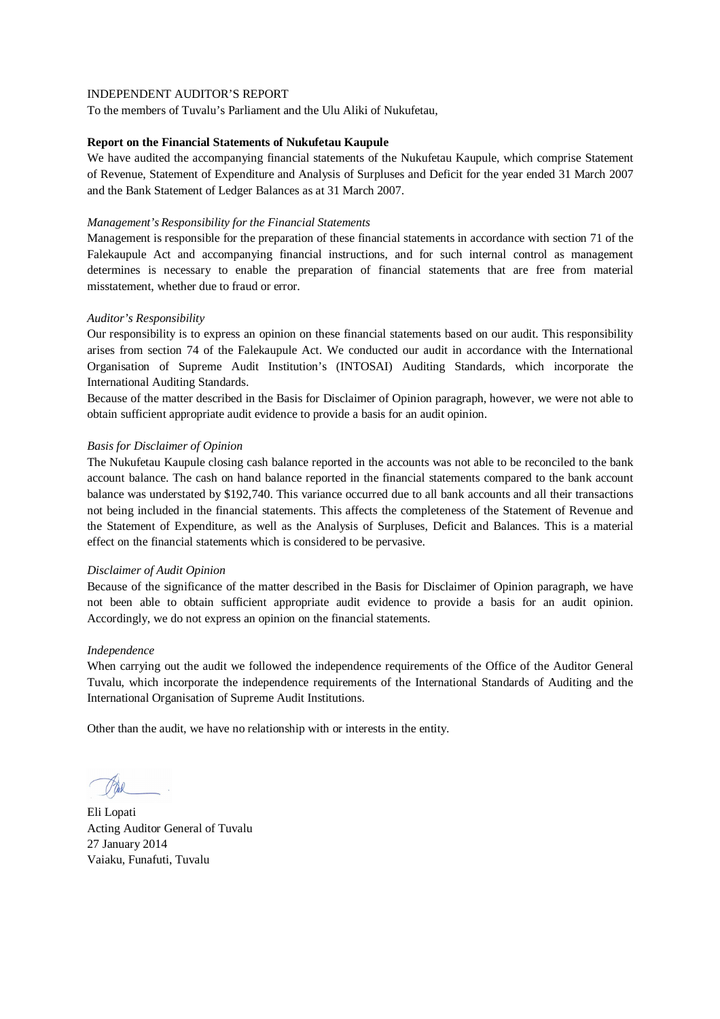To the members of Tuvalu's Parliament and the Ulu Aliki of Nukufetau,

#### **Report on the Financial Statements of Nukufetau Kaupule**

We have audited the accompanying financial statements of the Nukufetau Kaupule, which comprise Statement of Revenue, Statement of Expenditure and Analysis of Surpluses and Deficit for the year ended 31 March 2007 and the Bank Statement of Ledger Balances as at 31 March 2007.

#### *Management's Responsibility for the Financial Statements*

Management is responsible for the preparation of these financial statements in accordance with section 71 of the Falekaupule Act and accompanying financial instructions, and for such internal control as management determines is necessary to enable the preparation of financial statements that are free from material misstatement, whether due to fraud or error.

## *Auditor's Responsibility*

Our responsibility is to express an opinion on these financial statements based on our audit. This responsibility arises from section 74 of the Falekaupule Act. We conducted our audit in accordance with the International Organisation of Supreme Audit Institution's (INTOSAI) Auditing Standards, which incorporate the International Auditing Standards.

Because of the matter described in the Basis for Disclaimer of Opinion paragraph, however, we were not able to obtain sufficient appropriate audit evidence to provide a basis for an audit opinion.

## *Basis for Disclaimer of Opinion*

The Nukufetau Kaupule closing cash balance reported in the accounts was not able to be reconciled to the bank account balance. The cash on hand balance reported in the financial statements compared to the bank account balance was understated by \$192,740. This variance occurred due to all bank accounts and all their transactions not being included in the financial statements. This affects the completeness of the Statement of Revenue and the Statement of Expenditure, as well as the Analysis of Surpluses, Deficit and Balances. This is a material effect on the financial statements which is considered to be pervasive.

#### *Disclaimer of Audit Opinion*

Because of the significance of the matter described in the Basis for Disclaimer of Opinion paragraph, we have not been able to obtain sufficient appropriate audit evidence to provide a basis for an audit opinion. Accordingly, we do not express an opinion on the financial statements.

#### *Independence*

When carrying out the audit we followed the independence requirements of the Office of the Auditor General Tuvalu, which incorporate the independence requirements of the International Standards of Auditing and the International Organisation of Supreme Audit Institutions.

Eli Lopati Acting Auditor General of Tuvalu 27 January 2014 Vaiaku, Funafuti, Tuvalu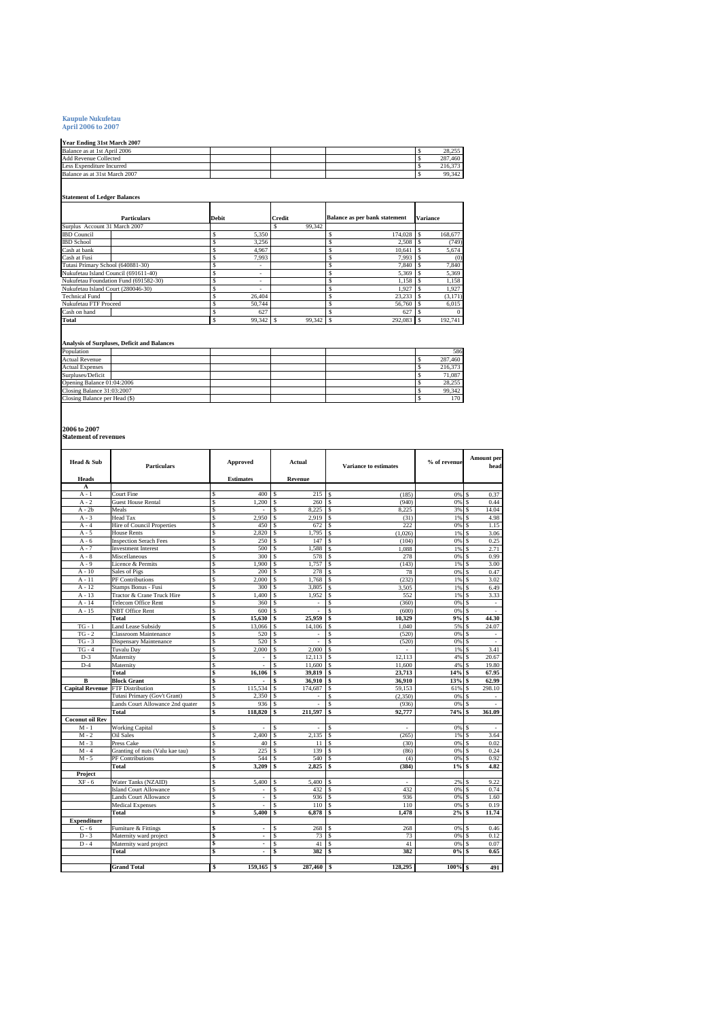# **Kaupule Nukufetau April 2006 to 2007**

## **Year Ending 31st March 2007**

| Year Ending 31st March 2007   |  |  |         |
|-------------------------------|--|--|---------|
| Balance as at 1st April 2006  |  |  | 28.255  |
| <b>Add Revenue Collected</b>  |  |  | 287.460 |
| Less Expenditure Incurred     |  |  | 216,373 |
| Balance as at 31st March 2007 |  |  | 99.342  |
|                               |  |  |         |

## **Statement of Ledger Balances**

| <b>Particulars</b>                    | <b>Debit</b> |                          | <b>Credit</b> | Balance as per bank statement | <b>Variance</b> |
|---------------------------------------|--------------|--------------------------|---------------|-------------------------------|-----------------|
| Surplus Account 31 March 2007         |              |                          | 99.342        |                               |                 |
| <b>IBD</b> Council                    |              | 5.350                    |               | 174,028 \$                    | 168,677         |
| <b>IBD</b> School                     |              | 3.256                    |               | 2.508                         | (749)           |
| Cash at bank                          |              | 4.967                    |               | 10.641<br>S                   | 5,674           |
| Cash at Fusi                          |              | 7.993                    |               | 7.993<br>ð.                   | (0)             |
| Tutasi Primary School (640881-30)     |              | $\overline{\phantom{a}}$ |               | 7.840                         | 7.840           |
| Nukufetau Island Council (691611-40)  |              | ۰                        |               | 5.369                         | 5.369           |
| Nukufetau Foundation Fund (691582-30) |              | -                        |               | 1.158                         | 1.158           |
| Nukufetau Island Court (280046-30)    |              | -                        |               | 1.927                         | 1.927           |
| <b>Technical Fund</b>                 |              | 26.404                   |               | 23.233                        | (3,171)         |
| Nukufetau FTF Proceed                 |              | 50.744                   |               | 56,760<br>s                   | 6.015           |
| Cash on hand                          |              | 627                      |               | 627                           | $\Omega$        |
| Total                                 |              | 99.342                   | 99.342        | 292,083 \$                    | 192.741         |

#### **Analysis of Surpluses, Deficit and Balances**

| Population                    |  |  | 586     |
|-------------------------------|--|--|---------|
| <b>Actual Revenue</b>         |  |  | 287,460 |
| <b>Actual Expenses</b>        |  |  | 216,373 |
| Surpluses/Deficit             |  |  | 71.087  |
| Opening Balance 01:04:2006    |  |  | 28,255  |
| Closing Balance 31:03:2007    |  |  | 99.342  |
| Closing Balance per Head (\$) |  |  | 170     |

**2006 to 2007 Statement of revenues**

| Head & Sub             | <b>Particulars</b>               |              | Approved         | Actual        |      | <b>Variance to estimates</b> | % of revenue | <b>Amount</b> per<br>head |
|------------------------|----------------------------------|--------------|------------------|---------------|------|------------------------------|--------------|---------------------------|
| Heads                  |                                  |              | <b>Estimates</b> | Revenue       |      |                              |              |                           |
| A                      |                                  |              |                  |               |      |                              |              |                           |
| $A - 1$                | Court Fine                       | S            | 400              | 215<br>\$.    | S    | (185)                        | 0%           | 0.37<br>s                 |
| $A - 2$                | <b>Guest House Rental</b>        | S            | 1,200            | S<br>260      | Ś    | (940)                        | 0%           | Ś<br>0.44                 |
| $A - 2b$               | Meals                            | Ś            |                  | 8,225         | Ś    | 8.225                        | 3%           | 14.04<br>s                |
| $A - 3$                | Head Tax                         | Ś            | 2.950            | 2.919<br>\$   | S    | (31)                         | 1%           | 4.98<br>s                 |
| $A - 4$                | Hire of Council Properties       | \$           | 450              | 672           | \$   | 222                          | 0%           | S<br>1.15                 |
| $A - 5$                | <b>House Rents</b>               | s            | 2.820            | 1.795<br>\$   | Ś    | (1.026)                      | 1%           | 3.06                      |
| $A - 6$                | <b>Inspection Serach Fees</b>    | \$           | 250              | 147<br>\$     | \$   | (104)                        | 0%           | 0.25<br>S                 |
| $A - 7$                | <b>Investment Interest</b>       | \$           | 500              | 1.588<br>\$   | \$   | 1.088                        | 1%           | S<br>2.71                 |
| $A - 8$                | Miscellaneous                    | \$           | 300              | \$<br>578     | \$   | 278                          | 0%           | 0.99<br>S                 |
| $A - 9$                | Licence & Permits                | \$           | 1,900            | \$<br>1,757   | \$   | (143)                        | 1%           | S<br>3.00                 |
| $A - 10$               | Sales of Pigs                    | \$           | 200              | \$<br>278     | \$   | 78                           | 0%           | S<br>0.47                 |
| $A - 11$               | PF Contributions                 | \$           | 2,000            | \$<br>1,768   | \$   | (232)                        | 1%           | 3.02<br>S                 |
| $A - 12$               | Stamps Bonus - Fusi              | S            | 300              | 3,805<br>\$.  | Ś    | 3,505                        | 1%           | 6.49<br>s                 |
| $A - 13$               | Tractor & Crane Truck Hire       | S            | 1.400            | 1,952<br>\$   |      | 552                          | 1%           | 3.33                      |
| $A - 14$               | Telecom Office Rent              | \$           | 360              | Ś.<br>×,      | Ś    | (360)                        | 0%           | s<br>÷.                   |
| $A - 15$               | NBT Office Rent                  | Ś            | 600              | ×,            | Ś    | (600)                        | 0%           | s<br>÷.                   |
|                        | Total                            | \$           | 15,630           | 25.959<br>\$  | \$   | 10,329                       | 9%           | 44.30<br>\$               |
| $TG - 1$               | <b>Land Lease Subsidy</b>        | Ś            | 13,066           | 14,106        | Ś    | 1.040                        | 5%           | 24.07                     |
| $TG - 2$               | Classroom Maintenance            | Ś            | 520              |               | Ś    | (520)                        | 0%           | S                         |
| $TG - 3$               | Dispensary Maintenance           | Ś            | 520              | ×,            | Ś    | (520)                        | 0%           | S<br>×                    |
| $TG - 4$               | Tuvalu Day                       | \$           | 2.000            | 2.000<br>\$   | \$   | ×.                           | 1%           | 3.41<br>S                 |
| $D-3$                  | Maternity                        | Ś            |                  | \$<br>12.113  | \$   | 12.113                       | 4%           | 20.67<br>s                |
| $D-4$                  | Maternity                        | \$           | ×.               | \$<br>11,600  | \$   | 11,600                       | 4%           | 19.80<br>s                |
|                        | Total                            | \$           | 16.106           | 39.819<br>\$  | \$   | 23.713                       | 14%          | 67.95<br>Ś                |
| В                      | <b>Block Grant</b>               | \$           | ٠                | 36.910<br>\$  | \$   | 36.910                       | 13%          | 62.99<br>\$               |
| <b>Capital Revenue</b> | <b>FTF</b> Distribution          | $\mathsf{s}$ | 115,534          | \$<br>174,687 | \$   | 59,153                       | 61%          | S<br>298.10               |
|                        | Tutasi Primary (Gov't Grant)     | \$           | 2,350            | \$            | \$   | (2.350)                      | 0%           | S                         |
|                        | Lands Court Allowance 2nd quater | \$           | 936              | \$<br>×,      | \$   | (936)                        | 0%           | S                         |
|                        | Total                            | \$           | 118.820          | \$<br>211.597 | \$   | 92,777                       | 74%          | Ś<br>361.09               |
| <b>Coconut oil Rev</b> |                                  |              |                  |               |      |                              |              |                           |
| $M - 1$                | <b>Working Capital</b>           | \$           |                  | \$            | Ś    |                              | 0%           | S                         |
| $M - 2$                | <b>Oil Sales</b>                 | \$           | 2.400            | 2.135<br>\$   | \$   | (265)                        | 1%           | 3.64<br>S                 |
| M - 3                  | Press Cake                       | Ś            | 40               | \$<br>11      | \$   | (30)                         | 0%           | 0.02<br>S                 |
| $M - 4$                | Granting of nuts (Valu kae tau)  | \$           | 225              | 139           | Ś    | (86)                         | 0%           | 0.24<br>S                 |
| $M - 5$                | PF Contributions                 | Ś            | 544              | 540           |      | (4)                          | 0%           | 0.92                      |
|                        | Total                            | \$           | 3,209            | 2,825<br>\$   | \$   | (384)                        | 1%           | 4.82<br>s                 |
| Project                |                                  |              |                  |               |      |                              |              |                           |
| $XF - 6$               | Water Tanks (NZAID)              | Ś            | 5,400            | 5,400         | Ś    | ×.                           | 2%           | 9.22                      |
|                        | <b>Island Court Allowance</b>    | Ś            |                  | 432           | Ś    | 432                          | 0%           | 0.74                      |
|                        | <b>Lands Court Allowance</b>     | Ś            | ä,               | 936<br>\$     | \$   | 936                          | 0%           | 1.60<br>s                 |
|                        | <b>Medical Expenses</b>          | \$           | ×,               | 110<br>\$     | \$   | 110                          | 0%           | 0.19<br>S                 |
|                        | Total                            | \$           | 5,400            | 6,878<br>\$   | \$   | 1.478                        | 2%           | Ś<br>11.74                |
| <b>Expenditure</b>     |                                  |              |                  |               |      |                              |              |                           |
| $C - 6$                | Furniture & Fittings             | \$           | $\blacksquare$   | 268<br>\$     | \$   | 268                          | 0%           | S<br>0.46                 |
| $D-3$                  | Maternity ward project           | \$           | $\blacksquare$   | 73<br>\$      | \$   | 73                           | 0%           | 0.12<br>S                 |
| $D-4$                  | Maternity ward project           | \$           | ٠                | 41<br>S       | \$   | 41                           | 0%           | 0.07<br>S                 |
|                        | Total                            | \$           |                  | 382<br>\$     | \$   | 382                          | 0%           | 0.65                      |
|                        |                                  |              |                  |               |      |                              |              |                           |
|                        | <b>Grand Total</b>               | \$           | $159,165$ \$     | 287,460       | l \$ | 128.295                      | 100% \$      | 491                       |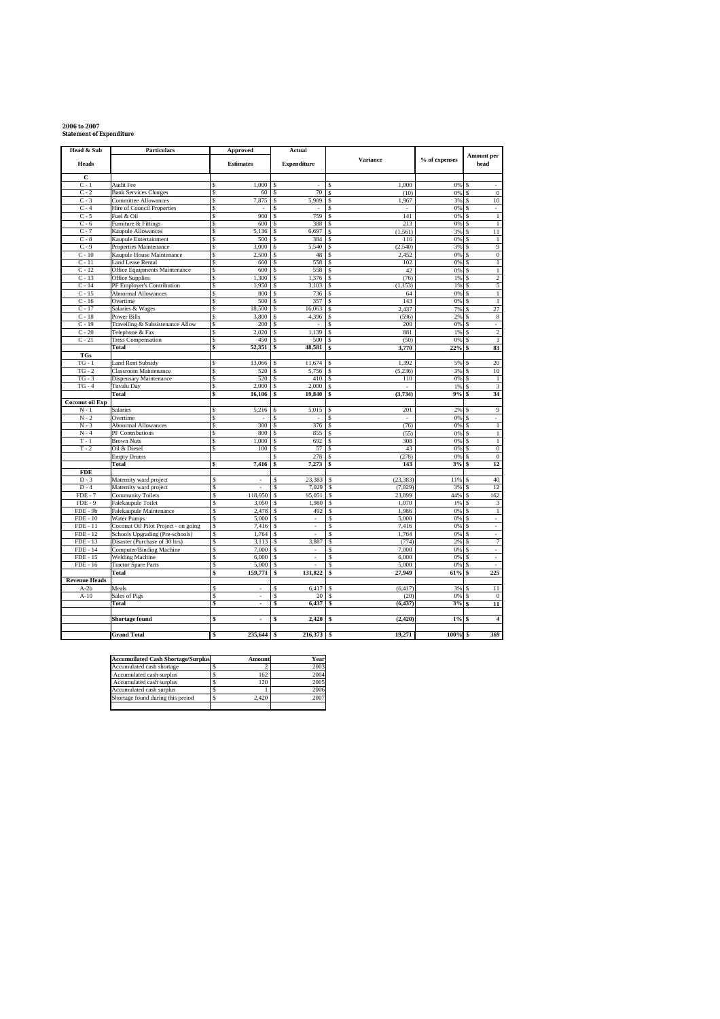## **2006 to 2007 Statement of Expenditure**

| Head & Sub             | <b>Particulars</b>                              | Approved                   | Actual                        |                                |               |                           |
|------------------------|-------------------------------------------------|----------------------------|-------------------------------|--------------------------------|---------------|---------------------------|
| <b>Heads</b>           |                                                 | <b>Estimates</b>           | <b>Expenditure</b>            | <b>Variance</b>                | % of expenses | <b>Amount per</b><br>head |
| C                      |                                                 |                            |                               |                                |               |                           |
| $C - 1$                | Audit Fee                                       | 1.000                      | ÷.                            | 1.000                          | 0%            |                           |
| $C - 2$                | <b>Bank Services Charges</b>                    | 60<br>\$                   | 70<br>\$                      | (10)<br>\$                     | 0%            | $\mathbf{0}$              |
| $C - 3$                | Committee Allowances                            | 7,875<br>\$                | \$<br>5,909                   | 1,967<br>\$                    | 3%            | 10                        |
| $C - 4$                | Hire of Council Properties                      | S                          | \$                            |                                | 0%            | ä,                        |
| $C - 5$                | Fuel & Oil                                      | 900<br>\$                  | 759<br>\$                     | 141<br>\$                      | 0%            | $\mathbf{1}$              |
| $C - 6$<br>$C - 7$     | Furniture & Fittings                            | \$<br>600<br>5,136<br>S    | 388<br>\$<br>6.697<br>\$      | 213<br>\$<br>(1, 561)<br>Ś     | 0%<br>3%      | $\,1$<br>s<br>11          |
| $C - 8$                | Kaupule Allowances<br>Kaupule Entertainment     | \$<br>500                  | 384<br>\$                     | \$<br>116                      | 0%            | $\,1$                     |
| $C - 9$                | Properties Maintenance                          | 3,000<br>\$                | \$<br>5,540                   | (2,540)<br>Ś                   | 3%            | 9<br>s                    |
| $C - 10$               | Kaupule House Maintenance                       | \$<br>2,500                | 48<br>\$                      | 2,452<br>Ś                     | 0%            | $\boldsymbol{0}$          |
| $C - 11$               | <b>Land Lease Rental</b>                        | \$<br>660                  | 558<br>\$                     | 102<br>\$                      | 0%            | $\mathbf{1}$              |
| $C - 12$               | Office Equipments Maintenance                   | \$<br>600                  | 558<br>\$                     | 42<br>S                        | 0%            | $\,1$                     |
| $C - 13$               | Office Supplies                                 | 1,300<br>\$                | 1,376<br>\$                   | \$<br>(76)                     | 1%            | $\overline{2}$            |
| $C - 14$               | PF Employer's Contribution                      | S<br>1,950                 | 3,103<br>\$                   | (1, 153)<br>$\mathbf{\hat{S}}$ | 1%            | 5                         |
| $C - 15$               | Abnormal Allowances                             | S<br>800                   | 736<br>\$                     | 64<br>S                        | 0%            | $\,1$                     |
| $C - 16$               | Overtime                                        | \$<br>500                  | 357<br>\$                     | 143<br>\$                      | 0%            | $\,1\,$                   |
| $C - 17$               | Salaries & Wages                                | s<br>18,500                | 16,063<br>\$                  | 2.437<br>\$                    | 7%            | 27<br>Ś                   |
| $C - 18$               | Power Bills                                     | \$<br>3,800                | 4,396<br>\$                   | (596)<br>\$                    | 2%            | $\bf 8$                   |
| $C - 19$               | Travelling & Subsistenance Allow                | \$<br>200                  | \$                            | 200                            | 0%            |                           |
| $C - 20$               | Telephone & Fax                                 | Ŝ<br>2,020                 | 1,139<br>\$                   | 881<br>\$.                     | 1%            | $\overline{2}$            |
| $C - 21$               | <b>Tress Compensation</b>                       | \$<br>450                  | 500<br>S                      | (50)<br>\$                     | 0%            | $\,1$                     |
|                        | Total                                           | \$<br>52,351               | \$<br>48,581                  | \$<br>3,770                    | 22%           | 83                        |
| <b>TGs</b><br>$TG - 1$ |                                                 | S                          |                               |                                |               | 20                        |
| $TG - 2$               | <b>Land Rent Subsidy</b>                        | 13,066<br>\$<br>520        | 11,674<br>\$<br>5,756         | 1,392<br>Ś<br>(5, 236)         | 5%<br>3%      | 10                        |
| $TG - 3$               | Classroom Maintenance<br>Dispensary Maintenance | Ŝ<br>520                   | \$<br>410                     | S<br>Ś<br>110                  | 0%            | $\,1$<br>s                |
| $TG - 4$               | Tuvalu Day                                      | 2,000<br>\$                | 2,000<br>S                    | S<br>×.                        | 1%            | $\overline{\mathbf{3}}$   |
|                        | Total                                           | Ś<br>16,106                | \$<br>19,840                  | (3,734)<br>\$                  | 9%            | 34                        |
| <b>Coconut oil Exp</b> |                                                 |                            |                               |                                |               |                           |
| N - 1                  | Salaries                                        | 5,216                      | 5,015                         | 201                            | 2%            | 9                         |
| $N - 2$                | Overtime                                        | Ś                          | S                             | S                              | 0%            |                           |
| $N - 3$                | <b>Abnormal Allowances</b>                      | 300<br>Ś                   | 376<br>Ś                      | (76)<br>\$                     | 0%            | $\overline{1}$            |
| $N - 4$                | PF Contributions                                | 800<br>S                   | 855<br>\$                     | (55)<br>\$                     | 0%            | $\mathbf{1}$              |
| $T - 1$                | <b>Brown Nuts</b>                               | \$<br>1,000                | \$<br>692                     | 308<br>\$                      | 0%            | $\overline{1}$            |
| $T - 2$                | Oil & Diesel                                    | 100<br>\$                  | 57<br>\$                      | 43<br>Ś                        | 0%            | $\overline{0}$            |
|                        | <b>Empty Drums</b>                              |                            | 278                           | (278)<br>\$                    | 0%            | $\mathbf{0}$<br>S         |
|                        | Total                                           | 7,416<br>\$                | 7,273<br>\$                   | \$<br>143                      | 3%            | 12                        |
| <b>FDE</b>             |                                                 |                            |                               |                                |               |                           |
| $\overline{D-3}$       | Maternity ward project                          | \$                         | 23.383<br>Ś                   | (23.383)<br>S                  | 11%           | 40                        |
| $D - 4$<br>$FDE - 7$   | Maternity ward project                          | \$<br>Ś<br>118,950         | 7,029<br>Ś<br>95,051<br>S     | (7,029)<br>s<br>23,899         | 3%<br>44%     | 12<br>162                 |
|                        | <b>Community Toilets</b>                        |                            | Ś                             | s<br>Ś                         |               |                           |
| $FDE - 9$<br>FDE - 9b  | Falekaupule Toilet<br>Falekaupule Maintenance   | \$<br>3,050<br>\$<br>2,478 | 1,980<br>492<br>Ś             | 1,070<br>1,986<br>\$           | 1%<br>0%      | 3<br>$\,1$                |
| $FDE - 10$             | Water Pumps                                     | \$<br>5,000                | S<br>ä,                       | 5,000<br>S                     | 0%            | ÷.                        |
| $FDE - 11$             | Coconut Oil Pilot Project - on going            | \$<br>7,416                | Ś<br>i,                       | 7,416<br>Ś                     | 0%            | J.                        |
| $FDE - 12$             | Schools Upgrading (Pre-schools)                 | \$<br>1,764                | S                             | 1,764<br>S                     | 0%            | ä,                        |
| FDE - 13               | Disaster (Purchase of 30 ltrs)                  | Ś<br>3,113                 | 3,887<br>Ś                    | (774)<br>S                     | 2%            | 7                         |
| <b>FDE</b> - 14        | Computer/Binding Machine                        | \$<br>7,000                | Ś                             | 7,000<br>Ś                     | 0%            | J.                        |
| FDE - 15               | <b>Welding Machine</b>                          | \$<br>6,000                | S<br>$\overline{\phantom{a}}$ | 6,000<br>S                     | 0%            | $\overline{\phantom{a}}$  |
| $FDE - 16$             | <b>Tractor Spare Parts</b>                      | \$<br>5,000                | S<br>ä,                       | 5,000<br>S                     | 0%            | ä,                        |
|                        | Total                                           | \$<br>159,771              | \$<br>131,822                 | 27,949<br>Ś                    | 61%           | 225                       |
| <b>Revenue Heads</b>   |                                                 |                            |                               |                                |               |                           |
| $A-2b$                 | Meals                                           | ä,                         | 6,417                         | (6, 417)                       | 3%            | $\overline{11}$           |
| $A-10$                 | Sales of Pigs                                   | \$                         | S<br>20                       | (20)                           | 0%            | $\overline{0}$            |
|                        | Total                                           | \$<br>٠                    | \$<br>6,437                   | (6, 437)<br>\$                 | 3%            | 11                        |
|                        | Shortage found                                  | \$<br>÷,                   | 2,420<br>\$                   | (2, 420)<br>\$                 | 1%            | $\overline{4}$            |
|                        |                                                 |                            |                               |                                |               |                           |
|                        | <b>Grand Total</b>                              | 235,644<br>\$              | 216,373<br>\$                 | 19,271<br>l \$                 | 100%          | 369<br>s                  |

| <b>Accumuilated Cash Shortage/Surplus</b> | Amount | Year |
|-------------------------------------------|--------|------|
| Accumulated cash shortage                 |        | 2003 |
| Accumulated cash surplus                  | 162    | 2004 |
| Accumulated cash surplus                  | 120    | 2005 |
| Accumulated cash surplus                  |        | 2006 |
| Shortage found during this period         | 2.420  | 2007 |
|                                           |        |      |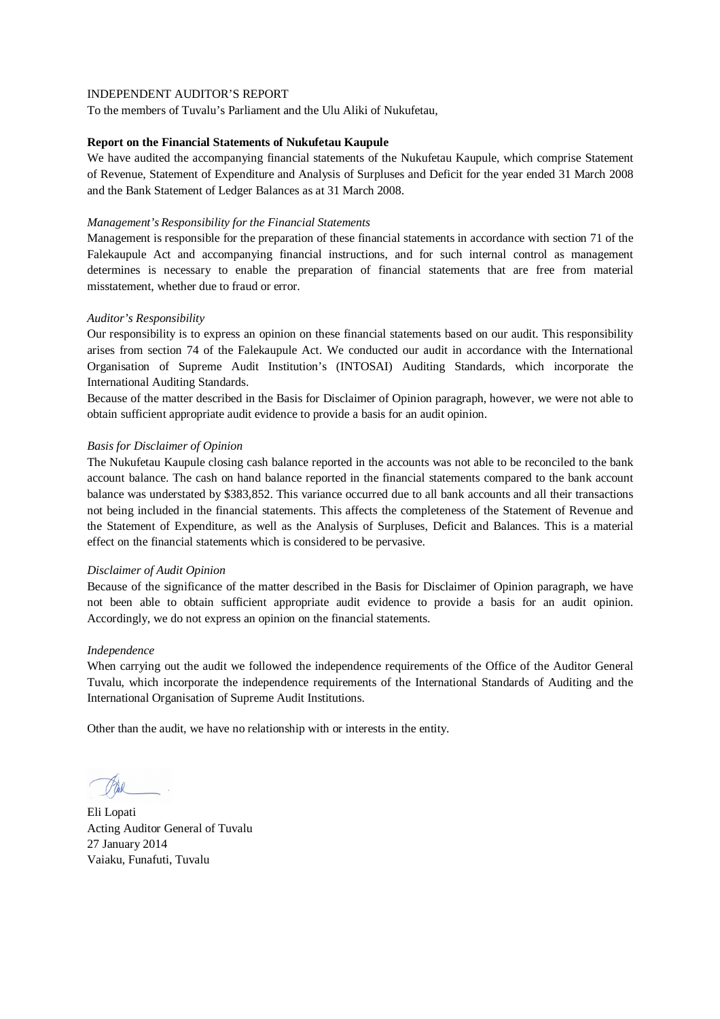To the members of Tuvalu's Parliament and the Ulu Aliki of Nukufetau,

#### **Report on the Financial Statements of Nukufetau Kaupule**

We have audited the accompanying financial statements of the Nukufetau Kaupule, which comprise Statement of Revenue, Statement of Expenditure and Analysis of Surpluses and Deficit for the year ended 31 March 2008 and the Bank Statement of Ledger Balances as at 31 March 2008.

#### *Management's Responsibility for the Financial Statements*

Management is responsible for the preparation of these financial statements in accordance with section 71 of the Falekaupule Act and accompanying financial instructions, and for such internal control as management determines is necessary to enable the preparation of financial statements that are free from material misstatement, whether due to fraud or error.

## *Auditor's Responsibility*

Our responsibility is to express an opinion on these financial statements based on our audit. This responsibility arises from section 74 of the Falekaupule Act. We conducted our audit in accordance with the International Organisation of Supreme Audit Institution's (INTOSAI) Auditing Standards, which incorporate the International Auditing Standards.

Because of the matter described in the Basis for Disclaimer of Opinion paragraph, however, we were not able to obtain sufficient appropriate audit evidence to provide a basis for an audit opinion.

## *Basis for Disclaimer of Opinion*

The Nukufetau Kaupule closing cash balance reported in the accounts was not able to be reconciled to the bank account balance. The cash on hand balance reported in the financial statements compared to the bank account balance was understated by \$383,852. This variance occurred due to all bank accounts and all their transactions not being included in the financial statements. This affects the completeness of the Statement of Revenue and the Statement of Expenditure, as well as the Analysis of Surpluses, Deficit and Balances. This is a material effect on the financial statements which is considered to be pervasive.

#### *Disclaimer of Audit Opinion*

Because of the significance of the matter described in the Basis for Disclaimer of Opinion paragraph, we have not been able to obtain sufficient appropriate audit evidence to provide a basis for an audit opinion. Accordingly, we do not express an opinion on the financial statements.

#### *Independence*

When carrying out the audit we followed the independence requirements of the Office of the Auditor General Tuvalu, which incorporate the independence requirements of the International Standards of Auditing and the International Organisation of Supreme Audit Institutions.

Eli Lopati Acting Auditor General of Tuvalu 27 January 2014 Vaiaku, Funafuti, Tuvalu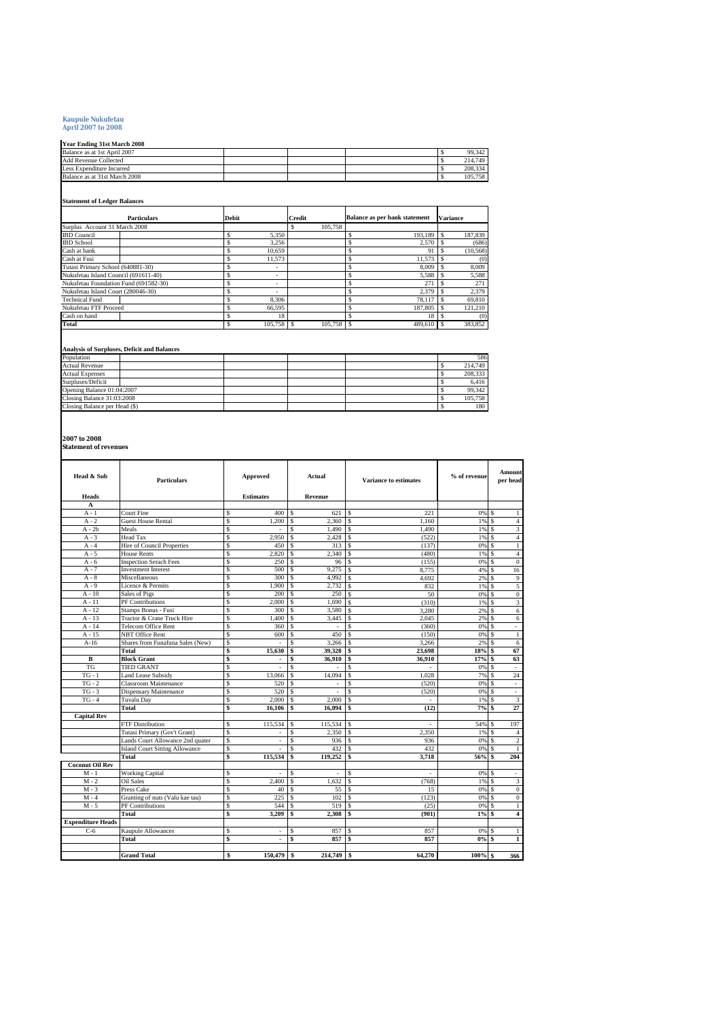# **Kaupule Nukufetau April 2007 to 2008**

# **Year Ending 31st March 2008**

| Balance as at 1st April 2007  |  |  |  |  | 99.342  |  |  |  |  |  |
|-------------------------------|--|--|--|--|---------|--|--|--|--|--|
| <b>Add Revenue Collected</b>  |  |  |  |  | 214.749 |  |  |  |  |  |
| Less Expenditure Incurred     |  |  |  |  | 208.334 |  |  |  |  |  |
| Balance as at 31st March 2008 |  |  |  |  | 105.758 |  |  |  |  |  |

# **Statement of Ledger Balances**

| <b>Particulars</b>                    | Debit                    | <b>Credit</b> | Balance as per bank statement | <b>Variance</b> |  |
|---------------------------------------|--------------------------|---------------|-------------------------------|-----------------|--|
| Surplus Account 31 March 2008         |                          | 105,758<br>ъ  |                               |                 |  |
| <b>IBD</b> Council                    | 5.350                    |               | 193.189                       | 187,839         |  |
| <b>IBD</b> School                     | 3.256                    |               | 2,570                         | (686)           |  |
| Cash at bank                          | 10.659                   |               | 9                             | (10, 568)       |  |
| Cash at Fusi                          | 11.573                   |               | 11.573                        | (0)             |  |
| Tutasi Primary School (640881-30)     | $\overline{\phantom{a}}$ |               | 8,009                         | 8,009           |  |
| Nukufetau Island Council (691611-40)  | ۰.                       |               | 5,588                         | 5,588           |  |
| Nukufetau Foundation Fund (691582-30) | ۰                        |               | 271                           | 271             |  |
| Nukufetau Island Court (280046-30)    | $\overline{\phantom{a}}$ |               | 2.379                         | 2.379           |  |
| <b>Technical Fund</b>                 | 8.306                    |               | 78.117                        | 69.810          |  |
| Nukufetau FTF Proceed                 | 66,595                   |               | 187,805                       | 121,210         |  |
| Cash on hand                          | 18                       |               | 18                            | (0)             |  |
| Total                                 | 105.758                  | 105,758 \$    | 489,610                       | 383.852         |  |
|                                       |                          |               |                               |                 |  |

# **Analysis of Surpluses, Deficit and Balances**

| Population                    |  |  |  |  |  | 586     |  |  |  |  |
|-------------------------------|--|--|--|--|--|---------|--|--|--|--|
| <b>Actual Revenue</b>         |  |  |  |  |  | 214,749 |  |  |  |  |
| <b>Actual Expenses</b>        |  |  |  |  |  | 208,333 |  |  |  |  |
| Surpluses/Deficit             |  |  |  |  |  | 6,416   |  |  |  |  |
| Opening Balance 01:04:2007    |  |  |  |  |  | 99.342  |  |  |  |  |
| Closing Balance 31:03:2008    |  |  |  |  |  | 105.758 |  |  |  |  |
| Closing Balance per Head (\$) |  |  |  |  |  | 180     |  |  |  |  |

**2007 to 2008 Statement of revenues**

| Head & Sub               | <b>Particulars</b>                    |    | Approved                 |                    | Actual  | Variance to estimates |        | % of revenue |               | Amount<br>per head      |
|--------------------------|---------------------------------------|----|--------------------------|--------------------|---------|-----------------------|--------|--------------|---------------|-------------------------|
| Heads                    |                                       |    | <b>Estimates</b>         |                    | Revenue |                       |        |              |               |                         |
| A                        |                                       |    |                          |                    |         |                       |        |              |               |                         |
| $A - 1$                  | <b>Court Fine</b>                     | Ŝ  | 400                      | \$                 | 621     | <sup>\$</sup>         | 221    | 0%           | -S            | 1                       |
| $A - 2$                  | <b>Guest House Rental</b>             | \$ | 1.200                    | \$                 | 2.360   | s                     | 1.160  | 1%           | S             | $\overline{4}$          |
| $A - 2b$                 | Meals                                 | \$ | $\overline{\phantom{a}}$ | \$                 | 1.490   | s                     | 1.490  | 1%           | S             | $\overline{\mathbf{3}}$ |
| $A - 3$                  | <b>Head Tax</b>                       | Ŝ  | 2.950                    | \$                 | 2.428   | $\mathbf{\hat{S}}$    | (522)  | 1%           | S             | $\overline{4}$          |
| $A - 4$                  | Hire of Council Properties            | \$ | 450                      | \$                 | 313     | <sup>\$</sup>         | (137)  | 0%           | <sup>\$</sup> | $\mathbf{1}$            |
| $A - 5$                  | <b>House Rents</b>                    | Ŝ  | 2.820                    | \$                 | 2.340   | <sup>\$</sup>         | (480)  | 1%           |               | $\overline{4}$          |
| $A - 6$                  | <b>Inspection Serach Fees</b>         | Ŝ  | 250                      | \$                 | 96      | <sup>\$</sup>         | (155)  | 0%           | S             | $\boldsymbol{0}$        |
| $A - 7$                  | <b>Investment Interest</b>            | Ŝ  | 500                      | \$                 | 9.275   | \$                    | 8,775  | 4%           | S             | 16                      |
| $A - 8$                  | Miscellaneous                         | Ŝ  | 300                      | $\mathsf{s}$       | 4.992   | <b>S</b>              | 4.692  | 2%           | .S            | 9                       |
| $A - 9$                  | Licence & Permits                     | Ŝ  | 1.900                    | \$                 | 2.732   | s                     | 832    | 1%           | S             | 5                       |
| $A - 10$                 | Sales of Pigs                         | Ŝ  | 200                      | \$                 | 250     | s                     | 50     | 0%           | S             | $\boldsymbol{0}$        |
| $A - 11$                 | PF Contributions                      | Ŝ  | 2.000                    | \$                 | 1.690   | \$.                   | (310)  | 1%           |               | $\sqrt{3}$              |
| $A - 12$                 | Stamps Bonus - Fusi                   | Ś  | 300                      | \$                 | 3,580   | s                     | 3.280  | 2%           |               | $\overline{6}$          |
| $A - 13$                 | Tractor & Crane Truck Hire            | Ŝ  | 1.400                    | \$                 | 3.445   | s                     | 2.045  | 2%           |               | $\overline{6}$          |
| $A - 14$                 | Telecom Office Rent                   | \$ | 360                      | \$                 | $\sim$  | S                     | (360)  | 0%           | S             | ÷.                      |
| $A - 15$                 | <b>NBT</b> Office Rent                | \$ | 600                      | \$                 | 450     | \$                    | (150)  | 0%           |               | $\,1$                   |
| $A-16$                   | Shares from Funafuna Sales (New)      | Ŝ  | ÷                        | \$                 | 3,266   | <sup>\$</sup>         | 3.266  | 2%           | S             | 6                       |
|                          | <b>Total</b>                          | \$ | 15,630                   | \$                 | 39.328  | \$                    | 23,698 | 18%          | \$            | 67                      |
| B                        | <b>Block Grant</b>                    | \$ | $\overline{\phantom{a}}$ | \$                 | 36.910  | <sup>s</sup>          | 36.910 | 17%          | \$            | 63                      |
| <b>TG</b>                | <b>TIED GRANT</b>                     | Ŝ  |                          | $\mathbf{\hat{S}}$ |         | \$.                   |        | 0%           |               | ×,                      |
| $TG - 1$                 | <b>Land Lease Subsidy</b>             | Ŝ  | 13,066                   | \$                 | 14,094  | <sup>\$</sup>         | 1.028  | 7%           |               | 24                      |
| $TG - 2$                 | <b>Classroom Maintenance</b>          | Ŝ  | 520                      | \$                 |         | \$                    | (520)  | 0%           | S             | ÷,                      |
| $TG - 3$                 | <b>Dispensary Maintenance</b>         | Ŝ  | 520                      | \$                 |         | s                     | (520)  | 0%           | .S            | ä,                      |
| $TG - 4$                 | <b>Tuvalu Day</b>                     | Ś  | 2,000                    | \$                 | 2,000   | \$.                   |        | 1%           |               | 3                       |
|                          | Total                                 | \$ | 16.106                   | \$                 | 16.094  | \$                    | (12)   | 7%           |               | 27                      |
| <b>Capital Rev</b>       |                                       |    |                          |                    |         |                       |        |              |               |                         |
|                          | <b>FTF</b> Distribution               | Ś  | 115,534                  | \$                 | 115,534 | <sup>\$</sup>         | $\sim$ | 54%          |               | 197                     |
|                          | Tutasi Primary (Gov't Grant)          | Ŝ  | $\overline{\phantom{a}}$ | \$                 | 2.350   | s                     | 2.350  | 1%           | S             | $\overline{4}$          |
|                          | Lands Court Allowance 2nd quater      | \$ | $\overline{\phantom{a}}$ | \$                 | 936     | s                     | 936    | 0%           | S             | $\overline{2}$          |
|                          | <b>Island Court Sitting Allowance</b> | Ŝ  | ٠                        | \$                 | 432     | \$.                   | 432    | 0%           | S             | $\mathbf{1}$            |
|                          | <b>Total</b>                          | \$ | 115,534                  | Ŝ                  | 119.252 | \$                    | 3.718  | 56%          | Ś             | 204                     |
| <b>Coconut Oil Rev</b>   |                                       |    |                          |                    |         |                       |        |              |               |                         |
| $M - 1$                  | <b>Working Capital</b>                | \$ | $\sim$                   | \$                 | $\sim$  | \$.                   | ÷      | 0%           | \$.           | ×                       |
| $M - 2$                  | <b>Oil Sales</b>                      | Ś  | 2.400                    | \$                 | 1.632   | <sup>\$</sup>         | (768)  | 1%           | S             | 3                       |
| $M - 3$                  | Press Cake                            | \$ | 40                       | \$                 | 55      | s                     | 15     | 0%           |               | $\boldsymbol{0}$        |
| $M - 4$                  | Granting of nuts (Valu kae tau)       | Ŝ. | 225                      | \$                 | 102     | <sup>\$</sup>         | (123)  | 0%           | s             | $\mathbf{0}$            |
| $M - 5$                  | PF Contributions                      | Ŝ  | 544                      | $\mathbf{\hat{S}}$ | 519     | \$.                   | (25)   | 0%           |               | $\mathbf{1}$            |
|                          | <b>Total</b>                          | \$ | 3.209                    | \$                 | 2,308   | Ŝ.                    | (901)  | 1%           | \$            | $\overline{4}$          |
| <b>Expenditure Heads</b> |                                       |    |                          |                    |         |                       |        |              |               |                         |
| $C-6$                    | Kaupule Allowances                    | Ŝ  | $\overline{\phantom{a}}$ | \$                 | 857     | <sup>\$</sup>         | 857    | 0%           |               | $\mathbf{1}$            |
|                          | <b>Total</b>                          | \$ |                          | \$                 | 857     | \$.                   | 857    | 0%           |               | $\mathbf{1}$            |
|                          |                                       |    |                          |                    |         |                       |        |              |               |                         |
|                          | <b>Grand Total</b>                    | \$ | 150,479                  | \$                 | 214,749 | l \$                  | 64,270 | 100%         | l \$          | 366                     |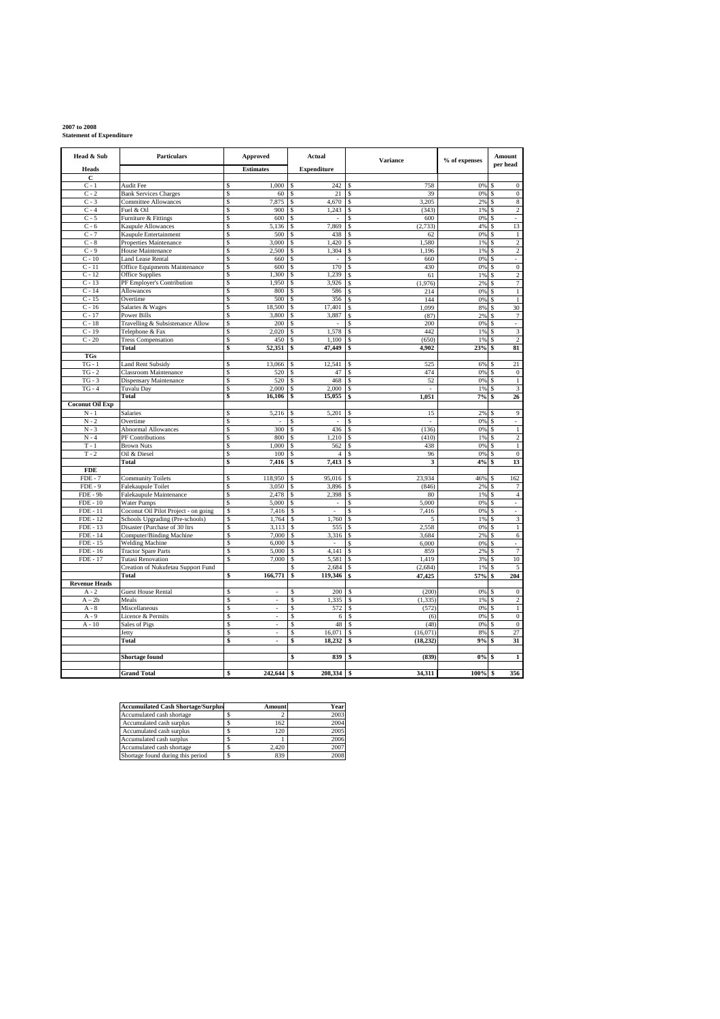# **2007 to 2008 Statement of Expenditure**

| Head & Sub                    | <b>Particulars</b>                                                      | Approved                   | Actual                         | <b>Variance</b>         | % of expenses | Amount<br>per head                      |
|-------------------------------|-------------------------------------------------------------------------|----------------------------|--------------------------------|-------------------------|---------------|-----------------------------------------|
| <b>Heads</b><br>C             |                                                                         | <b>Estimates</b>           | <b>Expenditure</b>             |                         |               |                                         |
| $C - 1$                       | <b>Audit Fee</b>                                                        | 1,000<br>\$                | 242<br>\$                      | 758<br>S                | 0%            | $\boldsymbol{0}$                        |
| $C - 2$                       | <b>Bank Services Charges</b>                                            | \$<br>60                   | <sup>\$</sup><br>21            | \$.<br>39               | 0%            | $\mathbf{0}$<br>-S                      |
| $C - 3$                       | Committee Allowances                                                    | \$<br>7,875                | \$<br>4,670                    | 3,205<br>s              | 2%            | 8<br>S                                  |
| $C - 4$                       | Fuel & Oil                                                              | \$<br>900                  | \$<br>1,243                    | (343)<br>\$             | 1%            | $\overline{2}$<br>s                     |
| $C - 5$                       | Furniture & Fittings                                                    | \$<br>600                  | \$<br>÷                        | 600                     | 0%            | s<br>÷,                                 |
| $C - 6$                       | Kaupule Allowances                                                      | \$<br>5,136                | 7,869<br>\$                    | (2, 733)<br>Ś           | 4%            | 13<br>Ś                                 |
| $C - 7$                       | Kaupule Entertainment                                                   | \$<br>500                  | \$<br>438                      | Ś<br>62                 | 0%            | $\,1$<br>s                              |
| $C - 8$                       | Properties Maintenance                                                  | s<br>3,000                 | 1,420<br>\$                    | 1.580<br>S              | 1%            | $\overline{2}$<br>s                     |
| $C-9$<br>$C - 10$             | House Maintenance                                                       | s<br>2,500<br>\$           | 1,304<br>\$                    | 1.196<br>Ś              | 1%            | $\overline{2}$<br>s                     |
| $C - 11$                      | <b>Land Lease Rental</b><br>Office Equipments Maintenance               | 660<br>\$<br>600           | \$<br>170<br>\$                | 660<br>S<br>S<br>430    | 0%<br>0%      | s<br>$\overline{0}$<br>s                |
| $C - 12$                      | <b>Office Supplies</b>                                                  | 1,300<br>S                 | \$<br>1.239                    | 61<br>S                 | 1%            | 2<br>s                                  |
| $C - 13$                      | PF Employer's Contribution                                              | \$<br>1,950                | \$<br>3,926                    | (1,976)<br>Ś            | 2%            | 7<br>\$                                 |
| $C - 14$                      | <b>Allowances</b>                                                       | Ŝ<br>800                   | \$<br>586                      | Ś<br>214                | 0%            | $\overline{1}$<br>s                     |
| $C - 15$                      | Overtime                                                                | \$<br>500                  | \$<br>356                      | 144<br>Ś                | 0%            | $\overline{1}$<br>S                     |
| $C - 16$                      | Salaries & Wages                                                        | s<br>18,500                | \$<br>17,401                   | 1.099<br>S              | 8%            | 30<br><sup>\$</sup>                     |
| $C - 17$                      | Power Bills                                                             | \$<br>3,800                | \$<br>3,887                    | Ś<br>(87)               | 2%            | $\overline{7}$<br>S                     |
| $C-18$                        | Travelling & Subsistenance Allow                                        | \$<br>200                  | \$                             | 200<br>S                | 0%            | s                                       |
| $C - 19$                      | Telephone & Fax                                                         | \$<br>2,020                | 1,578<br>\$                    | 442<br>S                | 1%            | $\overline{\mathbf{3}}$<br>S            |
| $C - 20$                      | <b>Tress Compensation</b>                                               | \$<br>450                  | \$<br>1.100                    | (650)<br>S              | 1%            | $\overline{2}$<br>-S                    |
|                               | Total                                                                   | \$<br>52,351               | 47,449<br>\$                   | 4,902                   | 23%           | 81                                      |
| <b>TGs</b>                    |                                                                         |                            |                                |                         |               |                                         |
| $TG - 1$                      | <b>Land Rent Subsidy</b>                                                | \$<br>13,066               | 12.541<br>\$                   | 525                     | 6%            | 21<br>s                                 |
| $TG - 2$                      | Classroom Maintenance                                                   | \$<br>520                  | \$<br>47                       | 474                     | 0%            | $\boldsymbol{0}$                        |
| $TG - 3$<br>$TG - 4$          | Dispensary Maintenance                                                  | \$<br>520<br>\$<br>2,000   | \$<br>468<br>2,000<br>S.       | 52<br>S<br>s            | 0%            | $\,1$<br>s<br>$\overline{\mathbf{3}}$   |
|                               | Tuvalu Day<br>Total                                                     | \$<br>16,106               | 15,055<br>\$                   | $\sim$<br>\$<br>1,051   | 1%<br>7%      | s<br>26<br>\$                           |
| <b>Coconut Oil Exp</b>        |                                                                         |                            |                                |                         |               |                                         |
| $N - 1$                       | <b>Salaries</b>                                                         | 5,216<br>\$                | 5,201<br>\$                    | 15<br>s                 | 2%            | 9<br>s                                  |
| $N - 2$                       | Overtime                                                                | \$                         | \$                             | ÷,<br>s                 | 0%            | <sup>\$</sup><br>ä,                     |
| $N - 3$                       | <b>Abnormal Allowances</b>                                              | \$<br>300                  | \$<br>436                      | (136)<br>Ś              | 0%            | $\,1$<br>Ś                              |
| $N - 4$                       | PF Contributions                                                        | \$<br>800                  | 1.210<br>\$                    | S<br>(410)              | 1%            | $\overline{c}$<br>s                     |
| $T-1$                         | <b>Brown Nuts</b>                                                       | S<br>1,000                 | 562<br>\$                      | 438<br>S                | 0%            | $\,1$<br><sup>\$</sup>                  |
| $T - 2$                       | Oil & Diesel                                                            | \$<br>100                  | \$<br>$\overline{4}$           | 96                      | 0%            | $\boldsymbol{0}$<br>S                   |
|                               | Total                                                                   | \$<br>7,416                | 7,413<br>\$                    | Ś<br>3                  | 4%            | 13<br>\$                                |
| <b>FDE</b>                    |                                                                         |                            |                                |                         |               |                                         |
| $FDE - 7$                     | <b>Community Toilets</b>                                                | \$<br>118,950              | 95,016<br>\$                   | 23,934                  | 46%           | 162                                     |
| $FDE - 9$                     | Falekaupule Toilet                                                      | \$<br>3,050                | 3,896<br>\$                    | (846)                   | 2%            | $\overline{7}$                          |
| FDE-9b                        | Falekaupule Maintenance                                                 | s<br>2,478                 | 2,398<br>\$                    | 80<br>S                 | 1%            | $\overline{4}$<br>s                     |
| $FDE - 10$                    | Water Pumps                                                             | \$<br>5,000                | \$<br>$\overline{\phantom{a}}$ | 5,000<br>\$             | 0%            | s<br>÷.                                 |
| <b>FDE</b> - 11<br>$FDE - 12$ | Coconut Oil Pilot Project - on going<br>Schools Upgrading (Pre-schools) | \$<br>7,416<br>\$<br>1,764 | \$<br>\$<br>1,760              | 7,416<br>S<br>Ś<br>5    | 0%<br>1%      | s<br>ä,<br>$\overline{\mathbf{3}}$<br>s |
| FDE - 13                      | Disaster (Purchase of 30 ltrs                                           | \$<br>3,113                | \$<br>555                      | 2,558<br>\$             | 0%            | $\mathbf{1}$<br>s                       |
| FDE - 14                      | Computer/Binding Machine                                                | \$<br>7,000                | 3,316<br>Ŝ                     | 3.684<br>s              | 2%            | 6<br>s                                  |
| $FDE - 15$                    | <b>Welding Machine</b>                                                  | \$<br>6,000                | \$                             | 6,000<br>S              | 0%            | s                                       |
| FDE - 16                      | <b>Tractor Spare Parts</b>                                              | \$<br>5,000                | \$<br>4,141                    | s<br>859                | 2%            | 7<br>s                                  |
| <b>FDE</b> - 17               | <b>Tutasi Renovation</b>                                                | Ś<br>7,000                 | 5,581<br>\$                    | 1,419<br>S              | 3%            | 10<br>S                                 |
|                               | Creation of Nukufetau Support Fund                                      |                            | 2,684<br>\$                    | (2,684)<br>S            | 1%            | $\sqrt{5}$<br><sup>\$</sup>             |
|                               | Total                                                                   | \$<br>166,771              | \$<br>119,346                  | 47,425<br>s             | 57%           | 204                                     |
| <b>Revenue Heads</b>          |                                                                         |                            |                                |                         |               |                                         |
| $A - 2$                       | <b>Guest House Rental</b>                                               | Ś<br>÷,                    | Ś<br>200                       | (200)                   | 0%            | $\boldsymbol{0}$<br>S                   |
| $A - 2b$                      | Meals                                                                   | \$                         | \$<br>1,335                    | (1, 335)<br>\$          | 1%            | $\,2$<br>S                              |
| $A - 8$<br>$A - 9$            | Miscellaneous<br>Licence & Permits                                      | s<br>÷.<br>\$              | Ŝ<br>572                       | \$<br>(572)             | 0%<br>0%      | $\mathbf{1}$<br>s<br>$\overline{0}$     |
| $A - 10$                      | Sales of Pigs                                                           | ä,<br>\$<br>J,             | \$<br>6<br>48<br>\$            | \$<br>(6)<br>(48)<br>\$ | 0%            | s<br>$\overline{0}$<br>S                |
|                               | Jetty                                                                   | \$                         | Ś<br>16,071                    | (16,071)<br>\$          | 8%            | 27                                      |
|                               | Total                                                                   | \$<br>÷,                   | \$<br>18,232                   | (18, 232)<br>\$         | 9%            | 31<br>\$                                |
|                               |                                                                         |                            |                                |                         |               |                                         |
|                               | Shortage found                                                          |                            | \$<br>839                      | \$<br>(839)             | 0%            | $\mathbf{1}$                            |
|                               |                                                                         |                            |                                |                         |               |                                         |
|                               | <b>Grand Total</b>                                                      | 242,644                    | 208,334<br>\$                  | 34,311<br>\$            | 100%          | 356<br>\$                               |

| <b>Accumuilated Cash Shortage/Surplus</b> | Amount | Year |
|-------------------------------------------|--------|------|
| Accumulated cash shortage                 |        | 2003 |
| Accumulated cash surplus                  | 162    | 2004 |
| Accumulated cash surplus                  | 120    | 2005 |
| Accumulated cash surplus                  |        | 2006 |
| Accumulated cash shortage                 | 2.420  | 2007 |
| Shortage found during this period         | 839    | 2008 |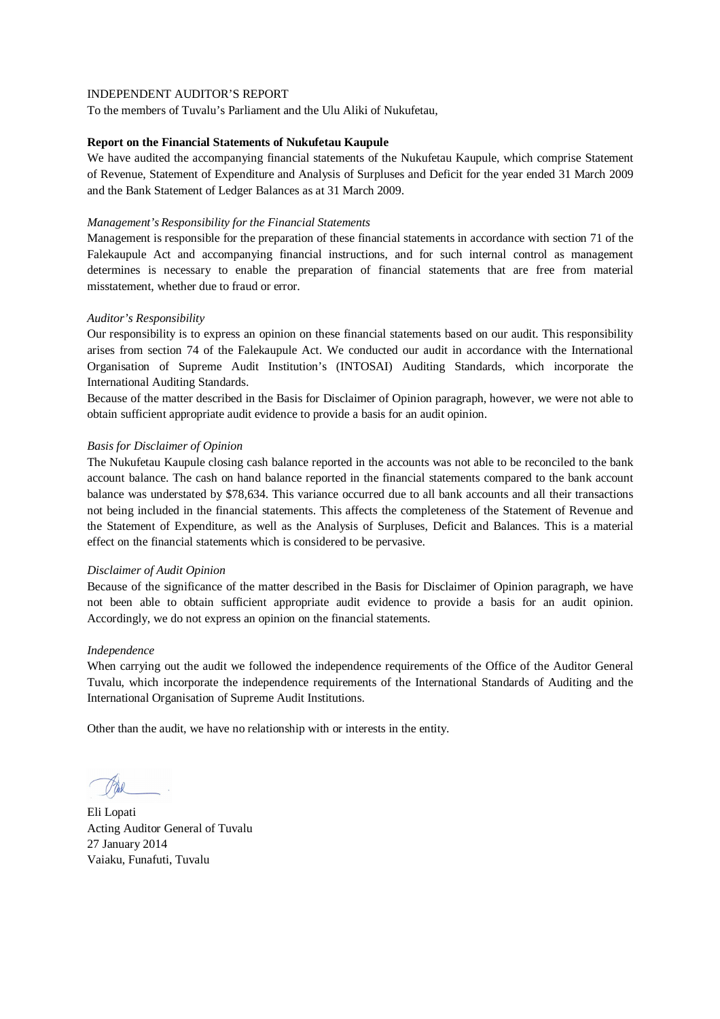To the members of Tuvalu's Parliament and the Ulu Aliki of Nukufetau,

#### **Report on the Financial Statements of Nukufetau Kaupule**

We have audited the accompanying financial statements of the Nukufetau Kaupule, which comprise Statement of Revenue, Statement of Expenditure and Analysis of Surpluses and Deficit for the year ended 31 March 2009 and the Bank Statement of Ledger Balances as at 31 March 2009.

#### *Management's Responsibility for the Financial Statements*

Management is responsible for the preparation of these financial statements in accordance with section 71 of the Falekaupule Act and accompanying financial instructions, and for such internal control as management determines is necessary to enable the preparation of financial statements that are free from material misstatement, whether due to fraud or error.

## *Auditor's Responsibility*

Our responsibility is to express an opinion on these financial statements based on our audit. This responsibility arises from section 74 of the Falekaupule Act. We conducted our audit in accordance with the International Organisation of Supreme Audit Institution's (INTOSAI) Auditing Standards, which incorporate the International Auditing Standards.

Because of the matter described in the Basis for Disclaimer of Opinion paragraph, however, we were not able to obtain sufficient appropriate audit evidence to provide a basis for an audit opinion.

## *Basis for Disclaimer of Opinion*

The Nukufetau Kaupule closing cash balance reported in the accounts was not able to be reconciled to the bank account balance. The cash on hand balance reported in the financial statements compared to the bank account balance was understated by \$78,634. This variance occurred due to all bank accounts and all their transactions not being included in the financial statements. This affects the completeness of the Statement of Revenue and the Statement of Expenditure, as well as the Analysis of Surpluses, Deficit and Balances. This is a material effect on the financial statements which is considered to be pervasive.

#### *Disclaimer of Audit Opinion*

Because of the significance of the matter described in the Basis for Disclaimer of Opinion paragraph, we have not been able to obtain sufficient appropriate audit evidence to provide a basis for an audit opinion. Accordingly, we do not express an opinion on the financial statements.

#### *Independence*

When carrying out the audit we followed the independence requirements of the Office of the Auditor General Tuvalu, which incorporate the independence requirements of the International Standards of Auditing and the International Organisation of Supreme Audit Institutions.

Eli Lopati Acting Auditor General of Tuvalu 27 January 2014 Vaiaku, Funafuti, Tuvalu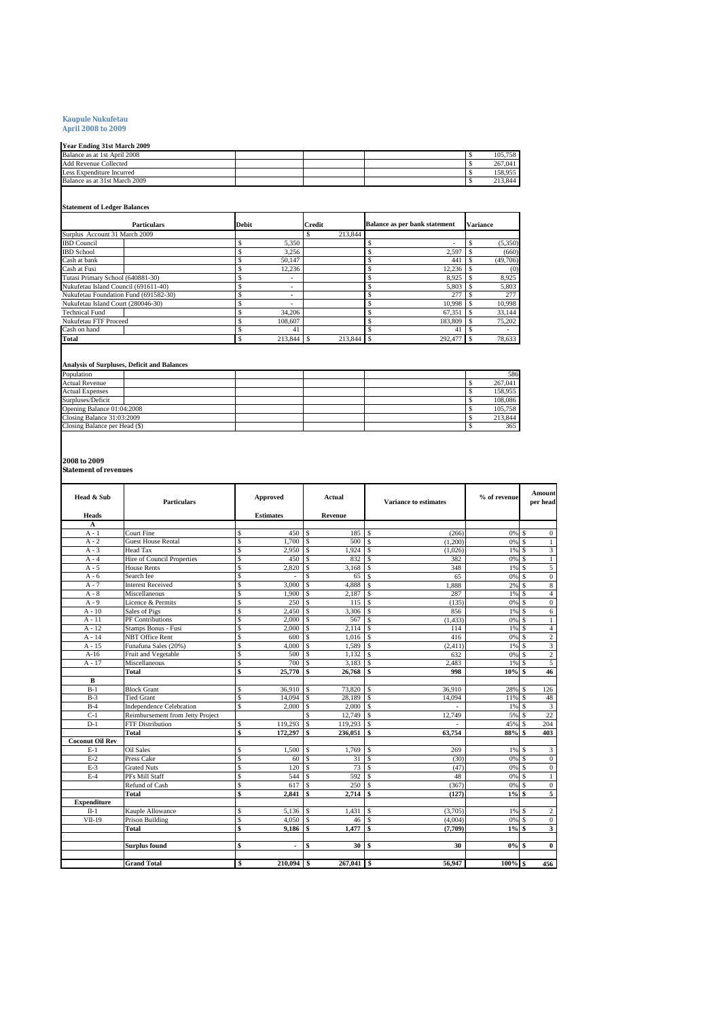# **Kaupule Nukufetau April 2008 to 2009**

#### **Year Ending 31st March 2009**

| тем вичше это маген дооз      |  |  |         |
|-------------------------------|--|--|---------|
| Balance as at 1st April 2008  |  |  | 105.758 |
| <b>Add Revenue Collected</b>  |  |  | 267.041 |
| Less Expenditure Incurred     |  |  | 158.955 |
| Balance as at 31st March 2009 |  |  | 213,844 |

#### **Statement of Ledger Balances**

|                                       | <b>Particulars</b> | <b>Debit</b> | <b>Credit</b> | <b>Balance as per bank statement</b> | <b>Variance</b> |
|---------------------------------------|--------------------|--------------|---------------|--------------------------------------|-----------------|
| Surplus Account 31 March 2009         |                    |              | 213,844       |                                      |                 |
| <b>IBD</b> Council                    |                    | 5.350        |               | ۰                                    | (5,350)         |
| <b>IBD</b> School                     |                    | 3.256        |               | 2.597                                | (660)           |
| Cash at bank                          |                    | 50.147       |               | \$<br>441                            | (49,706)        |
| Cash at Fusi                          |                    | 12.236       |               | 12,236                               | (0)             |
| Tutasi Primary School (640881-30)     |                    | ۰            |               | \$<br>8.925                          | 8,925           |
| Nukufetau Island Council (691611-40)  |                    | ۰            |               | \$<br>5,803                          | 5,803           |
| Nukufetau Foundation Fund (691582-30) |                    | ۰            |               | \$<br>277                            | 277             |
| Nukufetau Island Court (280046-30)    |                    | ۰            |               | \$<br>10.998                         | 10,998          |
| <b>Technical Fund</b>                 |                    | 34,206       |               | \$<br>67.351                         | 33,144          |
| Nukufetau FTF Proceed                 |                    | 108,607      |               | 183,809                              | 75,202          |
| Cash on hand                          |                    | 41           |               | 41                                   |                 |
| Total                                 |                    | 213,844      | 213,844       | 292,477<br>l S                       | 78,633          |

#### **Analysis of Surpluses, Deficit and Balances**

| Population                    |  |  | 586     |
|-------------------------------|--|--|---------|
| <b>Actual Revenue</b>         |  |  | 267,041 |
| <b>Actual Expenses</b>        |  |  | 158,955 |
| Surpluses/Deficit             |  |  | 108,086 |
| Opening Balance 01:04:2008    |  |  | 105.758 |
| Closing Balance 31:03:2009    |  |  | 213,844 |
| Closing Balance per Head (\$) |  |  | 365     |

**2008 to 2009 Statement of revenues**

| Head & Sub             | <b>Particulars</b>               | <b>Approved</b>                  | Actual                           | <b>Variance to estimates</b> | % of revenue | Amount<br>per head                 |
|------------------------|----------------------------------|----------------------------------|----------------------------------|------------------------------|--------------|------------------------------------|
| <b>Heads</b>           |                                  | <b>Estimates</b>                 | <b>Revenue</b>                   |                              |              |                                    |
| A                      | <b>Court Fine</b>                | \$<br>450                        | 185                              |                              |              |                                    |
| $A - 1$<br>$A - 2$     | <b>Guest House Rental</b>        | \$<br>1.700                      | \$<br>\$<br>500                  | \$<br>(266)<br>$\mathcal{S}$ | 0%<br>0% S   | -S<br>$\mathbf{0}$                 |
| $A - 3$                | Head Tax                         | \$<br>2,950                      | \$<br>1.924                      | (1,200)<br>\$                | 1%           | $\mathbf{1}$<br>3<br>$\mathcal{S}$ |
| $A - 4$                | Hire of Council Properties       | s<br>450                         | 832<br>\$.                       | (1.026)<br>\$                | 0% S         | $1\,$                              |
| $A - 5$                | House Rents                      | \$<br>2,820                      | \$<br>3,168                      | 382<br><b>S</b><br>348       | 1%           | 5<br>$\mathcal{S}$                 |
| $A - 6$                | Search fee                       | \$                               | $\overline{\mathbf{s}}$<br>65    | $\mathbf{s}$<br>65           | 0%           | $\boldsymbol{0}$<br><sup>S</sup>   |
| $A - 7$                | <b>Interest Received</b>         | \$<br>3,000                      | \$<br>4,888                      | \$<br>1,888                  | 2%           | 8<br>$\mathcal{S}$                 |
| $A - 8$                | Miscellaneous                    | \$<br>1,900                      | \$<br>2,187                      | \$<br>287                    | 1%           | $\overline{4}$<br>-S               |
| $A - 9$                | Licence & Permits                | \$<br>250                        | 115<br>\$                        | $\mathcal{S}$<br>(135)       | 0% S         | $\overline{0}$                     |
| $A - 10$               | Sales of Pigs                    | $\overline{\mathbf{s}}$<br>2,450 | \$<br>3,306                      | \$.<br>856                   | 1%           | <sup>\$</sup><br>6                 |
| $A - 11$               | PF Contributions                 | \$<br>2.000                      | \$<br>567                        | \$.<br>(1.433)               | 0%           | -S<br>$\mathbf{1}$                 |
| $A - 12$               | Stamps Bonus - Fusi              | \$<br>2.000                      | 2.114<br>\$.                     | $\mathcal{S}$<br>114         | 1% \$        | $\overline{4}$                     |
| $A - 14$               | <b>NBT</b> Office Rent           | \$<br>600                        | $\overline{\mathbf{s}}$<br>1,016 | $\mathbf{s}$<br>416          | 0%           | $\overline{2}$<br>-S               |
| $A - 15$               | Funafuna Sales (20%)             | \$<br>4,000                      | \$<br>1,589                      | \$<br>(2, 411)               | 1%           | 3<br>-S                            |
| $A-16$                 | Fruit and Vegetable              | \$<br>500                        | $\mathsf{s}$<br>1,132            | $\mathcal{S}$<br>632         | 0% S         | $\overline{c}$                     |
| A - 17                 | Miscellaneous                    | \$<br>700                        | $\mathbf{\hat{S}}$<br>3,183      | $\mathcal{S}$<br>2,483       | 1%           | 5<br>-S                            |
|                        | Total                            | \$<br>25,770                     | \$<br>26,768                     | \$<br>998                    | $10%$ \$     | 46                                 |
| B                      |                                  |                                  |                                  |                              |              |                                    |
| $B-1$                  | <b>Block Grant</b>               | \$<br>36.910                     | \$<br>73,820                     | <sup>\$</sup><br>36.910      | 28%          | 126<br>-S                          |
| $B-3$                  | <b>Tied Grant</b>                | \$<br>14,094                     | \$<br>28.189                     | <sup>\$</sup><br>14,094      | 11%          | 48<br><sup>S</sup>                 |
| $B-4$                  | <b>Independence Celebration</b>  | \$<br>2,000                      | \$<br>2,000                      | \$                           | 1%           | 3<br>$\mathcal{S}$                 |
| $C-1$                  | Reimbursement from Jetty Project |                                  | 12,749<br>\$.                    | $\mathbf{s}$<br>12,749       | 5%           | 22<br>-S                           |
| $D-1$                  | <b>FTF Distribution</b>          | \$<br>119,293                    | $\mathsf{s}$<br>119,293          | $\mathbf{s}$                 | 45%          | 204<br>S                           |
|                        | Total                            | \$<br>172,297                    | \$<br>236,051                    | \$<br>63,754                 | 88%          | 403<br>\$                          |
| <b>Coconut Oil Rev</b> |                                  |                                  |                                  |                              |              |                                    |
| $E-1$                  | <b>Oil Sales</b>                 | 1,500<br>\$                      | 1,769<br>\$                      | <sup>\$</sup><br>269         | 1%           | 3<br><sup>S</sup>                  |
| $E-2$                  | Press Cake                       | \$<br>60                         | \$<br>31                         | $\mathbf{s}$<br>(30)         | 0% \$        | $\mathbf{0}$                       |
| $E-3$                  | <b>Grated Nuts</b>               | \$<br>120                        | \$<br>73                         | \$<br>(47)                   | 0% \$        | $\mathbf{0}$                       |
| $E-4$                  | PFs Mill Staff                   | \$<br>544                        | \$<br>592                        | 48<br><b>S</b>               | 0%           | $\mathbf{1}$<br>$\mathcal{S}$      |
|                        | Refund of Cash                   | \$<br>617                        | \$<br>250                        | \$<br>(367)                  | 0%           | $\boldsymbol{0}$<br>-S             |
|                        | Total                            | \$<br>2.841                      | 2.714<br>\$                      | \$<br>(127)                  | $1\%$        | 5<br>- \$                          |
| <b>Expenditure</b>     |                                  |                                  |                                  |                              |              |                                    |
| $II-1$                 | Kauple Allowance                 | \$<br>5,136                      | \$<br>1.431                      | \$<br>(3.705)                | $1\%$ S      | $\overline{c}$                     |
| $VII-19$               | <b>Prison Building</b>           | \$<br>4.050                      | \$<br>46                         | <sup>\$</sup><br>(4.004)     | 0%           | $\mathbf{0}$<br>-S                 |
|                        | Total                            | \$<br>9.186                      | 1,477<br>\$                      | \$<br>(7,709)                | $1\%$ \$     | 3                                  |
|                        |                                  |                                  |                                  |                              |              |                                    |
|                        | <b>Surplus found</b>             | \$<br>$\overline{a}$             | \$<br>30                         | \$<br>30                     | $0\%$ \$     | $\bf{0}$                           |
|                        |                                  |                                  |                                  |                              |              |                                    |
|                        | <b>Grand Total</b>               | $210.094$ \$<br>\$               | 267,041                          | l \$<br>56.947               | $100%$ \$    | 456                                |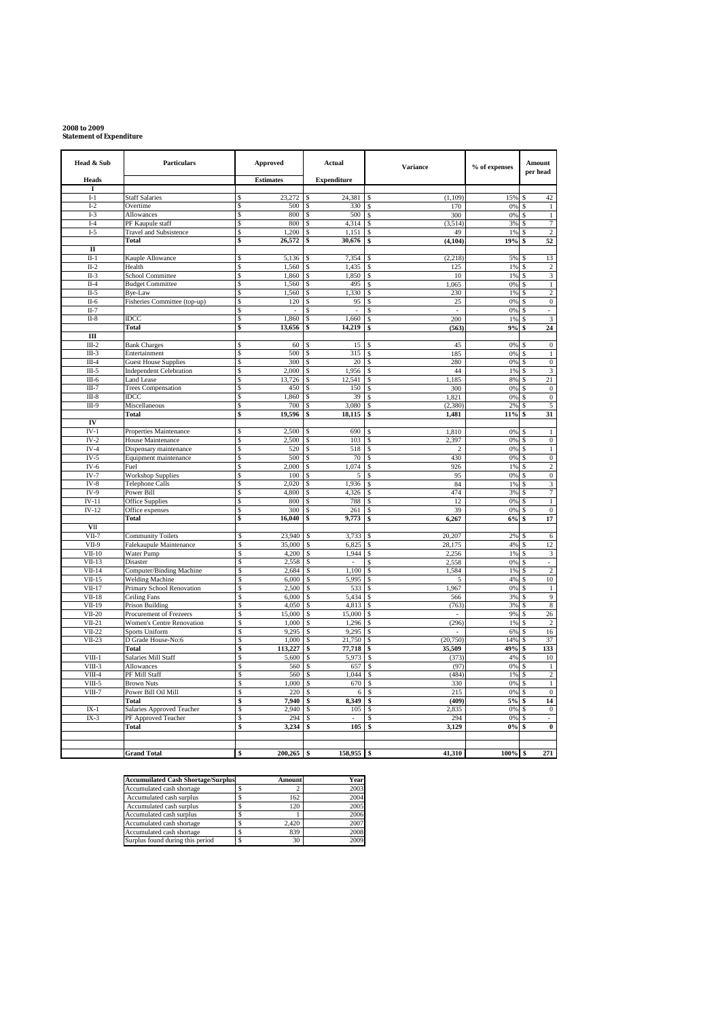# **2008 to 2009 Statement of Expenditure**

| Head & Sub              | <b>Particulars</b>                                            | Approved                          | Actual                      | <b>Variance</b>                | % of expenses | Amount<br>per head                    |  |
|-------------------------|---------------------------------------------------------------|-----------------------------------|-----------------------------|--------------------------------|---------------|---------------------------------------|--|
| <b>Heads</b>            |                                                               | <b>Estimates</b>                  | <b>Expenditure</b>          |                                |               |                                       |  |
| I<br>$I-1$              | Staff Salaries                                                | 23,272<br>\$                      | 24,381<br>\$                | (1, 109)                       | 15%           | 42                                    |  |
| $I-2$                   | Overtime                                                      | \$<br>500                         | \$<br>330                   | 170<br>\$                      | $0\%$         | $\,1\,$<br>S                          |  |
| $I-3$                   | Allowances                                                    | \$<br>800                         | 500<br>\$                   | 300<br>\$                      | 0%            | \$<br>$\,1$                           |  |
| $I-4$                   | PF Kaupule staff                                              | \$<br>800                         | 4,314<br>\$                 | (3, 514)<br>\$<br>49           | 3%            | 7<br>\$                               |  |
| $I-5$                   | <b>Travel and Subsistence</b><br>Total                        | \$<br>1,200<br>\$<br>26,572       | 1,151<br>\$<br>30,676<br>\$ | \$<br>(4, 104)<br>\$           | 1%<br>19%     | $\overline{2}$<br>Ś<br>52<br>\$       |  |
| $\mathbf{I}$            |                                                               |                                   |                             |                                |               |                                       |  |
| $II-1$                  | Kauple Allowance                                              | 5,136<br>\$                       | 7.354<br>\$                 | (2, 218)                       | 5%            | 13<br>S                               |  |
| $II-2$                  | Health                                                        | 1,560<br>\$                       | 1,435<br>\$                 | 125<br>\$                      | 1%            | $\overline{c}$<br>\$                  |  |
| $II-3$                  | <b>School Committee</b>                                       | \$<br>1,860                       | 1,850<br>\$                 | 10<br>Ś                        | 1%            | 3<br>Ś                                |  |
| $II-4$                  | <b>Budget Committee</b>                                       | $\overline{\mathcal{S}}$<br>1,560 | \$<br>495                   | 1,065<br>\$                    | 0%            | $\mathbf{1}$<br>Ś                     |  |
| $II-5$<br>$II-6$        | Bye-Law<br>Fisheries Committee (top-up)                       | \$<br>1,560<br>120<br>\$          | 1,330<br>\$<br>\$<br>95     | 230<br>\$<br>25<br>Ś           | 1%<br>0%      | $\overline{c}$<br>$\overline{0}$<br>Ś |  |
| $\Pi - 7$               |                                                               | s                                 | \$                          | S<br>×.                        | 0%            | Ś<br>ä,                               |  |
| $II-8$                  | IDCC                                                          | \$<br>1,860                       | 1,660<br>\$                 | 200<br>\$                      | 1%            | 3<br>Ś                                |  |
|                         | <b>Total</b>                                                  | \$<br>13,656                      | 14,219<br>\$                | (563)<br>\$                    | 9%            | 24<br>\$                              |  |
| $\overline{\mathbf{H}}$ |                                                               |                                   |                             |                                |               |                                       |  |
| $III-2$                 | <b>Bank Charges</b>                                           | 60<br>\$                          | 15<br>\$                    | 45                             | 0%            | $\boldsymbol{0}$                      |  |
| $III-3$                 | Entertainment                                                 | \$<br>500                         | 315<br>\$                   | 185<br>\$.                     | $0\%$         | $\,1$<br>S                            |  |
| $III-4$<br>$III-5$      | <b>Guest House Supplies</b><br><b>Independent Celebration</b> | 300<br>\$<br>\$<br>2,000          | $20\,$<br>\$<br>1,956<br>\$ | 280<br>44<br>\$                | 0%<br>1%      | $\,0\,$<br>3<br>Ś                     |  |
| $III-6$                 | <b>Land Lease</b>                                             | \$<br>13,726                      | 12,541<br>\$                | 1,185<br>\$                    | 8%            | $\overline{21}$<br>Ś                  |  |
| $III-7$                 | <b>Trees Compensation</b>                                     | \$<br>450                         | 150<br>S                    | 300<br>-S                      | 0%            | $\mathbf{0}$<br>S                     |  |
| $III-8$                 | IDCC                                                          | 1,860<br>\$                       | \$<br>39                    | 1,821<br>S.                    | 0%            | $\bf{0}$<br>S                         |  |
| $III-9$                 | Miscellaneous                                                 | \$<br>700                         | 3,080<br>\$                 | (2.380)<br>$\hat{\mathbf{x}}$  | 2%            | 5<br>S                                |  |
|                         | <b>Total</b>                                                  | \$<br>19,596                      | 18,115<br>\$                | \$<br>1,481                    | 11%           | \$<br>31                              |  |
| IV<br>$IV-1$            |                                                               | 2,500<br>\$                       | 690<br>S                    | 1,810                          | 0%            |                                       |  |
| $IV-2$                  | Properties Maintenance<br>House Maintenance                   | \$<br>2,500                       | 103                         | 2.397                          | 0%            | $\mathbf{1}$<br>$\boldsymbol{0}$      |  |
| $IV-4$                  | Dispensary maintenance                                        | \$<br>520                         | 518<br>\$                   | $\overline{2}$<br>\$.          | 0%            | $\,1$<br>Ś                            |  |
| $IV-5$                  | Equipment maintenance                                         | \$<br>500                         | 70<br>\$.                   | 430<br>\$                      | 0%            | $\boldsymbol{0}$<br>S                 |  |
| $IV-6$                  | Fuel                                                          | 2,000<br>\$                       | 1,074<br>\$                 | 926<br>\$                      | 1%            | $\,2$<br>Ś                            |  |
| $IV-7$                  | <b>Workshop Supplies</b>                                      | \$<br>100                         | \$<br>5                     | 95                             | 0%            | $\overline{0}$<br>S                   |  |
| $IV-8$                  | Telephone Calls                                               | \$<br>2,020                       | \$<br>1,936                 | 84                             | 1%            | 3<br>S                                |  |
| $IV-9$<br>$IV-11$       | Power Bill<br>Office Supplies                                 | \$<br>4,800<br>\$<br>800          | 4,326<br>\$<br>788<br>\$    | 474<br>\$.<br>12               | 3%<br>0%      | 7                                     |  |
| $IV-12$                 | Office expenses                                               | \$<br>300                         | 261<br>\$                   | 39<br>\$                       | 0%            | $\,1$<br>$\boldsymbol{0}$             |  |
|                         | Total                                                         | \$<br>16,040                      | 9,773<br>\$                 | 6,267<br>\$                    | 6%            | Ś<br>17                               |  |
| VII                     |                                                               |                                   |                             |                                |               |                                       |  |
| $VII-7$                 | <b>Community Toilets</b>                                      | 23,940<br>s                       | 3,733<br>\$                 | 20,207<br>S.                   | 2%            | 6<br>S                                |  |
| VII-9                   | Falekaupule Maintenance                                       | S<br>35,000                       | \$<br>6,825                 | 28,175<br>\$                   | 4%            | 12<br>S                               |  |
| $VII-10$                | Water Pump                                                    | 4.200<br>Ŝ                        | 1.944<br>\$                 | \$<br>2,256<br>\$              | 1%            | \$<br>3<br>$\overline{a}$             |  |
| $VII-13$<br>$VII-14$    | Disaster<br>Computer/Binding Machine                          | S<br>2,558<br>S<br>2,684          | \$<br>1,100<br>\$           | 2,558<br>1,584<br>$\mathbf{s}$ | 0%<br>1%      | \$<br>$\overline{2}$<br>\$            |  |
| $VII-15$                | <b>Welding Machine</b>                                        | \$<br>6,000                       | 5,995<br>\$                 | 5                              | 4%            | 10                                    |  |
| $VII-17$                | Primary School Renovation                                     | S<br>2,500                        | \$<br>533                   | 1,967<br>\$                    | 0%            | $1\,$<br>S                            |  |
| $VII-18$                | Ceiling Fans                                                  | \$<br>6,000                       | 5,434<br>\$                 | 566<br>\$                      | 3%            | 9                                     |  |
| $VII-19$                | <b>Prison Building</b>                                        | \$<br>4,050                       | 4,813<br>\$                 | (763)<br><b>S</b>              | 3%            | $\,$ 8 $\,$<br>S                      |  |
| $VII-20$                | Procurement of Frezeers                                       | S<br>15,000                       | \$<br>15,000                | <sup>\$</sup><br>÷,            | 9%            | 26                                    |  |
| $VII-21$<br>$VII-22$    | Women's Centre Renovation<br><b>Sports Uniform</b>            | 1,000<br>S<br>S<br>9,295          | 1,296<br>\$<br>9,295<br>\$  | (296)<br>$\mathbf{s}$<br>\$    | 1%<br>6%      | $\overline{c}$<br>16<br>Ś             |  |
| $VII-23$                | D Grade House-No:6                                            | S<br>1,000                        | 21,750<br>\$                | (20, 750)<br><b>S</b>          | 14%           | 37<br>S                               |  |
|                         | <b>Total</b>                                                  | \$<br>113,227                     | 77,718<br>\$                | 35,509<br>\$                   | 49%           | 133                                   |  |
| $VIII-1$                | Salaries Mill Staff                                           | \$<br>5,600                       | 5,973<br>\$                 | (373)<br>\$                    | 4%            | 10<br>S                               |  |
| $VIII-3$                | <b>Allowances</b>                                             | \$<br>560                         | \$<br>657                   | (97)<br>\$                     | 0%            | $\,1$<br>Ś                            |  |
| $VIII-4$                | PF Mill Staff                                                 | s<br>560                          | 1,044<br>\$                 | (484)<br>\$                    | 1%            | $\overline{2}$<br>Ś                   |  |
| $VIII-5$                | <b>Brown Nuts</b><br>Power Bill Oil Mill                      | S<br>1,000<br>S<br>220            | 670<br>\$<br>\$             | 330<br>\$<br>\$                | 0%<br>0%      | $\mathbf{1}$<br>S                     |  |
| $VIII-7$                | Total                                                         | 7.940<br>\$                       | 6<br>8.349<br>\$            | 215<br>(409)<br>\$             | 5%            | $\mathbf{0}$<br>14<br>\$              |  |
| $IX-1$                  | Salaries Approved Teacher                                     | $\mathsf{s}$<br>2,940             | \$<br>105                   | 2,835<br>$\mathbf{\hat{S}}$    | 0%            | \$<br>$\boldsymbol{0}$                |  |
| $IX-3$                  | PF Approved Teacher                                           | S<br>294                          | \$                          | 294<br>\$                      | 0%            | \$<br>$\overline{a}$                  |  |
|                         | Total                                                         | \$<br>3,234                       | 105<br>\$                   | 3,129<br>\$                    | 0%            | $\pmb{0}$                             |  |
|                         |                                                               |                                   |                             |                                |               |                                       |  |
|                         |                                                               |                                   |                             |                                |               |                                       |  |
|                         | <b>Grand Total</b>                                            | 200,265                           | 158,955<br>\$               | 41,310                         | 100%          | 271<br>\$                             |  |

| <b>Accumuilated Cash Shortage/Surplus</b> | Amount | Year |
|-------------------------------------------|--------|------|
| Accumulated cash shortage                 |        | 2003 |
| Accumulated cash surplus                  | 162    | 2004 |
| Accumulated cash surplus                  | 120    | 2005 |
| Accumulated cash surplus                  |        | 2006 |
| Accumulated cash shortage                 | 2.420  | 2007 |
| Accumulated cash shortage                 | 839    | 2008 |
| Surplus found during this period          | 30     | 2009 |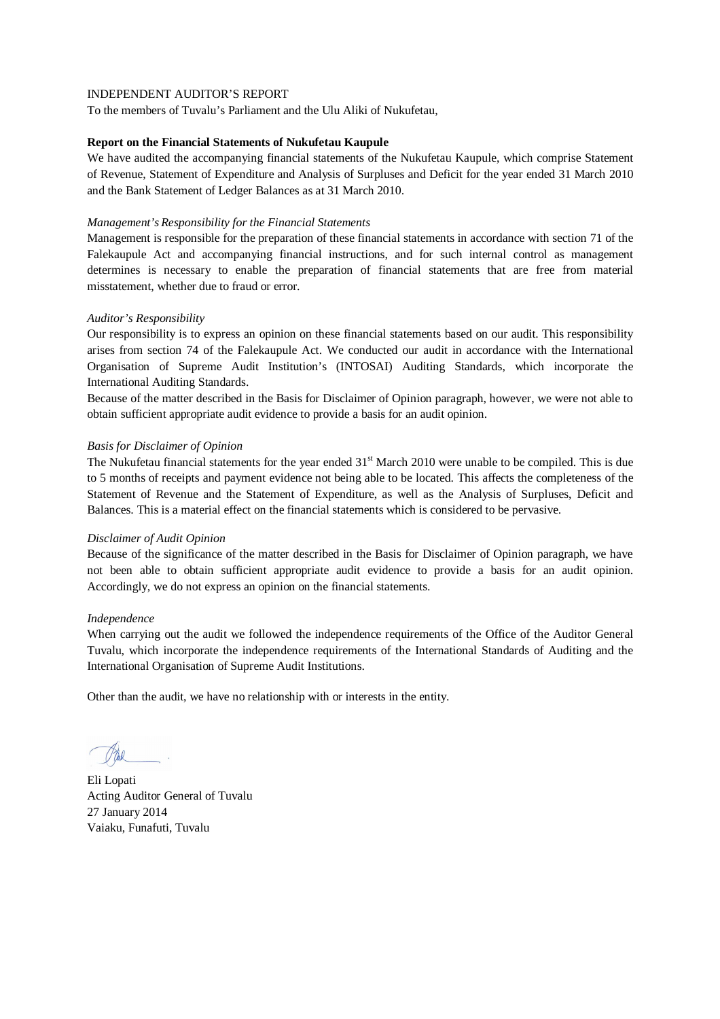To the members of Tuvalu's Parliament and the Ulu Aliki of Nukufetau,

#### **Report on the Financial Statements of Nukufetau Kaupule**

We have audited the accompanying financial statements of the Nukufetau Kaupule, which comprise Statement of Revenue, Statement of Expenditure and Analysis of Surpluses and Deficit for the year ended 31 March 2010 and the Bank Statement of Ledger Balances as at 31 March 2010.

## *Management's Responsibility for the Financial Statements*

Management is responsible for the preparation of these financial statements in accordance with section 71 of the Falekaupule Act and accompanying financial instructions, and for such internal control as management determines is necessary to enable the preparation of financial statements that are free from material misstatement, whether due to fraud or error.

## *Auditor's Responsibility*

Our responsibility is to express an opinion on these financial statements based on our audit. This responsibility arises from section 74 of the Falekaupule Act. We conducted our audit in accordance with the International Organisation of Supreme Audit Institution's (INTOSAI) Auditing Standards, which incorporate the International Auditing Standards.

Because of the matter described in the Basis for Disclaimer of Opinion paragraph, however, we were not able to obtain sufficient appropriate audit evidence to provide a basis for an audit opinion.

## *Basis for Disclaimer of Opinion*

The Nukufetau financial statements for the year ended  $31<sup>st</sup>$  March 2010 were unable to be compiled. This is due to 5 months of receipts and payment evidence not being able to be located. This affects the completeness of the Statement of Revenue and the Statement of Expenditure, as well as the Analysis of Surpluses, Deficit and Balances. This is a material effect on the financial statements which is considered to be pervasive.

#### *Disclaimer of Audit Opinion*

Because of the significance of the matter described in the Basis for Disclaimer of Opinion paragraph, we have not been able to obtain sufficient appropriate audit evidence to provide a basis for an audit opinion. Accordingly, we do not express an opinion on the financial statements.

## *Independence*

When carrying out the audit we followed the independence requirements of the Office of the Auditor General Tuvalu, which incorporate the independence requirements of the International Standards of Auditing and the International Organisation of Supreme Audit Institutions.

Eli Lopati Acting Auditor General of Tuvalu 27 January 2014 Vaiaku, Funafuti, Tuvalu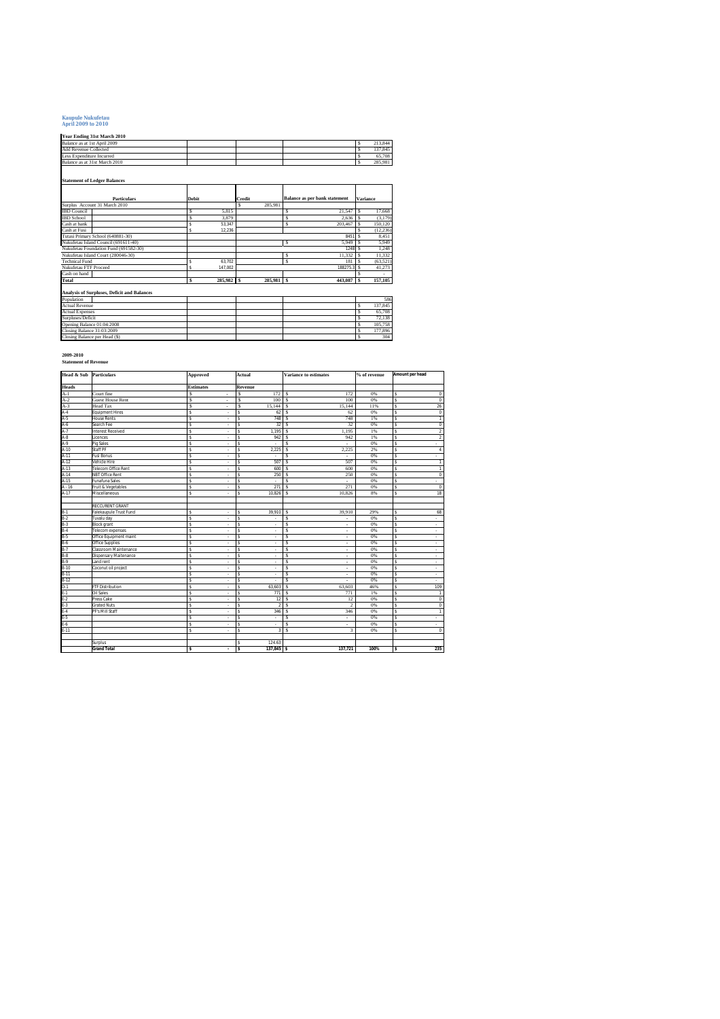## **Kaupule Nukufetau April 2009 to 2010**

#### **Year Ending 31st March 2010**

| Balance as at 1st April 2009                                |              |         |        |         |                                      | Ś               | 213,844   |
|-------------------------------------------------------------|--------------|---------|--------|---------|--------------------------------------|-----------------|-----------|
| Add Revenue Collected                                       |              |         |        |         |                                      | Ś               | 137.845   |
| Less Expenditure Incurred                                   |              |         |        |         |                                      | Ś               | 65.708    |
| Balance as at 31st March 2010                               |              |         |        |         |                                      | Ś               | 285.981   |
|                                                             |              |         |        |         |                                      |                 |           |
|                                                             |              |         |        |         |                                      |                 |           |
| <b>Statement of Ledger Balances</b>                         |              |         |        |         |                                      |                 |           |
|                                                             |              |         |        |         |                                      |                 |           |
|                                                             |              |         |        |         |                                      |                 |           |
| <b>Particulars</b>                                          | <b>Debit</b> |         | Credit |         | <b>Balance as per bank statement</b> | <b>Variance</b> |           |
| Surplus Account 31 March 2010                               |              |         | s      | 285.981 |                                      |                 |           |
| <b>IBD</b> Council                                          | Ś            | 5.815   |        |         | Ś<br>21.547                          | Ś               | 17.668    |
| <b>IBD</b> School                                           | Ś            | 3.879   |        |         | s<br>2.636                           | \$.             | (3, 179)  |
| Cash at bank<br>Cash at Fusi                                | \$           | 53.347  |        |         | Ś<br>203.467                         | s               | 150.120   |
|                                                             | s            | 12.236  |        |         |                                      | Ś               | (12, 236) |
| Tutasi Primary School (640881-30)                           |              |         |        |         | 8451                                 | s               | 8.451     |
| Nukufetau Island Council (691611-40)                        |              |         |        |         | Ś<br>5.949                           | Ś               | 5.949     |
| Nukufetau Foundation Fund (691582-30)                       |              |         |        |         |                                      | 1248 S          | 1.248     |
| Nukufetau Island Court (280046-30)                          |              |         |        |         | 11.332<br>s                          | s               | 11.332    |
| <b>Technical Fund</b>                                       | \$           | 63.702  |        |         | Ś<br>181                             | s               | (63.521)  |
| Nukufetau FTF Proceed                                       | Ś            | 147.002 |        |         | 188275.3                             | \$.             | 41,273    |
| Cash on hand                                                |              |         |        |         |                                      | s               |           |
| Total                                                       | s            | 285,982 | Τs     | 285,981 | <b>S</b><br>443,087                  | \$              | 157,105   |
|                                                             |              |         |        |         |                                      |                 |           |
| Analysis of Surpluses, Deficit and Balances                 |              |         |        |         |                                      |                 |           |
| Population                                                  |              |         |        |         |                                      |                 | 586       |
| <b>Actual Revenue</b>                                       |              |         |        |         |                                      | Ś               | 137.845   |
| <b>Actual Expenses</b>                                      |              |         |        |         |                                      | Ś               | 65.708    |
| Surpluses/Deficit<br>Opening Balance 01:04:2008             |              |         |        |         |                                      | Ś               | 72.138    |
|                                                             |              |         |        |         |                                      | Ś               | 105,758   |
| Closing Balance 31:03:2009<br>Closing Balance per Head (\$) |              |         |        |         |                                      | Ś               | 177,896   |
|                                                             |              |         |        |         |                                      | Ś               | 304       |

#### **2009-2010 Statement of Revenue**

| <b>Head &amp; Sub</b> Particulars |                            | Approved                       | Actual                | <b>Variance to estimates</b> | % of revenue | Amount per head     |
|-----------------------------------|----------------------------|--------------------------------|-----------------------|------------------------------|--------------|---------------------|
| <b>Heads</b>                      |                            | <b>Estimates</b>               | Revenue               |                              |              |                     |
| $A-1$                             | Court fine                 | Ś<br>ä,                        | Ś<br>172              | s<br>172                     | 0%           | s<br>$\mathbf 0$    |
| $A-2$                             | <b>Guest House Rent</b>    | Ś<br>٠                         | s<br>100              | 100<br>s                     | 0%           | $\overline{0}$<br>s |
| $A-3$                             | Head Tax                   | Ś<br>٠                         | Ś<br>15.144           | Ś<br>15.144                  | 11%          | 26<br>s             |
| $A-4$                             | <b>Equipment Hires</b>     | \$.<br>٠                       | s<br>62               | $\mathbf{s}$<br>62           | 0%           | s<br>$\mathsf 0$    |
| $A-5$                             | <b>House Rents</b>         | \$<br>٠                        | 748<br>s              | s<br>748                     | 1%           | s<br>1              |
| $A-6$                             | Search Fee                 | ś<br>÷                         | s<br>32               | s<br>32                      | 0%           | s<br>$\overline{0}$ |
| $A-7$                             | <b>Interest Received</b>   | ś<br>٠                         | s<br>1,195            | s<br>1,195                   | 1%           | s<br>2              |
| $A-8$                             | Licences                   | Ś<br>÷                         | 942<br>s              | 942<br>s                     | 1%           | $\,$<br>s           |
| A-9                               | Pig Sales                  | Ś<br>÷                         | s                     | Ś                            | 0%           | s<br>$\sim$         |
| A-10                              | Staff PF                   | ś<br>٠                         | s<br>2,225            | Ś<br>2,225                   | 2%           | s<br>4              |
| A-11                              | <b>Fusi Bonus</b>          | \$<br>×                        | s<br>×.               | Ś<br>×.                      | 0%           | s<br>ä,             |
| A-12                              | Vehicle Hire               | ś<br>×                         | 507<br>ś              | $\mathbf s$<br>507           | 0%           | s<br>1              |
| $A-13$                            | <b>Telecom Office Rent</b> | ś<br>٠                         | s<br>600              | Ś<br>600                     | 0%           | 1<br>s              |
| $A-14$                            | <b>NBT Office Rent</b>     | \$<br>٠                        | 250<br>s              | Ś<br>250                     | 0%           | $\bf 0$<br>s        |
| A-15                              | <b>Funafuna Sales</b>      | Ś<br>÷                         | s<br>÷                | $\mathbf s$                  | 0%           | s<br>×.             |
| $A - 16$                          | Fruit & Vegetables         | \$<br>٠                        | 271<br>s              | 271<br>Ś                     | 0%           | s<br>$\mathbf 0$    |
| $A-17$                            | Miscellaneous              | \$.<br>÷                       | 10.826<br>\$          | Ś<br>10.826                  | 8%           | s<br>18             |
|                                   |                            |                                |                       |                              |              |                     |
|                                   | <b>RECCURENT GRANT</b>     |                                |                       |                              |              |                     |
| $B-1$                             | Falekaupule Trust Fund     | \$<br>$\overline{\phantom{a}}$ | s<br>39,910           | s<br>39.910                  | 29%          | 68<br>s             |
| $B-2$                             | Tuvalu day                 | s<br>٠                         | s<br>×.               | Ś<br>÷                       | 0%           | s<br>×.             |
| $B-3$                             | <b>Block</b> grant         | s<br>٠                         | s<br>٠                | Ś<br>٠                       | 0%           | s<br>$\sim$         |
| $B-4$                             | Telecom expenses           | s<br>÷                         | s<br>÷                | Ś<br>٠                       | 0%           | s<br>×.             |
| $B-5$                             | Office Equipment maint     | ś<br>٠                         | s<br>×.               | Ś<br>$\sim$                  | 0%           | s<br>×.             |
| $B-6$                             | Office Supplies            | s<br>÷                         | s<br>÷                | Ś<br>÷.                      | 0%           | s<br>×.             |
| $B-7$                             | Classroom Maintenance      | ś<br>÷                         | ś<br>÷                | Ś<br>÷.                      | 0%           | s<br>$\sim$         |
| $B-8$                             | Dispensary Maitenance      | Ś<br>÷                         | \$<br>÷               | Ś<br>$\sim$                  | 0%           | s<br>٠              |
| $B-9$                             | Land rent                  | s<br>٠                         | s<br>×,               | Ś<br>٠                       | 0%           | s<br>×.             |
| $B-10$                            | Coconut oil project        | ś<br>×                         | s<br>×,               | s<br>×                       | 0%           | s<br>÷              |
| $B-11$                            |                            | ś<br>٠                         | s<br>÷                | Ś<br>$\sim$                  | 0%           | s<br>$\sim$         |
| $B-12$                            |                            | \$.<br>×                       | s<br>×.               | Ś<br>×.                      | 0%           | s<br>×.             |
| $D-1$                             | FTF Distribution           | Ś<br>÷                         | s<br>63,603           | Ś<br>63,603                  | 46%          | s<br>109            |
| $E-1$                             | <b>Oil Sales</b>           | ś<br>٠                         | ś<br>771              | Ś<br>771                     | 1%           | s<br>$\mathbf{1}$   |
| $E-2$                             | Press Cake                 | Ś<br>÷                         | s<br>12               | Ś<br>12                      | 0%           | $\overline{0}$<br>s |
| $E-3$                             | <b>Grated Nuts</b>         | ś<br>÷                         | s<br>$\overline{2}$   | s<br>$\overline{c}$          | 0%           | s<br>$\bf 0$        |
| $E-4$                             | PF's Mill Staff            | ś<br>٠                         | 346<br>ś              | s<br>346                     | 0%           | s<br>$\mathbf{1}$   |
| $E-5$                             |                            | s<br>$\overline{\phantom{a}}$  | s<br>$\sim$           | Ś<br>÷.                      | 0%           | s<br>٠              |
| $E-6$                             |                            | \$<br>٠                        | \$<br>×.              | s<br>٠.                      | 0%           | s<br>ä.             |
| $E-11$                            |                            | \$<br>÷                        | s<br>3                | Ś<br>3                       | 0%           | s<br>$\mathbf 0$    |
|                                   |                            |                                |                       |                              |              |                     |
|                                   | Surplus                    |                                | 124.63<br>\$.         |                              |              |                     |
|                                   | <b>Grand Total</b>         | s<br>$\overline{\phantom{a}}$  | <b>s</b><br>137.845 S | 137.721                      | 100%         | s<br>235            |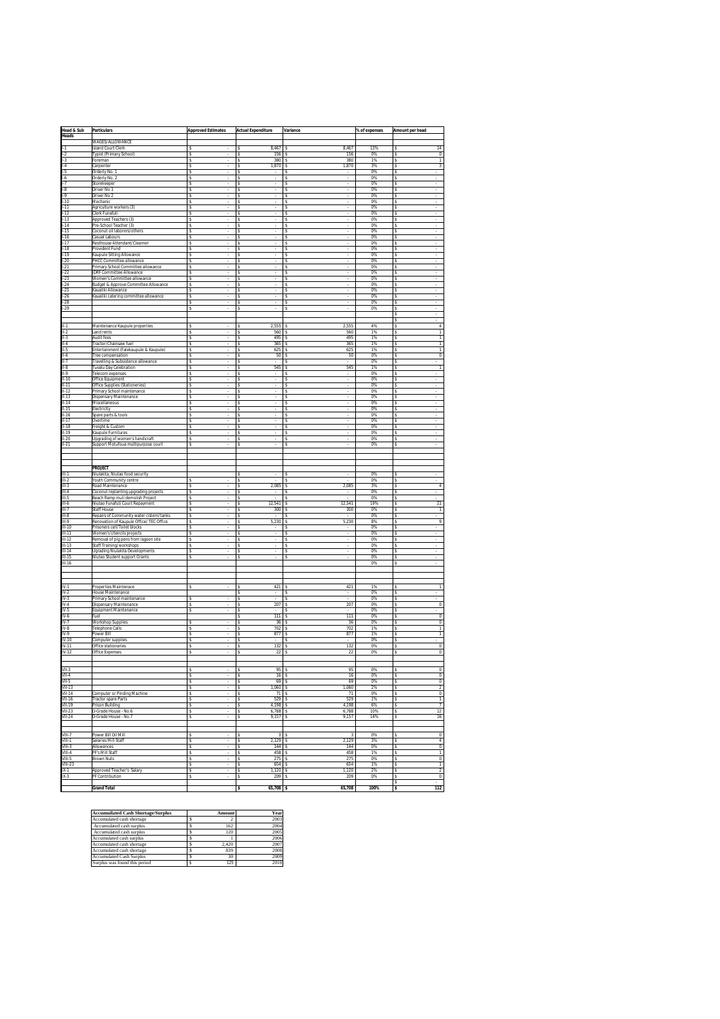|                                                      | <b>Particulars</b>                                                    | <b>Approved Estimates</b> | <b>Actual Expenditure</b>       | Variance                | % of expenses | Amount per head                                       |
|------------------------------------------------------|-----------------------------------------------------------------------|---------------------------|---------------------------------|-------------------------|---------------|-------------------------------------------------------|
| <u>Head &amp; Sub</u><br>Heads                       |                                                                       |                           |                                 |                         |               |                                                       |
| Ī<br>-1                                              | WAGES/ALLOWANCE<br><b>Island Court Clerk</b>                          | \$                        | 8,467<br>\$                     | 8,467<br>s              | 13%           | 14<br>s                                               |
| $\overline{2}$                                       | Typist (Primary School)                                               | \$                        | \$<br>156                       | 156<br>s                | 0%            | $\overline{0}$<br>s                                   |
| $1-3$                                                | Foreman                                                               | \$                        | s<br>380                        | s<br>380                | 1%            | s<br>$\mathbf{1}$                                     |
| ı<br>$-4$<br>$1-5$                                   | Carpenter<br>Orderly No. 1                                            | \$<br>\$                  | 1,870<br>\$<br>\$               | 1,870<br>s<br>s         | 3%<br>0%      | $\,$ 3<br>s<br>s                                      |
|                                                      | Orderly No. 2                                                         | s                         | s                               | s                       | 0%            | s                                                     |
| $\frac{1}{1-7}$                                      | Storekeeper                                                           | \$                        | s                               | s                       | 0%            | s                                                     |
| I-8<br>Ī<br>.9                                       | Driver No 1<br>Driver No 2                                            | \$<br>\$                  | \$<br>s                         | s<br>s                  | 0%<br>0%      | s<br>s                                                |
| $1-10$                                               | Mechanic                                                              | s                         | s                               | s                       | 0%            | s                                                     |
| $1 - 11$                                             | Agriculture workers (3)                                               | s                         | \$.                             | s                       | 0%            | s                                                     |
| $-12$<br>ı<br>$-13$                                  | Clerk Funafuti<br>Approved Teachers (3)                               | \$<br>\$                  | \$<br>\$                        | s<br>s                  | 0%<br>0%      | s<br>s                                                |
| ı<br>$-14$                                           | Pre-School Teacher (3)                                                | s                         | s                               | s                       | $0\%$         | s                                                     |
| $1 - 15$                                             | Coconut oil laborers/others                                           | s                         | \$                              | s                       | 0%            | s                                                     |
| Ī<br>$-16$<br>$-17$                                  | Casual Labours<br>Resthouse Attendant/Clearner                        | \$<br>\$                  | \$<br>s                         | s<br>s                  | 0%<br>0%      | \$<br>s                                               |
| Ī<br>$-18$                                           | Provident Fund                                                        | s                         | s                               | s                       | 0%            | s                                                     |
| ı<br>.19                                             | Kaupule Sitting Allowance                                             | s                         | \$                              | s                       | 0%            | s                                                     |
| ı<br>$-20$<br>$-21$<br>I                             | PHCC Committee allowance                                              | \$<br>s                   | s<br>\$                         | s<br>s                  | 0%<br>0%      | s<br>s                                                |
| ı<br>$-22$                                           | Primary School Committee allowance<br><b>IDRF Committee Allowance</b> | \$                        | \$                              | s                       | 0%            | s                                                     |
| $-23$<br>I                                           | Women's Committee allowance                                           | \$                        | \$                              | s                       | 0%            | s                                                     |
| ı<br>$-24$<br>$1 - 25$                               | Budget & Approve Committee Allowance<br>Kaualiki Allowance            | \$                        | \$                              | s                       | 0%<br>0%      | \$                                                    |
| $1 - 26$                                             | Kaualiki catering committee allowance                                 | s<br>s                    | s<br>\$                         | s<br>s                  | 0%            | s<br>s                                                |
| Ī<br>$-28$                                           |                                                                       | \$                        | \$                              | s                       | 0%            | \$                                                    |
| $1-29$                                               |                                                                       | \$                        | s                               | s                       | 0%            | s                                                     |
|                                                      |                                                                       |                           |                                 |                         |               | s<br>s                                                |
| II-1                                                 | Maintenance Kaupule properties                                        | \$                        | 2,555<br>\$                     | 2,555<br>s              | 4%            | \$<br>4                                               |
| $II-2$<br>$II-3$                                     | Land rents<br><b>Audit fees</b>                                       | \$                        | \$<br>560<br>495                | 560<br>s<br>495         | 1%<br>1%      | $\overline{1}$<br>s                                   |
| $II-4$                                               | Tractor/Chainsaw fuel                                                 | s<br>\$                   | s<br>\$<br>365                  | s<br>s<br>365           | 1%            | 1<br>s<br>s<br>1                                      |
| $II-5$                                               | Entertainment (Falekaupule & Kaupule)                                 | \$                        | \$<br>625                       | 625<br>s                | 1%            | \$<br>$\overline{1}$                                  |
| $II-6$                                               | Tree compensation                                                     | s                         | 50<br>s                         | 50<br>s                 | 0%            | $\overline{0}$<br>s                                   |
| $II-7$<br>  .8                                       | Travelling & Subsistence allowance<br>Tuvalu Day Celebration          | \$<br>\$                  | \$<br>545<br>\$                 | s<br>545<br>s           | 0%<br>1%      | s<br>$\mathbf{1}$<br>s                                |
| .9                                                   | Telecom expenses                                                      | \$                        | s                               | s                       | 0%            | s                                                     |
| $II - 10$                                            | Office Equipment                                                      | s                         | s                               | s                       | 0%            | s                                                     |
| $II - 11$<br>$II-12$                                 | Office Supplies (Stationeries)<br>Primary School maintenance          | \$.<br>\$                 | \$.<br>\$                       | s<br>s                  | 0%<br>0%      | s<br>\$                                               |
| $II-13$                                              | Dispensary Maintenance                                                | \$                        | \$                              | s                       | 0%            | s                                                     |
| $II-14$                                              | Miscellaneous                                                         | s                         | s                               | s                       | $0\%$         | s                                                     |
| $II - 15$<br>$II-16$                                 | Electricity<br>Spare parts & tools                                    | \$<br>\$                  | \$<br>\$                        | s<br>s                  | 0%<br>0%      | s<br>s                                                |
| $II-17$                                              | Overtime                                                              | \$                        | s                               | s                       | 0%            | s                                                     |
| $II-18$                                              | Freight & Custom                                                      | s                         | s                               | s                       | 0%            | s                                                     |
| $II - 19$<br>$II-20$                                 | Kaupule Furnitures<br>Upgrading of women's handicraft                 | s<br>\$                   | \$.<br>\$                       | s<br>s                  | 0%<br>0%      | s<br>s                                                |
| $II-21$                                              | Support Motufoua multipurpose court                                   | \$                        | \$                              | s                       | 0%            | s                                                     |
|                                                      |                                                                       |                           |                                 |                         |               |                                                       |
|                                                      |                                                                       |                           |                                 |                         |               |                                                       |
|                                                      | PROJECT                                                               |                           |                                 |                         |               |                                                       |
| $III-1$                                              | Niulakita, Niutao food security                                       |                           | s                               | Ś                       | 0%            |                                                       |
| $III-2$<br>$III-3$                                   | Youth Community centre<br>Road Maintenance                            | \$<br>\$                  | \$<br>2,085<br>s                | s<br>s<br>2,085         | 0%<br>3%      | \$<br>4<br>s                                          |
| $III-4$                                              | Coconut replanting upgrading projects                                 | s                         | s                               | s                       | 0%            | s                                                     |
| $III-5$                                              | Beach Ramp muli demolish Project                                      | s                         | \$.                             | s                       | 0%            | s                                                     |
| $III-6$<br>$III-7$                                   | Niutao Funafuti Court Repayment<br>Staff House                        | \$<br>\$                  | 12,541<br>\$<br>\$<br>300       | 12,541<br>s<br>300<br>s | 19%<br>0%     | \$<br>21<br>\$<br>$\overline{1}$                      |
| $III-8$                                              | Repairs of Community water cistern/tanks                              | s                         | s                               | s                       | $0\%$         | s                                                     |
| $III-9$                                              | Renovation of Kaupule Office/ TEC Office                              | s                         | \$<br>5,230                     | s<br>5,230              | 8%            | s<br>9                                                |
| $III-10$<br>$III - 11$                               | Prisoners cell/Toilet blocks<br>Women's Utencils projects             | \$<br>\$                  | \$<br>s                         | s<br>s                  | 0%<br>0%      | s<br>s                                                |
| $III-12$                                             | Removal of pig pens from lagoon site                                  | s                         | s                               | s                       | 0%            | s                                                     |
| $III - 13$                                           | Staff Training/workshops                                              | \$.                       | \$.                             | s                       | 0%            | s                                                     |
| $III-14$<br>$III - 15$                               | <b>Ugrading Niulakita Developments</b>                                | \$<br>s                   | \$<br>\$                        | s<br>s                  | 0%<br>0%      | s<br>s                                                |
| $III - 16$                                           | Niutao Student support Grants                                         |                           |                                 |                         | 0%            | s                                                     |
|                                                      |                                                                       |                           |                                 |                         |               |                                                       |
|                                                      |                                                                       |                           |                                 |                         |               |                                                       |
| $IV-1$                                               | Properties Maintenace                                                 |                           | Ś<br>421                        | 421<br>s                | 1%            | 1<br>s                                                |
| $IV-2$                                               | <b>House Maintenance</b>                                              |                           | \$                              | s                       | 0%            | \$                                                    |
| $IV-3$<br>$IV-4$                                     | Primary School maintenance<br>Dispensary Maintenance                  | s                         | s<br>207                        | s<br>207                | 0%<br>0%      | s<br>$\overline{0}$                                   |
| $IV-5$                                               | Equipment Maintenance                                                 | s<br>\$                   | s<br>\$.                        | s<br>s                  | 0%            | s<br>s                                                |
| IV-6                                                 | Fuel                                                                  |                           | \$<br>111                       | 111<br>s                | 0%            | \$<br>$\overline{0}$                                  |
| IV-7<br>$IV-8$                                       | <b>Workshop Supplies</b>                                              | s                         | \$<br>36<br>702                 | s<br>36<br>702          | 0%<br>1%      | $\overline{0}$<br>s<br>1                              |
| $IV-9$                                               | <b>Telephone Calls</b><br>Power Bill                                  | s<br>s                    | s<br>\$<br>877                  | s<br>s<br>877           | 1%            | s<br>s<br>1                                           |
| $IV-10$                                              | Computer supplies                                                     | \$                        | \$                              | s                       | 0%            | \$                                                    |
| IV-11                                                | Office stationaries                                                   | s                         | 132<br>s<br>$\overline{22}$     | 132<br>s<br>22          | 0%<br>0%      | $\overline{0}$<br>s<br>$\overline{0}$                 |
| $IV-12$                                              | <b>Office Expenses</b>                                                |                           | s                               | s                       |               |                                                       |
|                                                      |                                                                       |                           |                                 |                         |               |                                                       |
| $VII-3$<br>$VII-4$                                   |                                                                       | s<br>\$                   | 95<br>s<br>$\overline{16}$<br>s | 95<br>-S<br>s<br>16     | 0%<br>$0\%$   | $\mathbf{0}$<br>s<br>s                                |
| VII-5                                                |                                                                       | \$                        | \$<br>69                        | S<br>69                 | 0%            | $\,0\,$<br>\$<br>$\overline{0}$                       |
| $VII-13$                                             |                                                                       | \$                        | 1,060<br>\$                     | S<br>1,060              | 2%            | $\overline{2}$<br>s                                   |
| <b>VII-14</b>                                        | Computer or Pinding Machine                                           | s                         | 71<br>s                         | 71<br>-S                | 0%            | $\overline{0}$<br>s                                   |
| $\frac{1}{\sqrt{11.16}}$<br>$\frac{1}{\sqrt{11.19}}$ | Tractor spare Parts<br>Prison Building                                | \$<br>\$                  | s<br>529<br>\$<br>4,198         | s<br>529<br>s<br>4,198  | 1%<br>6%      | s<br>1<br>\$<br>7                                     |
| VII-23<br>VII-24                                     | D-Grade House - No.6                                                  | \$                        | 6,788<br>\$                     | 6,788<br>s              | 10%           | 12<br>s                                               |
|                                                      | D-Grade House - No.7                                                  | s                         | 9,157<br>s                      | 9,157<br>s              | 14%           | 16<br>s                                               |
|                                                      |                                                                       |                           |                                 |                         |               |                                                       |
| VIII-7                                               | Power Bill Oil Mill                                                   | \$                        | 3S<br>\$                        | 3                       | 0%            | $\overline{0}$<br>s                                   |
| VIII-1                                               | Salaries Mill Staff                                                   | s                         | $2,129$ \$<br>s                 | 2,129                   | 3%            | $\overline{4}$<br>s                                   |
| $VIII-3$<br>VIII-4                                   | Allowances<br>PF's Mill Staff                                         | \$<br>\$                  | \$<br>144<br>\$<br>458          | s<br>144<br>s<br>458    | 0%<br>1%      | s<br>$\,0\,$<br>$\overline{1}$<br>\$                  |
| VIII-5                                               | <b>Brown Nuts</b>                                                     | s                         | 275<br>s                        | 275<br>s                | 0%            | $\overline{0}$<br>s                                   |
| $VIII-23$                                            |                                                                       | \$                        | \$<br>654                       | s<br>654                | 1%            | $\mathbf{1}$<br>s                                     |
| $IX-1$<br>$IX-3$                                     | Approved Teacher's Salary<br>PF Contribution                          | \$<br>\$                  | \$<br>$1,120$ \$<br>209<br>\$   | 1,120<br>209<br>s       | $2\%$<br>0%   | \$<br>$\overline{2}$<br>$\overline{\mathbf{0}}$<br>\$ |
|                                                      |                                                                       |                           |                                 |                         |               | s                                                     |
| Г                                                    | <b>Grand Total</b>                                                    |                           | $65,708$ \$<br>\$               | 65,708                  | 100%          | 112<br>s                                              |

| <b>Accumuilated Cash Shortage/Surplus</b> | Amount | Year |
|-------------------------------------------|--------|------|
| Accumulated cash shortage                 |        | 2003 |
| Accumulated cash surplus                  | 162    | 2004 |
| Accumulated cash surplus                  | 120    | 2005 |
| Accumulated cash surplus                  |        | 2006 |
| Accumulated cash shortage                 | 2.420  | 2007 |
| Accumulated cash shortage                 | 839    | 2008 |
| <b>Accumulated Cash Surplus</b>           | 30     | 2009 |
| Surplus was found this period             | 125    | 2010 |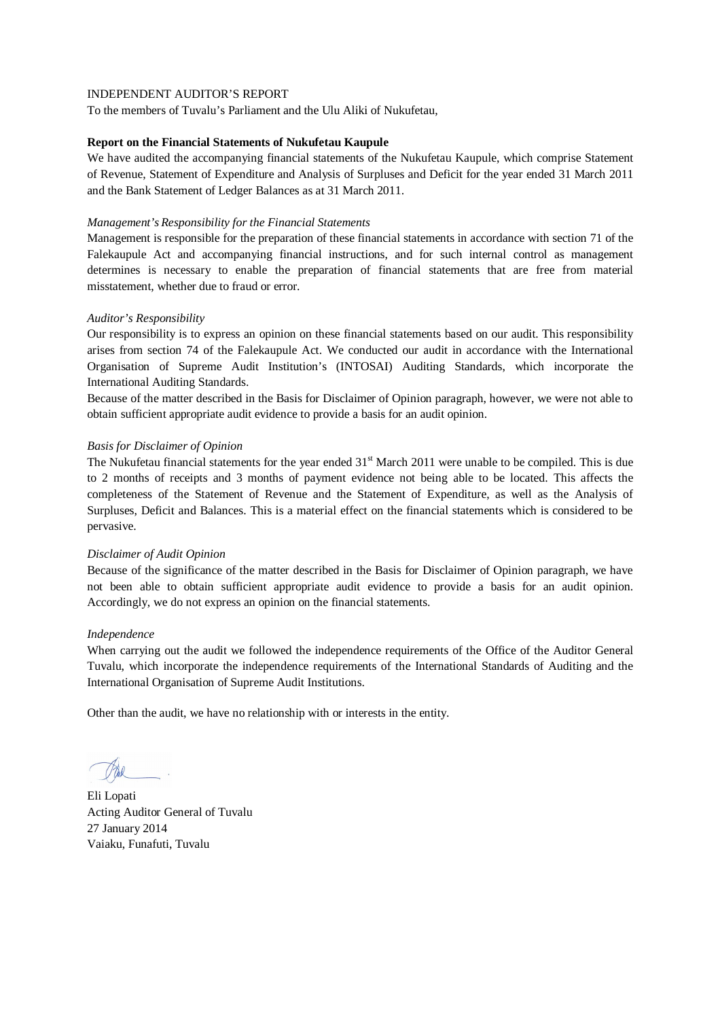To the members of Tuvalu's Parliament and the Ulu Aliki of Nukufetau,

#### **Report on the Financial Statements of Nukufetau Kaupule**

We have audited the accompanying financial statements of the Nukufetau Kaupule, which comprise Statement of Revenue, Statement of Expenditure and Analysis of Surpluses and Deficit for the year ended 31 March 2011 and the Bank Statement of Ledger Balances as at 31 March 2011.

#### *Management's Responsibility for the Financial Statements*

Management is responsible for the preparation of these financial statements in accordance with section 71 of the Falekaupule Act and accompanying financial instructions, and for such internal control as management determines is necessary to enable the preparation of financial statements that are free from material misstatement, whether due to fraud or error.

## *Auditor's Responsibility*

Our responsibility is to express an opinion on these financial statements based on our audit. This responsibility arises from section 74 of the Falekaupule Act. We conducted our audit in accordance with the International Organisation of Supreme Audit Institution's (INTOSAI) Auditing Standards, which incorporate the International Auditing Standards.

Because of the matter described in the Basis for Disclaimer of Opinion paragraph, however, we were not able to obtain sufficient appropriate audit evidence to provide a basis for an audit opinion.

## *Basis for Disclaimer of Opinion*

The Nukufetau financial statements for the year ended  $31<sup>st</sup>$  March 2011 were unable to be compiled. This is due to 2 months of receipts and 3 months of payment evidence not being able to be located. This affects the completeness of the Statement of Revenue and the Statement of Expenditure, as well as the Analysis of Surpluses, Deficit and Balances. This is a material effect on the financial statements which is considered to be pervasive.

#### *Disclaimer of Audit Opinion*

Because of the significance of the matter described in the Basis for Disclaimer of Opinion paragraph, we have not been able to obtain sufficient appropriate audit evidence to provide a basis for an audit opinion. Accordingly, we do not express an opinion on the financial statements.

#### *Independence*

When carrying out the audit we followed the independence requirements of the Office of the Auditor General Tuvalu, which incorporate the independence requirements of the International Standards of Auditing and the International Organisation of Supreme Audit Institutions.

Eli Lopati Acting Auditor General of Tuvalu 27 January 2014 Vaiaku, Funafuti, Tuvalu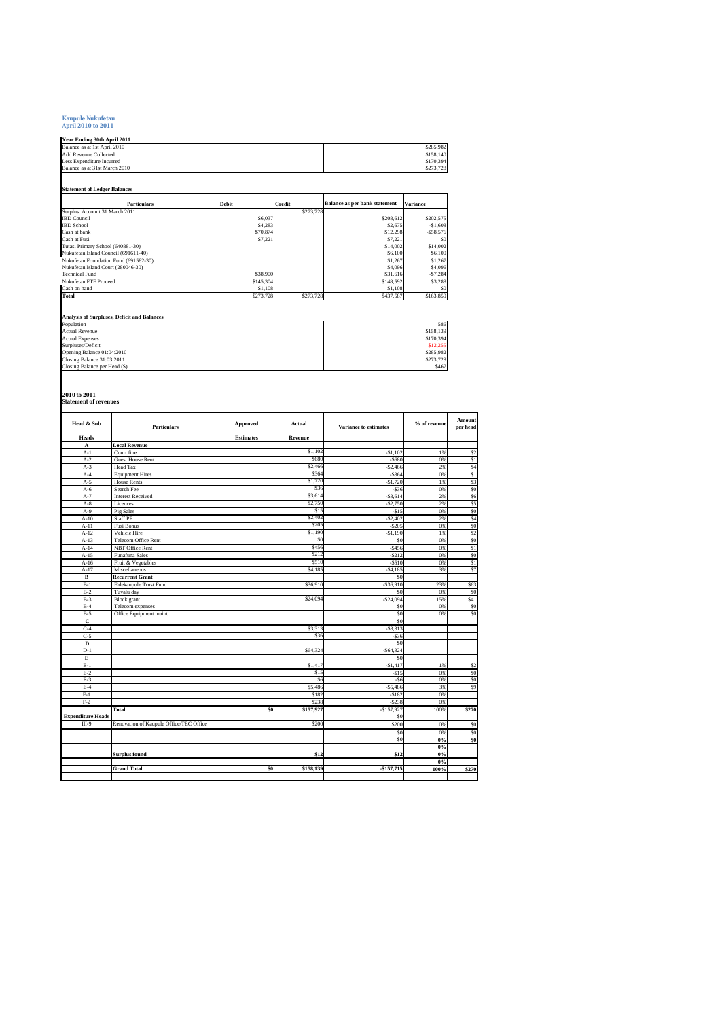# **Kaupule Nukufetau April 2010 to 2011**

**Year Ending 30th April 2011**

| <b>Add Revenue Collected</b><br>Less Expenditure Incurred<br>\$273,728<br><b>Balance as per bank statement</b><br><b>Particulars</b><br><b>Debit</b><br>Credit<br><b>Variance</b><br>\$273,728<br>\$6,037<br>\$208,612<br>\$4,283<br>\$2,675<br>\$70,874<br>\$12,298<br>\$7,221<br>\$7,221<br>Tutasi Primary School (640881-30)<br>\$14,002<br>\$6,100<br>Nukufetau Foundation Fund (691582-30)<br>\$1,267<br>Nukufetau Island Court (280046-30)<br>\$4,096<br><b>Technical Fund</b><br>\$38,900<br>\$31,616<br>Nukufetau FTF Proceed<br>\$145,304<br>\$148,592<br>Cash on hand<br>\$1,108<br>\$1.108<br>\$273,728<br>Total<br>\$273,728<br>\$437,587<br><b>Analysis of Surpluses, Deficit and Balances</b><br><b>Actual Revenue</b> | Balance as at 1st April 2010         |           |  | \$285,982  |  |
|--------------------------------------------------------------------------------------------------------------------------------------------------------------------------------------------------------------------------------------------------------------------------------------------------------------------------------------------------------------------------------------------------------------------------------------------------------------------------------------------------------------------------------------------------------------------------------------------------------------------------------------------------------------------------------------------------------------------------------------|--------------------------------------|-----------|--|------------|--|
|                                                                                                                                                                                                                                                                                                                                                                                                                                                                                                                                                                                                                                                                                                                                      |                                      |           |  | \$158,140  |  |
|                                                                                                                                                                                                                                                                                                                                                                                                                                                                                                                                                                                                                                                                                                                                      |                                      | \$170,394 |  |            |  |
|                                                                                                                                                                                                                                                                                                                                                                                                                                                                                                                                                                                                                                                                                                                                      | Balance as at 31st March 2010        |           |  |            |  |
|                                                                                                                                                                                                                                                                                                                                                                                                                                                                                                                                                                                                                                                                                                                                      |                                      |           |  |            |  |
|                                                                                                                                                                                                                                                                                                                                                                                                                                                                                                                                                                                                                                                                                                                                      | <b>Statement of Ledger Balances</b>  |           |  |            |  |
|                                                                                                                                                                                                                                                                                                                                                                                                                                                                                                                                                                                                                                                                                                                                      |                                      |           |  |            |  |
|                                                                                                                                                                                                                                                                                                                                                                                                                                                                                                                                                                                                                                                                                                                                      | Surplus Account 31 March 2011        |           |  |            |  |
|                                                                                                                                                                                                                                                                                                                                                                                                                                                                                                                                                                                                                                                                                                                                      | <b>IBD</b> Council                   |           |  | \$202,575  |  |
|                                                                                                                                                                                                                                                                                                                                                                                                                                                                                                                                                                                                                                                                                                                                      | <b>IBD</b> School                    |           |  | $-$1,608$  |  |
|                                                                                                                                                                                                                                                                                                                                                                                                                                                                                                                                                                                                                                                                                                                                      | Cash at bank                         |           |  | $-558,576$ |  |
|                                                                                                                                                                                                                                                                                                                                                                                                                                                                                                                                                                                                                                                                                                                                      | Cash at Fusi                         |           |  | \$0        |  |
|                                                                                                                                                                                                                                                                                                                                                                                                                                                                                                                                                                                                                                                                                                                                      |                                      |           |  | \$14,002   |  |
|                                                                                                                                                                                                                                                                                                                                                                                                                                                                                                                                                                                                                                                                                                                                      | Nukufetau Island Council (691611-40) |           |  | \$6,100    |  |
|                                                                                                                                                                                                                                                                                                                                                                                                                                                                                                                                                                                                                                                                                                                                      |                                      |           |  | \$1,267    |  |
|                                                                                                                                                                                                                                                                                                                                                                                                                                                                                                                                                                                                                                                                                                                                      |                                      |           |  | \$4,096    |  |
|                                                                                                                                                                                                                                                                                                                                                                                                                                                                                                                                                                                                                                                                                                                                      |                                      |           |  | $-57,284$  |  |
|                                                                                                                                                                                                                                                                                                                                                                                                                                                                                                                                                                                                                                                                                                                                      |                                      |           |  | \$3,288    |  |
|                                                                                                                                                                                                                                                                                                                                                                                                                                                                                                                                                                                                                                                                                                                                      |                                      |           |  | \$0        |  |
|                                                                                                                                                                                                                                                                                                                                                                                                                                                                                                                                                                                                                                                                                                                                      |                                      |           |  | \$163,859  |  |
|                                                                                                                                                                                                                                                                                                                                                                                                                                                                                                                                                                                                                                                                                                                                      |                                      |           |  |            |  |
|                                                                                                                                                                                                                                                                                                                                                                                                                                                                                                                                                                                                                                                                                                                                      | Population                           |           |  | 586        |  |
|                                                                                                                                                                                                                                                                                                                                                                                                                                                                                                                                                                                                                                                                                                                                      |                                      |           |  | \$158,139  |  |
|                                                                                                                                                                                                                                                                                                                                                                                                                                                                                                                                                                                                                                                                                                                                      | <b>Actual Expenses</b>               |           |  | \$170,394  |  |
|                                                                                                                                                                                                                                                                                                                                                                                                                                                                                                                                                                                                                                                                                                                                      | Surpluses/Deficit                    |           |  | \$12,255   |  |
|                                                                                                                                                                                                                                                                                                                                                                                                                                                                                                                                                                                                                                                                                                                                      | Opening Balance 01:04:2010           |           |  | \$285,982  |  |
|                                                                                                                                                                                                                                                                                                                                                                                                                                                                                                                                                                                                                                                                                                                                      | Closing Balance 31:03:2011           |           |  | \$273,728  |  |
|                                                                                                                                                                                                                                                                                                                                                                                                                                                                                                                                                                                                                                                                                                                                      | Closing Balance per Head (\$)        |           |  | \$467      |  |

## **2010 to 2011 Statement of revenues**

| Head & Sub               | <b>Particulars</b>                      | Approved         | Actual    | Variance to estimates | % of revenue | Amount<br>per head |
|--------------------------|-----------------------------------------|------------------|-----------|-----------------------|--------------|--------------------|
| <b>Heads</b><br>A        | <b>Local Revenue</b>                    | <b>Estimates</b> | Revenue   |                       |              |                    |
| $A-1$                    | Court fine                              |                  | \$1,102   | $-$1,102$             | 1%           | \$2                |
| $A-2$                    | <b>Guest House Rent</b>                 |                  | \$680     | $-5680$               | 0%           | \$1                |
| $A-3$                    | <b>Head Tax</b>                         |                  | \$2,466   | $-$ \$2,466           | 2%           | \$4                |
| $A-4$                    | <b>Equipment Hires</b>                  |                  | \$364     | $-5364$               | 0%           | \$1                |
| $A-5$                    | <b>House Rents</b>                      |                  | \$1,720   | $-$1,720$             | 1%           | \$3                |
| $A-6$                    | Search Fee                              |                  | \$36      | $-$ \$36              | 0%           | \$0                |
| $A-7$                    | <b>Interest Received</b>                |                  | \$3,614   | $-53,614$             | 2%           | \$6                |
| $A-8$                    | Licences                                |                  | \$2,750   | $-$ \$2,750           | 2%           | \$5                |
| $A-9$                    | Pig Sales                               |                  | \$15      | $-$15$                | 0%           | \$0                |
| $A-10$                   | <b>Staff PF</b>                         |                  | \$2,402   | $-$ \$2,402           | 2%           | \$4                |
| $A-11$                   | Fusi Bonus                              |                  | \$205     | $-$ \$205             | 0%           | \$0                |
| $A-12$                   | Vehicle Hire                            |                  | \$1,190   | $-$1,190$             | 1%           | \$2                |
| $A-13$                   | Telecom Office Rent                     |                  | \$0       | \$0                   | 0%           | \$0                |
| $A-14$                   | NBT Office Rent                         |                  | \$456     | $-$ \$456             | 0%           | \$1                |
| $A-15$                   | Funafuna Sales                          |                  | \$212     | $-5212$               | 0%           | \$0                |
| $A-16$                   | Fruit & Vegetables                      |                  | \$510     | $-5510$               | 0%           | \$1                |
| $A-17$                   | Miscellaneous                           |                  | \$4,185   | $-54,185$             | 3%           | \$7                |
| B                        | <b>Recurrent Grant</b>                  |                  |           | \$0                   |              |                    |
| $B-1$                    | Falekaupule Trust Fund                  |                  | \$36,910  | $-536,910$            | 23%          | \$63               |
| $B-2$                    | Tuvalu day                              |                  |           | \$0                   | 0%           | \$0                |
| $B-3$                    | <b>Block</b> grant                      |                  | \$24,094  | $-$ \$24,094          | 15%          | \$41               |
| $B-4$                    | Telecom expenses                        |                  |           | \$0                   | 0%           | \$0                |
| $B-5$                    | Office Equipment maint                  |                  |           | \$0                   | 0%           | \$0                |
| c                        |                                         |                  |           | \$0                   |              |                    |
| $C-4$                    |                                         |                  | \$3,313   | $-53,313$             |              |                    |
| $C-5$                    |                                         |                  | \$36      | $-$ \$36              |              |                    |
| D                        |                                         |                  |           | \$0                   |              |                    |
| $D-1$                    |                                         |                  | \$64,324  | $-$ S64.324           |              |                    |
| E                        |                                         |                  |           | \$0                   |              |                    |
| $E-1$                    |                                         |                  | \$1,417   | $-$1,417$             | 1%           | \$2                |
| $E-2$                    |                                         |                  | \$15      | $-515$                | 0%           | \$0                |
| $E-3$                    |                                         |                  | \$6       | $-56$                 | 0%           | \$0                |
| $E-4$                    |                                         |                  | \$5,486   | $-55.486$             | 3%           | \$9                |
| $F-1$                    |                                         |                  | \$182     | $-5182$               | 0%           |                    |
| $F-2$                    |                                         |                  | \$238     | $-5238$               | 0%           |                    |
|                          | Total                                   | \$0              | \$157,927 | $-$157,927$           | 100%         | \$270              |
| <b>Expenditure Heads</b> |                                         |                  |           | $\mathsf{S}$          |              |                    |
| III-9                    | Renovation of Kaupule Office/TEC Office |                  | \$200     | \$200                 | 0%           | \$0                |
|                          |                                         |                  |           | \$0                   | 0%           | \$0                |
|                          |                                         |                  |           | \$0                   | 0%           | \$0                |
|                          |                                         |                  |           |                       | 0%           |                    |
|                          | Surplus found                           |                  | \$12      | \$12                  | 0%           |                    |
|                          |                                         |                  |           |                       | 0%           |                    |
|                          | <b>Grand Total</b>                      | \$0              | \$158,139 | $-$157,715$           | 100%         | \$270              |
|                          |                                         |                  |           |                       |              |                    |